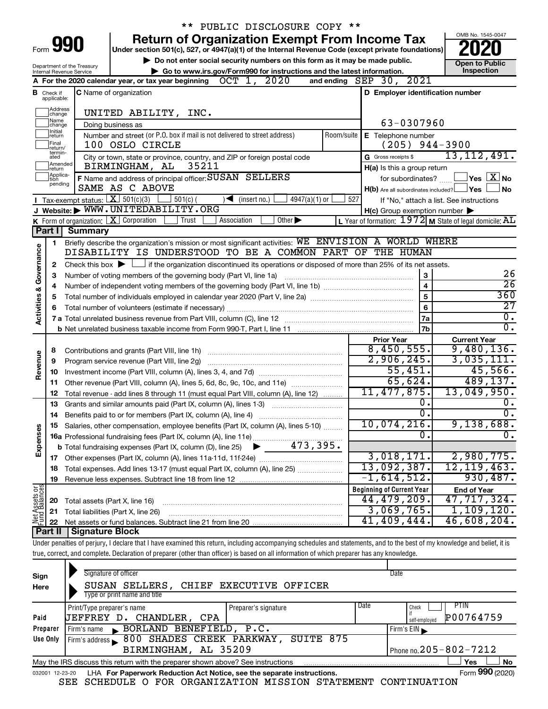|                                                      |                                  |                                        | ** PUBLIC DISCLOSURE COPY **                                                                                                                                               |                                                         |                                                           |
|------------------------------------------------------|----------------------------------|----------------------------------------|----------------------------------------------------------------------------------------------------------------------------------------------------------------------------|---------------------------------------------------------|-----------------------------------------------------------|
| <b>Return of Organization Exempt From Income Tax</b> |                                  |                                        |                                                                                                                                                                            |                                                         | OMB No. 1545-0047                                         |
| Form <b>990</b>                                      |                                  |                                        | Under section 501(c), 527, or 4947(a)(1) of the Internal Revenue Code (except private foundations)                                                                         |                                                         |                                                           |
| Department of the Treasury                           |                                  |                                        | Do not enter social security numbers on this form as it may be made public.                                                                                                |                                                         | <b>Open to Public</b>                                     |
|                                                      |                                  | Internal Revenue Service               | Go to www.irs.gov/Form990 for instructions and the latest information.                                                                                                     |                                                         | Inspection                                                |
|                                                      |                                  |                                        | A For the 2020 calendar year, or tax year beginning $OCT$ 1, 2020                                                                                                          | and ending SEP 30, 2021                                 |                                                           |
|                                                      | <b>B</b> Check if<br>applicable: |                                        | <b>C</b> Name of organization                                                                                                                                              | D Employer identification number                        |                                                           |
|                                                      | Address<br> change               |                                        | UNITED ABILITY, INC.                                                                                                                                                       |                                                         |                                                           |
|                                                      | Name<br> change<br>Initial       |                                        | Doing business as                                                                                                                                                          | 63-0307960                                              |                                                           |
|                                                      | ∣return<br>Final<br>return/      |                                        | Number and street (or P.O. box if mail is not delivered to street address)<br>Room/suite<br>100 OSLO CIRCLE                                                                | E Telephone number<br>$(205)$ 944-3900                  |                                                           |
|                                                      | termin-<br>ated                  |                                        | City or town, state or province, country, and ZIP or foreign postal code                                                                                                   | G Gross receipts \$                                     | 13, 112, 491.                                             |
|                                                      | Amended<br>Ireturn               |                                        | 35211<br>BIRMINGHAM, AL                                                                                                                                                    | H(a) Is this a group return                             |                                                           |
|                                                      | Applica-<br>Ition                |                                        | F Name and address of principal officer: SUSAN SELLERS                                                                                                                     | for subordinates?                                       | $\sqrt{}$ Yes $\left\lfloor \frac{X}{X} \right\rfloor$ No |
|                                                      | pending                          |                                        | SAME AS C ABOVE                                                                                                                                                            | $H(b)$ Are all subordinates included? $\Box$ Yes        | <b>No</b>                                                 |
|                                                      |                                  | Tax-exempt status: $X \over 301(c)(3)$ | $501(c)$ (<br>$\sqrt{\frac{1}{1}}$ (insert no.)<br>4947(a)(1) or                                                                                                           | 527                                                     | If "No," attach a list. See instructions                  |
|                                                      |                                  |                                        | J Website: WWW.UNITEDABILITY.ORG                                                                                                                                           | $H(c)$ Group exemption number $\blacktriangleright$     |                                                           |
|                                                      |                                  |                                        | K Form of organization:   X Corporation<br>Association<br>Other $\blacktriangleright$<br>Trust                                                                             | L Year of formation: 1972 M State of legal domicile: AL |                                                           |
|                                                      | Part I                           | Summary                                |                                                                                                                                                                            |                                                         |                                                           |
|                                                      | 1                                |                                        | Briefly describe the organization's mission or most significant activities: WE ENVISION A WORLD WHERE                                                                      |                                                         |                                                           |
|                                                      |                                  |                                        | DISABILITY IS UNDERSTOOD TO BE A COMMON PART OF THE HUMAN                                                                                                                  |                                                         |                                                           |
|                                                      | 2                                |                                        | Check this box $\blacktriangleright$ $\Box$ if the organization discontinued its operations or disposed of more than 25% of its net assets.                                |                                                         |                                                           |
| Governance                                           | З                                |                                        |                                                                                                                                                                            | 3                                                       | 26                                                        |
|                                                      | 4                                |                                        |                                                                                                                                                                            | $\overline{\mathbf{4}}$                                 | $\overline{26}$                                           |
|                                                      | 5                                |                                        |                                                                                                                                                                            | 5                                                       | 360                                                       |
| <b>Activities &amp;</b>                              | 6                                |                                        |                                                                                                                                                                            | 6                                                       | $\overline{27}$                                           |
|                                                      |                                  |                                        |                                                                                                                                                                            | 7a                                                      | $\overline{0}$ .                                          |
|                                                      |                                  |                                        |                                                                                                                                                                            | 7b                                                      | σ.                                                        |
|                                                      |                                  |                                        |                                                                                                                                                                            | <b>Prior Year</b>                                       | <b>Current Year</b>                                       |
|                                                      | 8                                |                                        |                                                                                                                                                                            | 8,450,555.                                              | 9,480,136.                                                |
| Revenue                                              | 9                                |                                        | Program service revenue (Part VIII, line 2g)                                                                                                                               | 2,906,245.                                              | 3,035,111.                                                |
|                                                      | 10                               |                                        |                                                                                                                                                                            | 55,451.                                                 | 45,566.                                                   |
|                                                      | 11                               |                                        | Other revenue (Part VIII, column (A), lines 5, 6d, 8c, 9c, 10c, and 11e)                                                                                                   | 65,624.                                                 | 489, 137.                                                 |
|                                                      | 12                               |                                        | Total revenue - add lines 8 through 11 (must equal Part VIII, column (A), line 12)                                                                                         | 11, 477, 875.                                           | 13,049,950.                                               |
|                                                      | 13                               |                                        | Grants and similar amounts paid (Part IX, column (A), lines 1-3)                                                                                                           | о.                                                      | υ.                                                        |
|                                                      | 14                               |                                        |                                                                                                                                                                            | σ.                                                      | σ.                                                        |
|                                                      |                                  |                                        | Salaries, other compensation, employee benefits (Part IX, column (A), lines 5-10)                                                                                          | 10,074,216 <b>.</b>                                     | 9,138,688.                                                |
| Expenses                                             |                                  |                                        |                                                                                                                                                                            | 0.                                                      | $\overline{0}$ .                                          |
|                                                      |                                  |                                        |                                                                                                                                                                            |                                                         |                                                           |
|                                                      |                                  |                                        |                                                                                                                                                                            | 3,018,171.                                              | 2,980,775.                                                |
|                                                      | 18                               |                                        | Total expenses. Add lines 13-17 (must equal Part IX, column (A), line 25)                                                                                                  | 13,092,387.                                             | 12, 119, 463.                                             |
|                                                      | 19                               |                                        |                                                                                                                                                                            | $-1,614,512$ .                                          | 930,487.                                                  |
|                                                      |                                  |                                        |                                                                                                                                                                            | <b>Beginning of Current Year</b>                        | <b>End of Year</b>                                        |
|                                                      |                                  |                                        |                                                                                                                                                                            | 44,479,209.                                             | 47,717,324.                                               |
|                                                      | 20                               | Total assets (Part X, line 16)         |                                                                                                                                                                            | 3,069,765.                                              | 1,109,120.                                                |
| Net Assets or                                        | 21                               |                                        | Total liabilities (Part X, line 26)                                                                                                                                        | 41,409,444.                                             | 46,608,204.                                               |
|                                                      | 22<br><b>Part II</b>             | <b>Signature Block</b>                 |                                                                                                                                                                            |                                                         |                                                           |
|                                                      |                                  |                                        | Under penalties of perjury, I declare that I have examined this return, including accompanying schedules and statements, and to the best of my knowledge and belief, it is |                                                         |                                                           |
|                                                      |                                  |                                        |                                                                                                                                                                            |                                                         |                                                           |
|                                                      |                                  |                                        | true, correct, and complete. Declaration of preparer (other than officer) is based on all information of which preparer has any knowledge.                                 |                                                         |                                                           |
|                                                      |                                  |                                        |                                                                                                                                                                            |                                                         |                                                           |

| Sign<br>Here | Signature of officer<br>SUSAN SELLERS, CHIEF EXECUTIVE OFFICER<br>Type or print name and title        | Date                         |  |  |  |  |  |  |
|--------------|-------------------------------------------------------------------------------------------------------|------------------------------|--|--|--|--|--|--|
|              | Print/Type preparer's name<br>Preparer's signature                                                    | <b>PTIN</b><br>Date<br>Check |  |  |  |  |  |  |
| Paid         | UEFFREY D. CHANDLER,<br>CPA                                                                           | P00764759<br>self-emploved   |  |  |  |  |  |  |
| Preparer     | BORLAND BENEFIELD, P.C.<br>Firm's name $\blacksquare$                                                 | Firm's $EIN$                 |  |  |  |  |  |  |
| Use Only     | 800 SHADES CREEK PARKWAY, SUITE 875<br>Firm's address                                                 |                              |  |  |  |  |  |  |
|              | BIRMINGHAM, AL 35209                                                                                  | Phone no. 205 - 802 - 7212   |  |  |  |  |  |  |
|              | No<br>May the IRS discuss this return with the preparer shown above? See instructions<br>Yes          |                              |  |  |  |  |  |  |
| 032001       | Form 990 (2020)<br>LHA For Paperwork Reduction Act Notice, see the separate instructions.<br>12-23-20 |                              |  |  |  |  |  |  |

SEE SCHEDULE O FOR ORGANIZATION MISSION STATEMENT CONTINUATION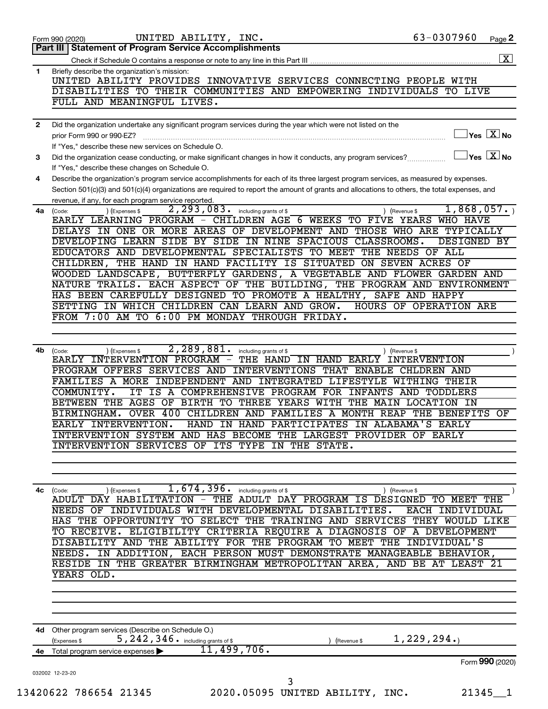| 1            | Briefly describe the organization's mission:<br>UNITED ABILITY PROVIDES INNOVATIVE SERVICES CONNECTING PEOPLE WITH                                    |
|--------------|-------------------------------------------------------------------------------------------------------------------------------------------------------|
|              | DISABILITIES TO THEIR COMMUNITIES AND EMPOWERING INDIVIDUALS TO LIVE<br>FULL AND MEANINGFUL LIVES.                                                    |
|              |                                                                                                                                                       |
| $\mathbf{2}$ | Did the organization undertake any significant program services during the year which were not listed on the                                          |
|              | $\overline{\ }$ Yes $\overline{\ \ \ }$ No<br>prior Form 990 or 990-EZ?                                                                               |
|              | If "Yes," describe these new services on Schedule O.                                                                                                  |
| 3            | $\sqrt{\ }$ Yes $\boxed{\text{X}}$ No<br>Did the organization cease conducting, or make significant changes in how it conducts, any program services? |
|              | If "Yes," describe these changes on Schedule O.                                                                                                       |
| 4            | Describe the organization's program service accomplishments for each of its three largest program services, as measured by expenses.                  |
|              | Section 501(c)(3) and 501(c)(4) organizations are required to report the amount of grants and allocations to others, the total expenses, and          |
|              | revenue, if any, for each program service reported.                                                                                                   |
|              | 2, 293, 083.<br>1,868,057.<br>including grants of \$<br>$4a$ (Code:<br>) (Expenses \$<br>) (Revenue \$                                                |
|              | EARLY LEARNING PROGRAM - CHILDREN AGE 6 WEEKS TO FIVE YEARS<br>WHO HAVE                                                                               |
|              | DELAYS IN ONE OR MORE AREAS OF DEVELOPMENT AND THOSE WHO ARE TYPICALLY                                                                                |
|              | DEVELOPING LEARN SIDE BY SIDE IN NINE SPACIOUS CLASSROOMS.<br>DESIGNED BY                                                                             |
|              | EDUCATORS AND DEVELOPMENTAL SPECIALISTS TO MEET THE NEEDS OF ALL                                                                                      |
|              | THE HAND IN HAND FACILITY IS SITUATED ON SEVEN ACRES OF<br>CHILDREN,                                                                                  |
|              | WOODED LANDSCAPE, BUTTERFLY GARDENS, A VEGETABLE AND FLOWER GARDEN AND                                                                                |
|              | NATURE TRAILS. EACH ASPECT OF THE BUILDING, THE PROGRAM AND ENVIRONMENT                                                                               |
|              | HAS BEEN CAREFULLY DESIGNED TO PROMOTE A HEALTHY, SAFE AND HAPPY                                                                                      |
|              | SETTING IN WHICH CHILDREN CAN LEARN AND GROW.<br>HOURS OF OPERATION ARE                                                                               |
|              | FROM 7:00 AM TO 6:00 PM MONDAY THROUGH FRIDAY.                                                                                                        |
|              |                                                                                                                                                       |
|              |                                                                                                                                                       |
| 4b           | 2,289,881.<br>(Expenses \$<br>including grants of \$<br>(Code:<br>) (Revenue \$<br>EARLY INTERVENTION PROGRAM - THE HAND IN HAND EARLY INTERVENTION   |
|              | PROGRAM OFFERS SERVICES AND<br>INTERVENTIONS THAT ENABLE CHLDREN AND                                                                                  |
|              | FAMILIES A MORE INDEPENDENT AND INTEGRATED LIFESTYLE WITHING THEIR                                                                                    |
|              | COMMUNITY.<br>IT IS A COMPREHENSIVE PROGRAM FOR INFANTS AND TODDLERS                                                                                  |
|              | BETWEEN THE AGES OF BIRTH TO THREE YEARS WITH THE MAIN LOCATION IN                                                                                    |
|              | OVER 400 CHILDREN AND FAMILIES A MONTH REAP THE BENEFITS<br>BIRMINGHAM.<br>OF                                                                         |
|              | HAND IN HAND PARTICIPATES<br>EARLY INTERVENTION.<br>IN ALABAMA'S EARLY                                                                                |
|              | INTERVENTION SYSTEM AND HAS BECOME THE LARGEST PROVIDER OF EARLY                                                                                      |
|              | INTERVENTION SERVICES OF ITS TYPE IN THE STATE.                                                                                                       |
|              |                                                                                                                                                       |
|              |                                                                                                                                                       |
|              |                                                                                                                                                       |
| 4c           | 1, 674, 396.<br>including grants of \$<br>(Expenses \$<br>) (Revenue \$<br>(Code:                                                                     |
|              | - THE ADULT DAY PROGRAM IS DESIGNED<br>ADULT DAY HABILITATION<br>TO MEET THE                                                                          |
|              | NEEDS OF<br>INDIVIDUALS<br>WITH DEVELOPMENTAL DISABILITIES.<br>EACH INDIVIDUAL                                                                        |
|              | SERVICES THEY WOULD LIKE<br><b>SELECT</b><br><b>TRAINING AND</b><br>HAS THE OPPORTUNITY<br>TО<br>THE                                                  |
|              | ELIGIBILITY CRITERIA REQUIRE A DIAGNOSIS OF<br>A DEVELOPMENT<br>TO RECEIVE.                                                                           |
|              | DISABILITY AND THE ABILITY FOR THE PROGRAM TO MEET THE<br>INDIVIDUAL'S                                                                                |
|              | IN ADDITION, EACH PERSON MUST DEMONSTRATE MANAGEABLE BEHAVIOR,<br>NEEDS.                                                                              |
|              | RESIDE IN THE GREATER BIRMINGHAM METROPOLITAN AREA, AND BE AT LEAST 21                                                                                |
|              | YEARS OLD.                                                                                                                                            |
|              |                                                                                                                                                       |
|              |                                                                                                                                                       |
|              |                                                                                                                                                       |
|              |                                                                                                                                                       |
|              | 4d Other program services (Describe on Schedule O.)<br>1,229,294.<br>5, 242, 346. including grants of \$                                              |
|              | (Expenses \$<br>(Revenue \$<br>11,499,706.                                                                                                            |
| 4е           | Total program service expenses<br>Form 990 (2020)                                                                                                     |
|              | 032002 12-23-20                                                                                                                                       |
|              | 3                                                                                                                                                     |
|              | 13420622 786654 21345<br>2020.05095 UNITED ABILITY, INC.<br>$21345 - 1$                                                                               |
|              |                                                                                                                                                       |

Form 990 (2020) Page UNITED ABILITY, INC. 63-0307960

**2**

 $\boxed{\text{X}}$ 

Check if Schedule O contains a response or note to any line in this Part III.

**Part III Statement of Program Service Accomplishments**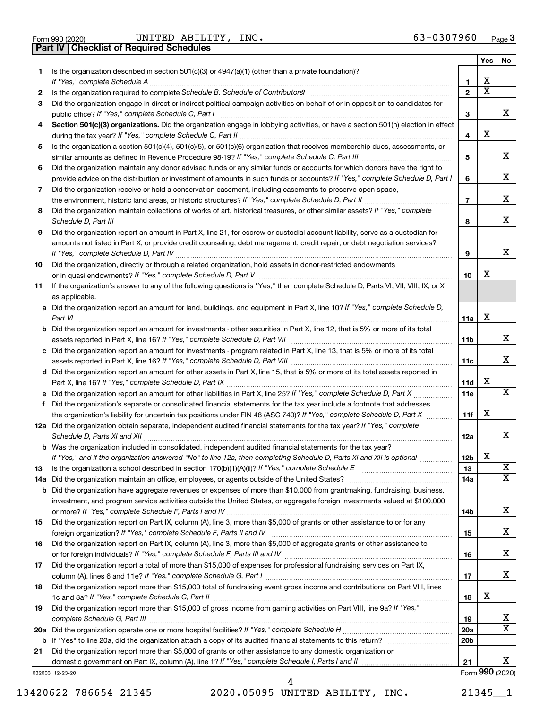|  | Form 990 (2020) |
|--|-----------------|

Form 990 (2020) Page UNITED ABILITY, INC. 63-0307960 **Part IV Checklist of Required Schedules**

|    |                                                                                                                                                                                                                                                   |                 | Yes                        | No                           |
|----|---------------------------------------------------------------------------------------------------------------------------------------------------------------------------------------------------------------------------------------------------|-----------------|----------------------------|------------------------------|
| 1  | Is the organization described in section $501(c)(3)$ or $4947(a)(1)$ (other than a private foundation)?                                                                                                                                           |                 |                            |                              |
|    |                                                                                                                                                                                                                                                   | 1               | х<br>$\overline{\text{x}}$ |                              |
| 2  |                                                                                                                                                                                                                                                   | $\mathbf{2}$    |                            |                              |
| 3  | Did the organization engage in direct or indirect political campaign activities on behalf of or in opposition to candidates for                                                                                                                   | 3               |                            | x                            |
| 4  | Section 501(c)(3) organizations. Did the organization engage in lobbying activities, or have a section 501(h) election in effect                                                                                                                  |                 |                            |                              |
|    |                                                                                                                                                                                                                                                   | 4               | X                          |                              |
| 5  | Is the organization a section 501(c)(4), 501(c)(5), or 501(c)(6) organization that receives membership dues, assessments, or                                                                                                                      |                 |                            |                              |
|    |                                                                                                                                                                                                                                                   | 5               |                            | x                            |
| 6  | Did the organization maintain any donor advised funds or any similar funds or accounts for which donors have the right to                                                                                                                         |                 |                            |                              |
|    | provide advice on the distribution or investment of amounts in such funds or accounts? If "Yes," complete Schedule D, Part I                                                                                                                      | 6               |                            | x                            |
| 7  | Did the organization receive or hold a conservation easement, including easements to preserve open space,                                                                                                                                         |                 |                            |                              |
|    |                                                                                                                                                                                                                                                   | $\overline{7}$  |                            | x                            |
| 8  | Did the organization maintain collections of works of art, historical treasures, or other similar assets? If "Yes," complete                                                                                                                      |                 |                            |                              |
|    |                                                                                                                                                                                                                                                   | 8               |                            | X                            |
| 9  | Did the organization report an amount in Part X, line 21, for escrow or custodial account liability, serve as a custodian for                                                                                                                     |                 |                            |                              |
|    | amounts not listed in Part X; or provide credit counseling, debt management, credit repair, or debt negotiation services?                                                                                                                         |                 |                            |                              |
|    |                                                                                                                                                                                                                                                   | 9               |                            | x                            |
| 10 | Did the organization, directly or through a related organization, hold assets in donor-restricted endowments                                                                                                                                      |                 | х                          |                              |
| 11 | If the organization's answer to any of the following questions is "Yes," then complete Schedule D, Parts VI, VII, VIII, IX, or X                                                                                                                  | 10              |                            |                              |
|    | as applicable.                                                                                                                                                                                                                                    |                 |                            |                              |
|    | a Did the organization report an amount for land, buildings, and equipment in Part X, line 10? If "Yes," complete Schedule D,                                                                                                                     |                 |                            |                              |
|    |                                                                                                                                                                                                                                                   | 11a             | X                          |                              |
|    | <b>b</b> Did the organization report an amount for investments - other securities in Part X, line 12, that is 5% or more of its total                                                                                                             |                 |                            |                              |
|    |                                                                                                                                                                                                                                                   | 11 <sub>b</sub> |                            | x                            |
|    | c Did the organization report an amount for investments - program related in Part X, line 13, that is 5% or more of its total                                                                                                                     |                 |                            |                              |
|    |                                                                                                                                                                                                                                                   | 11c             |                            | x                            |
|    | d Did the organization report an amount for other assets in Part X, line 15, that is 5% or more of its total assets reported in                                                                                                                   |                 |                            |                              |
|    |                                                                                                                                                                                                                                                   | 11d             | х                          | X                            |
|    |                                                                                                                                                                                                                                                   | 11e             |                            |                              |
| f. | Did the organization's separate or consolidated financial statements for the tax year include a footnote that addresses<br>the organization's liability for uncertain tax positions under FIN 48 (ASC 740)? If "Yes," complete Schedule D, Part X | 11f             | X                          |                              |
|    | 12a Did the organization obtain separate, independent audited financial statements for the tax year? If "Yes," complete                                                                                                                           |                 |                            |                              |
|    |                                                                                                                                                                                                                                                   | 12a             |                            | х                            |
|    | <b>b</b> Was the organization included in consolidated, independent audited financial statements for the tax year?                                                                                                                                |                 |                            |                              |
|    | If "Yes," and if the organization answered "No" to line 12a, then completing Schedule D, Parts XI and XII is optional                                                                                                                             | 12 <sub>b</sub> | х                          |                              |
| 13 |                                                                                                                                                                                                                                                   | 13              |                            | $\overline{\text{X}}$        |
|    |                                                                                                                                                                                                                                                   | 14a             |                            | $\overline{\mathbf{X}}$      |
|    | <b>b</b> Did the organization have aggregate revenues or expenses of more than \$10,000 from grantmaking, fundraising, business,                                                                                                                  |                 |                            |                              |
|    | investment, and program service activities outside the United States, or aggregate foreign investments valued at \$100,000                                                                                                                        |                 |                            |                              |
|    |                                                                                                                                                                                                                                                   | 14b             |                            | x                            |
| 15 | Did the organization report on Part IX, column (A), line 3, more than \$5,000 of grants or other assistance to or for any                                                                                                                         | 15              |                            | X                            |
| 16 | Did the organization report on Part IX, column (A), line 3, more than \$5,000 of aggregate grants or other assistance to                                                                                                                          |                 |                            |                              |
|    |                                                                                                                                                                                                                                                   | 16              |                            | x                            |
| 17 | Did the organization report a total of more than \$15,000 of expenses for professional fundraising services on Part IX,                                                                                                                           |                 |                            |                              |
|    |                                                                                                                                                                                                                                                   | 17              |                            | x                            |
| 18 | Did the organization report more than \$15,000 total of fundraising event gross income and contributions on Part VIII, lines                                                                                                                      |                 |                            |                              |
|    |                                                                                                                                                                                                                                                   | 18              | х                          |                              |
| 19 | Did the organization report more than \$15,000 of gross income from gaming activities on Part VIII, line 9a? If "Yes,"                                                                                                                            |                 |                            |                              |
|    |                                                                                                                                                                                                                                                   | 19              |                            | x<br>$\overline{\mathbf{X}}$ |
|    |                                                                                                                                                                                                                                                   | 20a             |                            |                              |
| 21 | Did the organization report more than \$5,000 of grants or other assistance to any domestic organization or                                                                                                                                       | 20 <sub>b</sub> |                            |                              |
|    | domestic government on Part IX, column (A), line 1? If "Yes," complete Schedule I, Parts I and II                                                                                                                                                 | 21              |                            | x                            |
|    | 032003 12-23-20                                                                                                                                                                                                                                   |                 |                            | Form 990 (2020)              |

13420622 786654 21345 2020.05095 UNITED ABILITY, INC. 21345\_\_1

4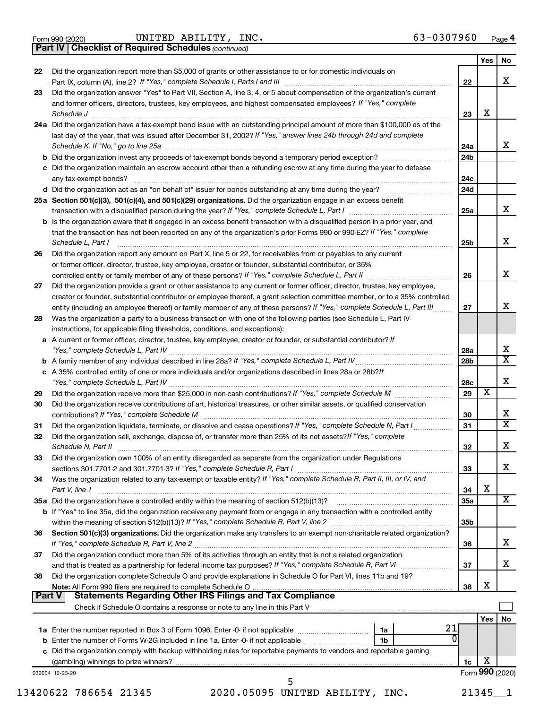|  | Form 990 (2020) |
|--|-----------------|
|  |                 |

Form 990 (2020) Page UNITED ABILITY, INC. 63-0307960

*(continued)* **Part IV Checklist of Required Schedules**

|               |                                                                                                                                                                                                                                                |                 | Yes                     | No                           |
|---------------|------------------------------------------------------------------------------------------------------------------------------------------------------------------------------------------------------------------------------------------------|-----------------|-------------------------|------------------------------|
| 22            | Did the organization report more than \$5,000 of grants or other assistance to or for domestic individuals on                                                                                                                                  |                 |                         |                              |
|               |                                                                                                                                                                                                                                                | 22              |                         | x                            |
| 23            | Did the organization answer "Yes" to Part VII, Section A, line 3, 4, or 5 about compensation of the organization's current                                                                                                                     |                 |                         |                              |
|               | and former officers, directors, trustees, key employees, and highest compensated employees? If "Yes," complete                                                                                                                                 |                 |                         |                              |
|               | Schedule J <b>Execute Schedule J Execute Schedule J</b>                                                                                                                                                                                        | 23              | x                       |                              |
|               | 24a Did the organization have a tax-exempt bond issue with an outstanding principal amount of more than \$100,000 as of the                                                                                                                    |                 |                         |                              |
|               | last day of the year, that was issued after December 31, 2002? If "Yes," answer lines 24b through 24d and complete                                                                                                                             |                 |                         | X.                           |
|               | b Did the organization invest any proceeds of tax-exempt bonds beyond a temporary period exception?                                                                                                                                            | 24a<br>24b      |                         |                              |
|               | c Did the organization maintain an escrow account other than a refunding escrow at any time during the year to defease                                                                                                                         |                 |                         |                              |
|               |                                                                                                                                                                                                                                                | 24c             |                         |                              |
|               |                                                                                                                                                                                                                                                | 24d             |                         |                              |
|               | 25a Section 501(c)(3), 501(c)(4), and 501(c)(29) organizations. Did the organization engage in an excess benefit                                                                                                                               |                 |                         |                              |
|               |                                                                                                                                                                                                                                                | 25a             |                         | x                            |
|               | <b>b</b> Is the organization aware that it engaged in an excess benefit transaction with a disqualified person in a prior year, and                                                                                                            |                 |                         |                              |
|               | that the transaction has not been reported on any of the organization's prior Forms 990 or 990-EZ? If "Yes," complete                                                                                                                          |                 |                         |                              |
|               | Schedule L, Part I                                                                                                                                                                                                                             | 25 <sub>b</sub> |                         | X.                           |
| 26            | Did the organization report any amount on Part X, line 5 or 22, for receivables from or payables to any current                                                                                                                                |                 |                         |                              |
|               | or former officer, director, trustee, key employee, creator or founder, substantial contributor, or 35%                                                                                                                                        |                 |                         |                              |
|               |                                                                                                                                                                                                                                                | 26              |                         | x                            |
| 27            | Did the organization provide a grant or other assistance to any current or former officer, director, trustee, key employee,                                                                                                                    |                 |                         |                              |
|               | creator or founder, substantial contributor or employee thereof, a grant selection committee member, or to a 35% controlled                                                                                                                    | 27              |                         | x.                           |
| 28            | entity (including an employee thereof) or family member of any of these persons? If "Yes," complete Schedule L, Part III.<br>Was the organization a party to a business transaction with one of the following parties (see Schedule L, Part IV |                 |                         |                              |
|               | instructions, for applicable filing thresholds, conditions, and exceptions):                                                                                                                                                                   |                 |                         |                              |
|               | a A current or former officer, director, trustee, key employee, creator or founder, or substantial contributor? If                                                                                                                             |                 |                         |                              |
|               |                                                                                                                                                                                                                                                | 28a             |                         | x                            |
|               |                                                                                                                                                                                                                                                | 28b             |                         | $\overline{\mathtt{x}}$      |
|               | c A 35% controlled entity of one or more individuals and/or organizations described in lines 28a or 28b?If                                                                                                                                     |                 |                         |                              |
|               |                                                                                                                                                                                                                                                | 28c             |                         | x                            |
| 29            |                                                                                                                                                                                                                                                | 29              | $\overline{\mathbf{X}}$ |                              |
| 30            | Did the organization receive contributions of art, historical treasures, or other similar assets, or qualified conservation                                                                                                                    |                 |                         |                              |
|               |                                                                                                                                                                                                                                                | 30              |                         | x<br>$\overline{\mathtt{x}}$ |
| 31            | Did the organization liquidate, terminate, or dissolve and cease operations? If "Yes," complete Schedule N, Part I                                                                                                                             | 31              |                         |                              |
| 32            | Did the organization sell, exchange, dispose of, or transfer more than 25% of its net assets? If "Yes," complete                                                                                                                               | 32              |                         | x                            |
| 33            | Did the organization own 100% of an entity disregarded as separate from the organization under Regulations                                                                                                                                     |                 |                         |                              |
|               | sections 301.7701-2 and 301.7701-3? If "Yes," complete Schedule R, Part I                                                                                                                                                                      | 33              |                         | x                            |
| 34            | Was the organization related to any tax-exempt or taxable entity? If "Yes," complete Schedule R, Part II, III, or IV, and                                                                                                                      |                 |                         |                              |
|               | Part V, line 1                                                                                                                                                                                                                                 | 34              | х                       |                              |
|               | 35a Did the organization have a controlled entity within the meaning of section 512(b)(13)?                                                                                                                                                    | 35a             |                         | $\overline{\mathbf{X}}$      |
|               | b If "Yes" to line 35a, did the organization receive any payment from or engage in any transaction with a controlled entity                                                                                                                    |                 |                         |                              |
|               |                                                                                                                                                                                                                                                | 35b             |                         |                              |
| 36            | Section 501(c)(3) organizations. Did the organization make any transfers to an exempt non-charitable related organization?                                                                                                                     |                 |                         |                              |
|               | If "Yes," complete Schedule R, Part V, line 2                                                                                                                                                                                                  | 36              |                         | x                            |
| 37            | Did the organization conduct more than 5% of its activities through an entity that is not a related organization                                                                                                                               |                 |                         |                              |
|               |                                                                                                                                                                                                                                                | 37              |                         | x                            |
| 38            | Did the organization complete Schedule O and provide explanations in Schedule O for Part VI, lines 11b and 19?                                                                                                                                 | 38              | х                       |                              |
| <b>Part V</b> |                                                                                                                                                                                                                                                |                 |                         |                              |
|               |                                                                                                                                                                                                                                                |                 |                         |                              |
|               |                                                                                                                                                                                                                                                |                 | Yes                     | No.                          |
|               | 21<br>1a                                                                                                                                                                                                                                       |                 |                         |                              |
|               | 0<br>1b                                                                                                                                                                                                                                        |                 |                         |                              |
|               | c Did the organization comply with backup withholding rules for reportable payments to vendors and reportable gaming                                                                                                                           |                 |                         |                              |
|               |                                                                                                                                                                                                                                                | 1c              | x                       |                              |
|               | 032004 12-23-20<br>5                                                                                                                                                                                                                           |                 |                         | Form 990 (2020)              |
|               |                                                                                                                                                                                                                                                |                 |                         |                              |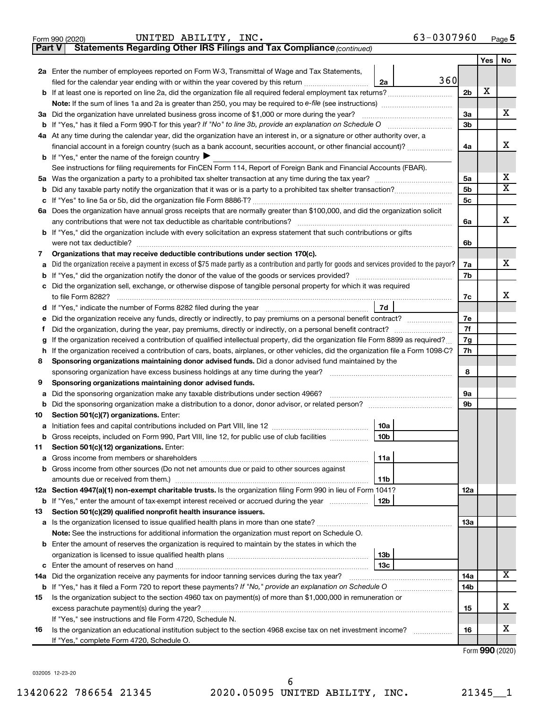|               | 63-0307960<br>UNITED ABILITY, INC.<br>Form 990 (2020)                                                                                                                                                                                |                      |     | Page 5                  |
|---------------|--------------------------------------------------------------------------------------------------------------------------------------------------------------------------------------------------------------------------------------|----------------------|-----|-------------------------|
| <b>Part V</b> | Statements Regarding Other IRS Filings and Tax Compliance (continued)                                                                                                                                                                |                      |     |                         |
|               |                                                                                                                                                                                                                                      |                      | Yes | No                      |
|               | 2a Enter the number of employees reported on Form W-3, Transmittal of Wage and Tax Statements,                                                                                                                                       |                      |     |                         |
|               | 360<br>filed for the calendar year ending with or within the year covered by this return<br>2a                                                                                                                                       |                      |     |                         |
|               | <b>b</b> If at least one is reported on line 2a, did the organization file all required federal employment tax returns?                                                                                                              | 2 <sub>b</sub>       | X   |                         |
|               | <b>Note:</b> If the sum of lines 1a and 2a is greater than 250, you may be required to e-file (see instructions)                                                                                                                     |                      |     |                         |
|               | 3a Did the organization have unrelated business gross income of \$1,000 or more during the year?                                                                                                                                     | 3a                   |     | X                       |
|               | <b>b</b> If "Yes," has it filed a Form 990-T for this year? If "No" to line 3b, provide an explanation on Schedule O                                                                                                                 | 3 <sub>b</sub>       |     |                         |
|               | 4a At any time during the calendar year, did the organization have an interest in, or a signature or other authority over, a                                                                                                         |                      |     |                         |
|               | financial account in a foreign country (such as a bank account, securities account, or other financial account)?                                                                                                                     | 4a                   |     | х                       |
|               | <b>b</b> If "Yes," enter the name of the foreign country $\blacktriangleright$                                                                                                                                                       |                      |     |                         |
|               | See instructions for filing requirements for FinCEN Form 114, Report of Foreign Bank and Financial Accounts (FBAR).                                                                                                                  |                      |     |                         |
|               |                                                                                                                                                                                                                                      | 5a                   |     | х                       |
|               |                                                                                                                                                                                                                                      | 5 <sub>b</sub>       |     | $\overline{\mathtt{x}}$ |
|               |                                                                                                                                                                                                                                      | 5 <sub>c</sub>       |     |                         |
|               | 6a Does the organization have annual gross receipts that are normally greater than \$100,000, and did the organization solicit                                                                                                       |                      |     |                         |
|               | any contributions that were not tax deductible as charitable contributions?                                                                                                                                                          | 6а                   |     | x                       |
|               | b If "Yes," did the organization include with every solicitation an express statement that such contributions or gifts                                                                                                               |                      |     |                         |
|               | were not tax deductible?                                                                                                                                                                                                             | 6b                   |     |                         |
| 7             | Organizations that may receive deductible contributions under section 170(c).                                                                                                                                                        |                      |     |                         |
| а             | Did the organization receive a payment in excess of \$75 made partly as a contribution and partly for goods and services provided to the payor?                                                                                      | 7а                   |     | x                       |
|               | <b>b</b> If "Yes," did the organization notify the donor of the value of the goods or services provided?                                                                                                                             | 7b                   |     |                         |
|               | c Did the organization sell, exchange, or otherwise dispose of tangible personal property for which it was required                                                                                                                  |                      |     |                         |
|               | to file Form 8282?                                                                                                                                                                                                                   | 7c                   |     | х                       |
|               | 7d<br>d If "Yes," indicate the number of Forms 8282 filed during the year manufacture intervent in the set of Forms in the Vear manufacture of the Vear manufacture of the Vear manufacture of the Vear manufacture of the Vear manu |                      |     |                         |
| е             |                                                                                                                                                                                                                                      | 7е                   |     |                         |
| Ť.            | Did the organization, during the year, pay premiums, directly or indirectly, on a personal benefit contract?                                                                                                                         | 7f                   |     |                         |
| g             | If the organization received a contribution of qualified intellectual property, did the organization file Form 8899 as required?                                                                                                     | 7g                   |     |                         |
|               | If the organization received a contribution of cars, boats, airplanes, or other vehicles, did the organization file a Form 1098-C?                                                                                                   | 7h                   |     |                         |
| 8             | Sponsoring organizations maintaining donor advised funds. Did a donor advised fund maintained by the                                                                                                                                 |                      |     |                         |
|               | sponsoring organization have excess business holdings at any time during the year?                                                                                                                                                   | 8                    |     |                         |
| 9             | Sponsoring organizations maintaining donor advised funds.                                                                                                                                                                            |                      |     |                         |
| а             | Did the sponsoring organization make any taxable distributions under section 4966?                                                                                                                                                   | 9а<br>9 <sub>b</sub> |     |                         |
| b             |                                                                                                                                                                                                                                      |                      |     |                         |
| 10            | Section 501(c)(7) organizations. Enter:                                                                                                                                                                                              |                      |     |                         |
|               | 10a<br><b>a</b> Initiation fees and capital contributions included on Part VIII, line 12<br>b Gross receipts, included on Form 990, Part VIII, line 12, for public use of club facilities                                            |                      |     |                         |
|               | 10b                                                                                                                                                                                                                                  |                      |     |                         |
| 11            | Section 501(c)(12) organizations. Enter:<br>11a                                                                                                                                                                                      |                      |     |                         |
| а             | b Gross income from other sources (Do not net amounts due or paid to other sources against                                                                                                                                           |                      |     |                         |
|               | 11b                                                                                                                                                                                                                                  |                      |     |                         |
|               | 12a Section 4947(a)(1) non-exempt charitable trusts. Is the organization filing Form 990 in lieu of Form 1041?                                                                                                                       | 12a                  |     |                         |
|               | <b>b</b> If "Yes," enter the amount of tax-exempt interest received or accrued during the year<br>12b                                                                                                                                |                      |     |                         |
| 13            | Section 501(c)(29) qualified nonprofit health insurance issuers.                                                                                                                                                                     |                      |     |                         |
|               |                                                                                                                                                                                                                                      | 1За                  |     |                         |
|               | Note: See the instructions for additional information the organization must report on Schedule O.                                                                                                                                    |                      |     |                         |
|               | <b>b</b> Enter the amount of reserves the organization is required to maintain by the states in which the                                                                                                                            |                      |     |                         |
|               | 13 <sub>b</sub>                                                                                                                                                                                                                      |                      |     |                         |
|               | 13 <sub>c</sub>                                                                                                                                                                                                                      |                      |     |                         |
|               |                                                                                                                                                                                                                                      | 14a                  |     | X                       |
|               | b If "Yes," has it filed a Form 720 to report these payments? If "No," provide an explanation on Schedule O                                                                                                                          | 14 <sub>b</sub>      |     |                         |
| 15            | Is the organization subject to the section 4960 tax on payment(s) of more than \$1,000,000 in remuneration or                                                                                                                        |                      |     |                         |
|               |                                                                                                                                                                                                                                      | 15                   |     | х                       |
|               | If "Yes," see instructions and file Form 4720, Schedule N.                                                                                                                                                                           |                      |     |                         |
| 16            | Is the organization an educational institution subject to the section 4968 excise tax on net investment income?                                                                                                                      | 16                   |     | х                       |
|               | If "Yes," complete Form 4720, Schedule O.                                                                                                                                                                                            |                      |     |                         |

Form (2020) **990**

032005 12-23-20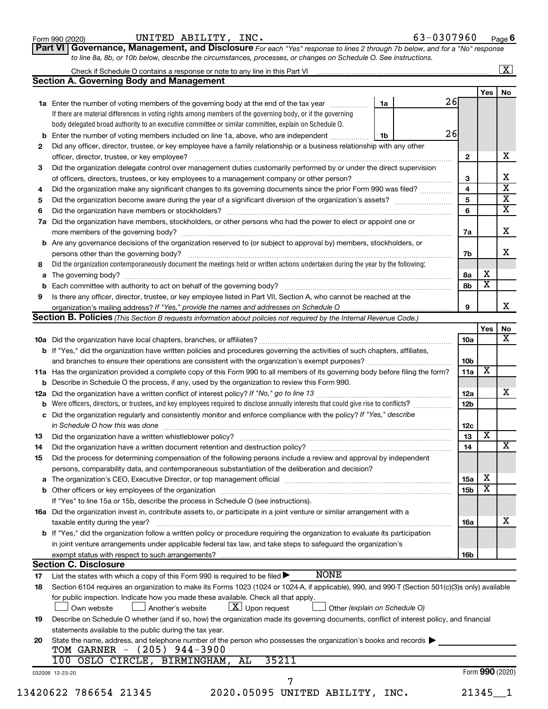| Form 990 (2020) |  | UNITED ABILITY, | INC. | 63-0307960 | Page |  |
|-----------------|--|-----------------|------|------------|------|--|
|-----------------|--|-----------------|------|------------|------|--|

**Part VI** Governance, Management, and Disclosure For each "Yes" response to lines 2 through 7b below, and for a "No" response *to line 8a, 8b, or 10b below, describe the circumstances, processes, or changes on Schedule O. See instructions.*

|     | Check if Schedule O contains a response or note to any line in this Part VI [11] [12] Check if Schedule O contains a response or note to any line in this Part VI |                               |                 |                         | $\overline{\mathbf{X}}$                            |  |
|-----|-------------------------------------------------------------------------------------------------------------------------------------------------------------------|-------------------------------|-----------------|-------------------------|----------------------------------------------------|--|
|     | <b>Section A. Governing Body and Management</b>                                                                                                                   |                               |                 |                         |                                                    |  |
|     |                                                                                                                                                                   |                               |                 | Yes                     | No                                                 |  |
|     | 1a Enter the number of voting members of the governing body at the end of the tax year                                                                            | 1a                            | 26              |                         |                                                    |  |
|     | If there are material differences in voting rights among members of the governing body, or if the governing                                                       |                               |                 |                         |                                                    |  |
|     | body delegated broad authority to an executive committee or similar committee, explain on Schedule O.                                                             |                               |                 |                         |                                                    |  |
| b   | Enter the number of voting members included on line 1a, above, who are independent                                                                                | 1b                            | 26              |                         |                                                    |  |
| 2   | Did any officer, director, trustee, or key employee have a family relationship or a business relationship with any other                                          |                               |                 |                         |                                                    |  |
|     | officer, director, trustee, or key employee?                                                                                                                      |                               | $\mathbf{2}$    |                         | x                                                  |  |
| 3   | Did the organization delegate control over management duties customarily performed by or under the direct supervision                                             |                               |                 |                         |                                                    |  |
|     |                                                                                                                                                                   |                               | 3               |                         | х                                                  |  |
| 4   | Did the organization make any significant changes to its governing documents since the prior Form 990 was filed?                                                  |                               | $\overline{4}$  |                         | $\overline{\textbf{x}}$                            |  |
| 5   |                                                                                                                                                                   |                               | 5               |                         | $\overline{\textbf{x}}$<br>$\overline{\textbf{x}}$ |  |
| 6   | 6                                                                                                                                                                 |                               |                 |                         |                                                    |  |
| 7a  | Did the organization have members, stockholders, or other persons who had the power to elect or appoint one or                                                    |                               |                 |                         |                                                    |  |
|     |                                                                                                                                                                   |                               | 7a              |                         | x                                                  |  |
|     | <b>b</b> Are any governance decisions of the organization reserved to (or subject to approval by) members, stockholders, or                                       |                               |                 |                         |                                                    |  |
|     | persons other than the governing body?                                                                                                                            |                               | 7b              |                         | x                                                  |  |
| 8   | Did the organization contemporaneously document the meetings held or written actions undertaken during the year by the following:                                 |                               |                 |                         |                                                    |  |
|     |                                                                                                                                                                   |                               | 8а              | х                       |                                                    |  |
|     |                                                                                                                                                                   |                               | 8b              | $\overline{\mathbf{x}}$ |                                                    |  |
| 9   | Is there any officer, director, trustee, or key employee listed in Part VII, Section A, who cannot be reached at the                                              |                               |                 |                         |                                                    |  |
|     |                                                                                                                                                                   |                               | 9               |                         | x                                                  |  |
|     | Section B. Policies (This Section B requests information about policies not required by the Internal Revenue Code.)                                               |                               |                 |                         |                                                    |  |
|     |                                                                                                                                                                   |                               |                 | Yes                     | No                                                 |  |
|     |                                                                                                                                                                   |                               | 10a             |                         | $\overline{\mathbf{X}}$                            |  |
|     | b If "Yes," did the organization have written policies and procedures governing the activities of such chapters, affiliates,                                      |                               |                 |                         |                                                    |  |
|     | and branches to ensure their operations are consistent with the organization's exempt purposes? <i>managereconominion</i>                                         |                               | 10 <sub>b</sub> |                         |                                                    |  |
|     | 11a Has the organization provided a complete copy of this Form 990 to all members of its governing body before filing the form?                                   |                               | 11a             | $\overline{\mathbf{X}}$ |                                                    |  |
|     | <b>b</b> Describe in Schedule O the process, if any, used by the organization to review this Form 990.                                                            |                               |                 |                         |                                                    |  |
| 12a |                                                                                                                                                                   |                               | 12a             |                         | x                                                  |  |
| b   | Were officers, directors, or trustees, and key employees required to disclose annually interests that could give rise to conflicts?                               |                               | 12 <sub>b</sub> |                         |                                                    |  |
|     | c Did the organization regularly and consistently monitor and enforce compliance with the policy? If "Yes," describe                                              |                               |                 |                         |                                                    |  |
|     | in Schedule O how this was done manufactured and continuum and contact the way to the set of the set of the schedule O how this was done                          |                               | 12 <sub>c</sub> |                         |                                                    |  |
| 13  |                                                                                                                                                                   |                               | 13              | $\overline{\textbf{x}}$ |                                                    |  |
| 14  | Did the organization have a written document retention and destruction policy? [11] manufaction manufaction in                                                    |                               | 14              |                         | $\overline{\text{X}}$                              |  |
| 15  | Did the process for determining compensation of the following persons include a review and approval by independent                                                |                               |                 |                         |                                                    |  |
|     | persons, comparability data, and contemporaneous substantiation of the deliberation and decision?                                                                 |                               |                 |                         |                                                    |  |
|     |                                                                                                                                                                   |                               | 15a             | х                       |                                                    |  |
|     |                                                                                                                                                                   |                               | 15b             | $\overline{\textbf{x}}$ |                                                    |  |
|     | If "Yes" to line 15a or 15b, describe the process in Schedule O (see instructions).                                                                               |                               |                 |                         |                                                    |  |
|     | 16a Did the organization invest in, contribute assets to, or participate in a joint venture or similar arrangement with a                                         |                               |                 |                         |                                                    |  |
|     | taxable entity during the year?                                                                                                                                   |                               | 16a             |                         | х                                                  |  |
|     | <b>b</b> If "Yes," did the organization follow a written policy or procedure requiring the organization to evaluate its participation                             |                               |                 |                         |                                                    |  |
|     | in joint venture arrangements under applicable federal tax law, and take steps to safeguard the organization's                                                    |                               |                 |                         |                                                    |  |
|     | exempt status with respect to such arrangements?                                                                                                                  |                               | 16b             |                         |                                                    |  |
|     | <b>Section C. Disclosure</b>                                                                                                                                      |                               |                 |                         |                                                    |  |
| 17  | <b>NONE</b><br>List the states with which a copy of this Form 990 is required to be filed $\blacktriangleright$                                                   |                               |                 |                         |                                                    |  |
| 18  | Section 6104 requires an organization to make its Forms 1023 (1024 or 1024-A, if applicable), 990, and 990-T (Section 501(c)(3)s only) available                  |                               |                 |                         |                                                    |  |
|     | for public inspection. Indicate how you made these available. Check all that apply.                                                                               |                               |                 |                         |                                                    |  |
|     | $ \underline{X} $ Upon request                                                                                                                                    |                               |                 |                         |                                                    |  |
|     | Own website<br>Another's website                                                                                                                                  | Other (explain on Schedule O) |                 |                         |                                                    |  |
| 19  | Describe on Schedule O whether (and if so, how) the organization made its governing documents, conflict of interest policy, and financial                         |                               |                 |                         |                                                    |  |
|     | statements available to the public during the tax year.                                                                                                           |                               |                 |                         |                                                    |  |
| 20  | State the name, address, and telephone number of the person who possesses the organization's books and records                                                    |                               |                 |                         |                                                    |  |
|     | TOM GARNER - (205) 944-3900                                                                                                                                       |                               |                 |                         |                                                    |  |
|     | 35211<br>100 OSLO CIRCLE, BIRMINGHAM, AL                                                                                                                          |                               |                 |                         |                                                    |  |
|     | 032006 12-23-20                                                                                                                                                   |                               |                 | Form 990 (2020)         |                                                    |  |
|     | 7                                                                                                                                                                 |                               |                 |                         |                                                    |  |
|     | 13420622 786654 21345<br>2020.05095 UNITED ABILITY, INC.                                                                                                          |                               |                 | 21345                   | - 1                                                |  |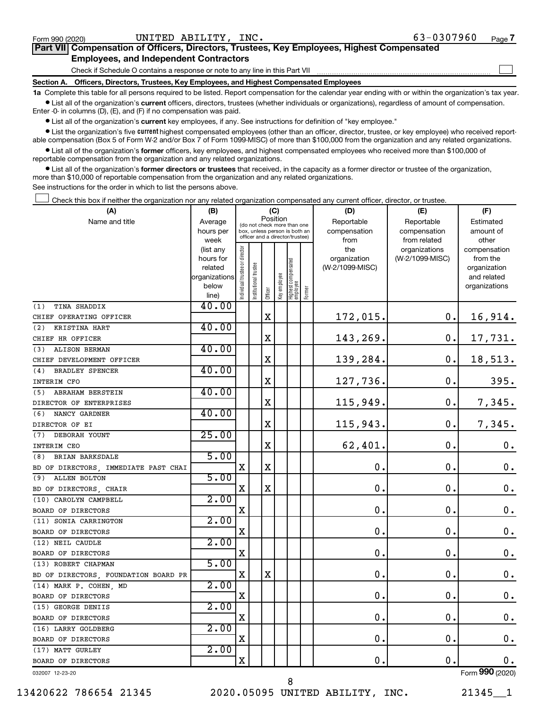$\Box$ 

| Part VII Compensation of Officers, Directors, Trustees, Key Employees, Highest Compensated |  |  |  |
|--------------------------------------------------------------------------------------------|--|--|--|
| <b>Employees, and Independent Contractors</b>                                              |  |  |  |

Check if Schedule O contains a response or note to any line in this Part VII

**Section A. Officers, Directors, Trustees, Key Employees, and Highest Compensated Employees**

**1a**  Complete this table for all persons required to be listed. Report compensation for the calendar year ending with or within the organization's tax year.  $\bullet$  List all of the organization's current officers, directors, trustees (whether individuals or organizations), regardless of amount of compensation.

Enter -0- in columns (D), (E), and (F) if no compensation was paid.

**•** List all of the organization's current key employees, if any. See instructions for definition of "key employee."

• List the organization's five *current* highest compensated employees (other than an officer, director, trustee, or key employee) who received reportable compensation (Box 5 of Form W-2 and/or Box 7 of Form 1099-MISC) of more than \$100,000 from the organization and any related organizations.

 $\bullet$  List all of the organization's former officers, key employees, and highest compensated employees who received more than \$100,000 of reportable compensation from the organization and any related organizations.

**•** List all of the organization's former directors or trustees that received, in the capacity as a former director or trustee of the organization, more than \$10,000 of reportable compensation from the organization and any related organizations.

See instructions for the order in which to list the persons above.

Check this box if neither the organization nor any related organization compensated any current officer, director, or trustee.  $\Box$ 

| (A)                                  | (B)                  |                               |                                                                  | (C)         |              |                                  |        | (D)                             | (E)             | (F)                         |
|--------------------------------------|----------------------|-------------------------------|------------------------------------------------------------------|-------------|--------------|----------------------------------|--------|---------------------------------|-----------------|-----------------------------|
| Name and title                       | Average              |                               | (do not check more than one                                      | Position    |              |                                  |        | Reportable                      | Reportable      | Estimated                   |
|                                      | hours per            |                               | box, unless person is both an<br>officer and a director/trustee) |             |              |                                  |        | compensation                    | compensation    | amount of                   |
|                                      | week                 |                               |                                                                  |             |              |                                  |        | from                            | from related    | other                       |
|                                      | (list any            |                               |                                                                  |             |              |                                  |        | the                             | organizations   | compensation                |
|                                      | hours for<br>related |                               |                                                                  |             |              |                                  |        | organization<br>(W-2/1099-MISC) | (W-2/1099-MISC) | from the                    |
|                                      | organizations        |                               |                                                                  |             |              |                                  |        |                                 |                 | organization<br>and related |
|                                      | below                |                               |                                                                  |             |              |                                  |        |                                 |                 | organizations               |
|                                      | line)                | ndividual trustee or director | nstitutional trustee                                             | Officer     | key employee | Highest compensated<br> employee | Former |                                 |                 |                             |
| TINA SHADDIX<br>(1)                  | 40.00                |                               |                                                                  |             |              |                                  |        |                                 |                 |                             |
| CHIEF OPERATING OFFICER              |                      |                               |                                                                  | $\mathbf X$ |              |                                  |        | 172,015.                        | 0.              | 16,914.                     |
| KRISTINA HART<br>(2)                 | 40.00                |                               |                                                                  |             |              |                                  |        |                                 |                 |                             |
| CHIEF HR OFFICER                     |                      |                               |                                                                  | $\mathbf X$ |              |                                  |        | 143,269.                        | 0.              | 17,731.                     |
| <b>ALISON BERMAN</b><br>(3)          | 40.00                |                               |                                                                  |             |              |                                  |        |                                 |                 |                             |
| CHIEF DEVELOPMENT OFFICER            |                      |                               |                                                                  | X           |              |                                  |        | 139,284.                        | 0.              | 18,513.                     |
| <b>BRADLEY SPENCER</b><br>(4)        | 40.00                |                               |                                                                  |             |              |                                  |        |                                 |                 |                             |
| INTERIM CFO                          |                      |                               |                                                                  | $\mathbf X$ |              |                                  |        | 127,736.                        | $\mathbf 0$ .   | 395.                        |
| <b>ABRAHAM BERSTEIN</b><br>(5)       | 40.00                |                               |                                                                  |             |              |                                  |        |                                 |                 |                             |
| DIRECTOR OF ENTERPRISES              |                      |                               |                                                                  | X           |              |                                  |        | 115,949.                        | $\mathbf 0$ .   | 7,345.                      |
| NANCY GARDNER<br>(6)                 | 40.00                |                               |                                                                  |             |              |                                  |        |                                 |                 |                             |
| DIRECTOR OF EI                       |                      |                               |                                                                  | $\mathbf X$ |              |                                  |        | 115,943.                        | $\mathbf 0$ .   | 7,345.                      |
| DEBORAH YOUNT<br>(7)                 | 25.00                |                               |                                                                  |             |              |                                  |        |                                 |                 |                             |
| INTERIM CEO                          |                      |                               |                                                                  | X           |              |                                  |        | 62,401.                         | $\mathbf 0$ .   | $\mathbf 0$ .               |
| (8) BRIAN BARKSDALE                  | 5.00                 |                               |                                                                  |             |              |                                  |        |                                 |                 |                             |
| BD OF DIRECTORS, IMMEDIATE PAST CHAI |                      | $\mathbf X$                   |                                                                  | $\mathbf X$ |              |                                  |        | $\mathbf 0$ .                   | $\mathbf 0$ .   | $\mathbf 0$ .               |
| <b>ALLEN BOLTON</b><br>(9)           | 5.00                 |                               |                                                                  |             |              |                                  |        |                                 |                 |                             |
| BD OF DIRECTORS, CHAIR               |                      | X                             |                                                                  | $\mathbf X$ |              |                                  |        | $\mathbf 0$ .                   | $\mathbf 0$ .   | 0.                          |
| (10) CAROLYN CAMPBELL                | 2.00                 |                               |                                                                  |             |              |                                  |        |                                 |                 |                             |
| BOARD OF DIRECTORS                   |                      | X                             |                                                                  |             |              |                                  |        | $\mathbf 0$ .                   | $\mathbf 0$ .   | 0.                          |
| (11) SONIA CARRINGTON                | 2.00                 |                               |                                                                  |             |              |                                  |        |                                 |                 |                             |
| BOARD OF DIRECTORS                   |                      | X                             |                                                                  |             |              |                                  |        | 0.                              | $\mathbf 0$ .   | $\mathbf 0$ .               |
| (12) NEIL CAUDLE                     | 2.00                 |                               |                                                                  |             |              |                                  |        |                                 |                 |                             |
| BOARD OF DIRECTORS                   |                      | $\mathbf X$                   |                                                                  |             |              |                                  |        | $\mathbf 0$ .                   | 0.              | $\mathbf 0$ .               |
| (13) ROBERT CHAPMAN                  | 5.00                 |                               |                                                                  |             |              |                                  |        |                                 |                 |                             |
| BD OF DIRECTORS, FOUNDATION BOARD PR |                      | X                             |                                                                  | $\mathbf X$ |              |                                  |        | 0.                              | $\mathbf 0$ .   | $\mathbf 0$ .               |
| (14) MARK P. COHEN, MD               | 2.00                 |                               |                                                                  |             |              |                                  |        |                                 |                 |                             |
| BOARD OF DIRECTORS                   |                      | X                             |                                                                  |             |              |                                  |        | 0.                              | $\mathbf 0$ .   | $\mathbf 0$ .               |
| (15) GEORGE DENIIS                   | 2.00                 |                               |                                                                  |             |              |                                  |        |                                 |                 |                             |
| BOARD OF DIRECTORS                   |                      | $\mathbf X$                   |                                                                  |             |              |                                  |        | $\mathbf 0$ .                   | $\mathbf 0$ .   | $\mathbf 0$ .               |
| (16) LARRY GOLDBERG                  | 2.00                 |                               |                                                                  |             |              |                                  |        |                                 |                 |                             |
| BOARD OF DIRECTORS                   |                      | $\mathbf X$                   |                                                                  |             |              |                                  |        | $\mathbf 0$ .                   | $\mathbf 0$ .   | $\mathbf 0$ .               |
| (17) MATT GURLEY                     | 2.00                 |                               |                                                                  |             |              |                                  |        |                                 |                 |                             |
| BOARD OF DIRECTORS                   |                      | $\mathbf X$                   |                                                                  |             |              |                                  |        | 0.                              | $\mathbf 0$ .   | 0.                          |
| 032007 12-23-20                      |                      |                               |                                                                  |             |              |                                  |        |                                 |                 | Form 990 (2020)             |

13420622 786654 21345 2020.05095 UNITED ABILITY, INC. 21345\_\_1

8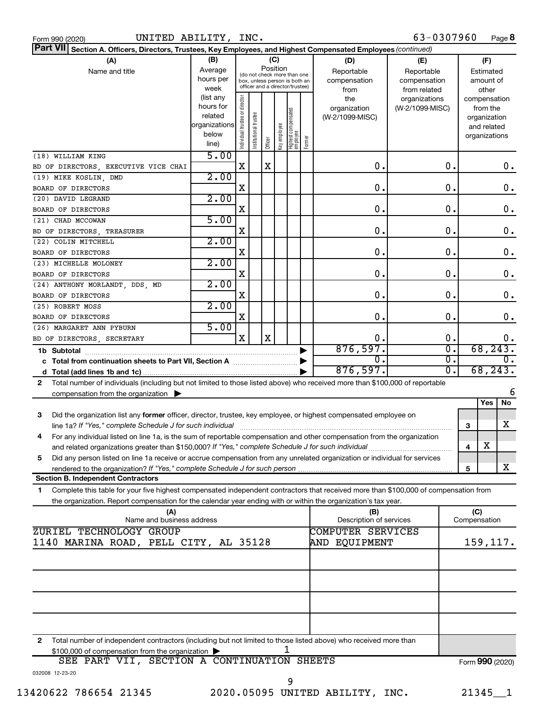| Form 990 (2020 |  |
|----------------|--|

| Part VII Section A. Officers, Directors, Trustees, Key Employees, and Highest Compensated Employees (continued)                            |                      |                                |                                         |             |              |                                   |        |                                |                  |    |                     |                 |
|--------------------------------------------------------------------------------------------------------------------------------------------|----------------------|--------------------------------|-----------------------------------------|-------------|--------------|-----------------------------------|--------|--------------------------------|------------------|----|---------------------|-----------------|
| (A)                                                                                                                                        | (B)                  |                                |                                         |             | (C)          |                                   |        | (D)                            | (E)              |    | (F)                 |                 |
| Name and title                                                                                                                             | Average              |                                | Position<br>(do not check more than one |             |              |                                   |        | Reportable                     | Reportable       |    | Estimated           |                 |
|                                                                                                                                            | hours per            | box, unless person is both an  |                                         |             |              |                                   |        | compensation                   | compensation     |    | amount of           |                 |
|                                                                                                                                            | week                 |                                |                                         |             |              | officer and a director/trustee)   |        | from                           | from related     |    | other               |                 |
|                                                                                                                                            | (list any            |                                |                                         |             |              |                                   |        | the                            | organizations    |    |                     | compensation    |
|                                                                                                                                            | hours for<br>related |                                |                                         |             |              |                                   |        | organization                   | (W-2/1099-MISC)  |    | from the            |                 |
|                                                                                                                                            | organizations        |                                |                                         |             |              |                                   |        | (W-2/1099-MISC)                |                  |    | organization        |                 |
|                                                                                                                                            | below                |                                |                                         |             |              |                                   |        |                                |                  |    | and related         | organizations   |
|                                                                                                                                            | line)                | Individual trustee or director | Institutional trustee                   | Officer     | Key employee | Highest compensated<br>  employee | Former |                                |                  |    |                     |                 |
| (18) WILLIAM KING                                                                                                                          | 5.00                 |                                |                                         |             |              |                                   |        |                                |                  |    |                     |                 |
| BD OF DIRECTORS, EXECUTIVE VICE CHAI                                                                                                       |                      | $\mathbf X$                    |                                         | $\mathbf X$ |              |                                   |        | 0.                             |                  | 0. |                     | 0.              |
| (19) MIKE KOSLIN, DMD                                                                                                                      | 2.00                 |                                |                                         |             |              |                                   |        |                                |                  |    |                     |                 |
| BOARD OF DIRECTORS                                                                                                                         |                      | X                              |                                         |             |              |                                   |        | 0.                             |                  | О. |                     | $\mathbf 0$ .   |
|                                                                                                                                            | 2.00                 |                                |                                         |             |              |                                   |        |                                |                  |    |                     |                 |
| (20) DAVID LEGRAND                                                                                                                         |                      | X                              |                                         |             |              |                                   |        | 0.                             |                  | О. |                     | $\mathbf 0$ .   |
| BOARD OF DIRECTORS                                                                                                                         | 5.00                 |                                |                                         |             |              |                                   |        |                                |                  |    |                     |                 |
| (21) CHAD MCCOWAN                                                                                                                          |                      |                                |                                         |             |              |                                   |        |                                |                  |    |                     |                 |
| BD OF DIRECTORS, TREASURER                                                                                                                 |                      | X                              |                                         |             |              |                                   |        | 0.                             |                  | О. |                     | $\mathbf 0$ .   |
| (22) COLIN MITCHELL                                                                                                                        | 2.00                 |                                |                                         |             |              |                                   |        |                                |                  |    |                     |                 |
| BOARD OF DIRECTORS                                                                                                                         |                      | X                              |                                         |             |              |                                   |        | 0.                             |                  | О. |                     | $\mathbf 0$ .   |
| (23) MICHELLE MOLONEY                                                                                                                      | 2.00                 |                                |                                         |             |              |                                   |        |                                |                  |    |                     |                 |
| BOARD OF DIRECTORS                                                                                                                         |                      | X                              |                                         |             |              |                                   |        | 0.                             |                  | О. |                     | $\mathbf 0$ .   |
| (24) ANTHONY MORLANDT, DDS, MD                                                                                                             | 2.00                 |                                |                                         |             |              |                                   |        |                                |                  |    |                     |                 |
| BOARD OF DIRECTORS                                                                                                                         |                      | X                              |                                         |             |              |                                   |        | 0.                             |                  | О. |                     | $\mathbf 0$ .   |
| (25) ROBERT MOSS                                                                                                                           | 2.00                 |                                |                                         |             |              |                                   |        |                                |                  |    |                     |                 |
| BOARD OF DIRECTORS                                                                                                                         |                      | X                              |                                         |             |              |                                   |        | 0.                             |                  | О. |                     | 0.              |
| (26) MARGARET ANN PYBURN                                                                                                                   | 5.00                 |                                |                                         |             |              |                                   |        |                                |                  |    |                     |                 |
| BD OF DIRECTORS, SECRETARY                                                                                                                 |                      | $\mathbf X$                    |                                         | $\mathbf X$ |              |                                   |        | 0.                             |                  | 0. |                     | 0.              |
|                                                                                                                                            |                      |                                |                                         |             |              |                                   |        | 876,597.                       |                  | σ. |                     | 68, 243.        |
| σ.<br>0.                                                                                                                                   |                      |                                |                                         |             |              |                                   |        |                                | $\overline{0}$ . |    |                     |                 |
|                                                                                                                                            |                      |                                |                                         |             |              |                                   |        | 876,597.                       |                  | σ. |                     | 68, 243.        |
| Total number of individuals (including but not limited to those listed above) who received more than \$100,000 of reportable<br>2          |                      |                                |                                         |             |              |                                   |        |                                |                  |    |                     |                 |
| compensation from the organization                                                                                                         |                      |                                |                                         |             |              |                                   |        |                                |                  |    |                     | 6               |
|                                                                                                                                            |                      |                                |                                         |             |              |                                   |        |                                |                  |    | Yes                 | No              |
| Did the organization list any former officer, director, trustee, key employee, or highest compensated employee on<br>3                     |                      |                                |                                         |             |              |                                   |        |                                |                  |    |                     |                 |
| line 1a? If "Yes," complete Schedule J for such individual                                                                                 |                      |                                |                                         |             |              |                                   |        |                                |                  |    | 3                   | x               |
| For any individual listed on line 1a, is the sum of reportable compensation and other compensation from the organization<br>4              |                      |                                |                                         |             |              |                                   |        |                                |                  |    |                     |                 |
| and related organizations greater than \$150,000? If "Yes," complete Schedule J for such individual                                        |                      |                                |                                         |             |              |                                   |        |                                |                  |    | X<br>4              |                 |
| Did any person listed on line 1a receive or accrue compensation from any unrelated organization or individual for services<br>5            |                      |                                |                                         |             |              |                                   |        |                                |                  |    |                     |                 |
|                                                                                                                                            |                      |                                |                                         |             |              |                                   |        |                                |                  |    | 5                   | X               |
| <b>Section B. Independent Contractors</b>                                                                                                  |                      |                                |                                         |             |              |                                   |        |                                |                  |    |                     |                 |
| Complete this table for your five highest compensated independent contractors that received more than \$100,000 of compensation from<br>1. |                      |                                |                                         |             |              |                                   |        |                                |                  |    |                     |                 |
|                                                                                                                                            |                      |                                |                                         |             |              |                                   |        |                                |                  |    |                     |                 |
| the organization. Report compensation for the calendar year ending with or within the organization's tax year.                             |                      |                                |                                         |             |              |                                   |        |                                |                  |    |                     |                 |
| (A)<br>Name and business address                                                                                                           |                      |                                |                                         |             |              |                                   |        | (B)<br>Description of services |                  |    | (C)<br>Compensation |                 |
| ZURIEL TECHNOLOGY GROUP                                                                                                                    |                      |                                |                                         |             |              |                                   |        | COMPUTER SERVICES              |                  |    |                     |                 |
| 1140 MARINA ROAD, PELL CITY, AL 35128                                                                                                      |                      |                                |                                         |             |              |                                   |        | AND EQUIPMENT                  |                  |    |                     | 159,117.        |
|                                                                                                                                            |                      |                                |                                         |             |              |                                   |        |                                |                  |    |                     |                 |
|                                                                                                                                            |                      |                                |                                         |             |              |                                   |        |                                |                  |    |                     |                 |
|                                                                                                                                            |                      |                                |                                         |             |              |                                   |        |                                |                  |    |                     |                 |
|                                                                                                                                            |                      |                                |                                         |             |              |                                   |        |                                |                  |    |                     |                 |
|                                                                                                                                            |                      |                                |                                         |             |              |                                   |        |                                |                  |    |                     |                 |
|                                                                                                                                            |                      |                                |                                         |             |              |                                   |        |                                |                  |    |                     |                 |
|                                                                                                                                            |                      |                                |                                         |             |              |                                   |        |                                |                  |    |                     |                 |
|                                                                                                                                            |                      |                                |                                         |             |              |                                   |        |                                |                  |    |                     |                 |
|                                                                                                                                            |                      |                                |                                         |             |              |                                   |        |                                |                  |    |                     |                 |
| Total number of independent contractors (including but not limited to those listed above) who received more than<br>2                      |                      |                                |                                         |             |              |                                   |        |                                |                  |    |                     |                 |
| \$100,000 of compensation from the organization                                                                                            |                      |                                |                                         |             |              |                                   |        |                                |                  |    |                     |                 |
| SEE PART VII, SECTION A CONTINUATION SHEETS                                                                                                |                      |                                |                                         |             |              |                                   |        |                                |                  |    |                     | Form 990 (2020) |
| 032008 12-23-20                                                                                                                            |                      |                                |                                         |             |              |                                   |        |                                |                  |    |                     |                 |
|                                                                                                                                            |                      |                                |                                         |             |              | 9                                 |        |                                |                  |    |                     |                 |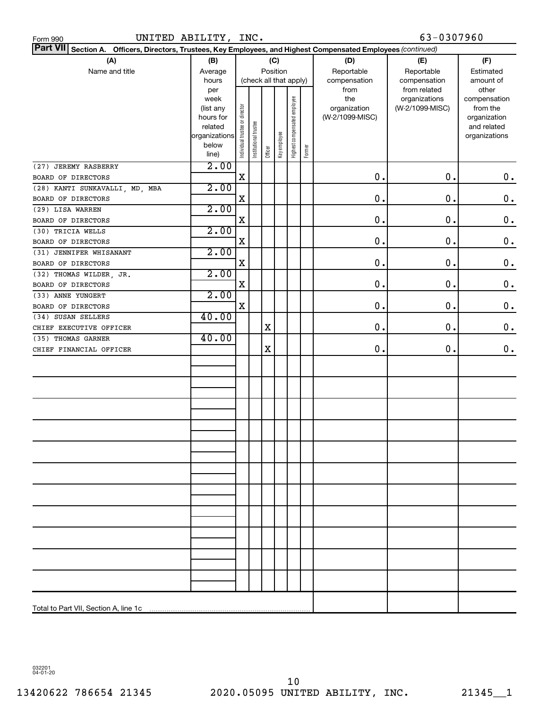| UNITED ABILITY, INC.<br>Form 990                                                                                |                        |                                |                       |         |              |                              |        |                     | 63-0307960                       |                          |  |
|-----------------------------------------------------------------------------------------------------------------|------------------------|--------------------------------|-----------------------|---------|--------------|------------------------------|--------|---------------------|----------------------------------|--------------------------|--|
| Part VII Section A. Officers, Directors, Trustees, Key Employees, and Highest Compensated Employees (continued) |                        |                                |                       |         |              |                              |        |                     |                                  |                          |  |
| (A)                                                                                                             | (B)                    |                                |                       | (C)     |              |                              |        | (D)                 | (E)                              | (F)                      |  |
| Name and title                                                                                                  | Average                | Position                       |                       |         |              |                              |        | Reportable          | Reportable                       | Estimated                |  |
|                                                                                                                 | hours                  | (check all that apply)         |                       |         |              |                              |        | compensation        | compensation                     | amount of                |  |
|                                                                                                                 | per                    |                                |                       |         |              |                              |        | from                | from related                     | other                    |  |
|                                                                                                                 | week                   |                                |                       |         |              |                              |        | the<br>organization | organizations<br>(W-2/1099-MISC) | compensation<br>from the |  |
|                                                                                                                 | (list any<br>hours for |                                |                       |         |              |                              |        | (W-2/1099-MISC)     |                                  | organization             |  |
|                                                                                                                 | related                |                                |                       |         |              |                              |        |                     |                                  | and related              |  |
|                                                                                                                 | organizations          | Individual trustee or director | Institutional trustee |         |              | Highest compensated employee |        |                     |                                  | organizations            |  |
|                                                                                                                 | below                  |                                |                       | Officer | Key employee |                              | Former |                     |                                  |                          |  |
|                                                                                                                 | line)                  |                                |                       |         |              |                              |        |                     |                                  |                          |  |
| (27) JEREMY RASBERRY                                                                                            | 2.00                   |                                |                       |         |              |                              |        |                     |                                  |                          |  |
| BOARD OF DIRECTORS                                                                                              | 2.00                   | X                              |                       |         |              |                              |        | 0                   | $\mathbf 0$ .                    | 0.                       |  |
| (28) KANTI SUNKAVALLI, MD, MBA<br>BOARD OF DIRECTORS                                                            |                        | X                              |                       |         |              |                              |        | 0                   | $\mathbf 0$                      | $\mathbf 0$ .            |  |
| (29) LISA WARREN                                                                                                | 2.00                   |                                |                       |         |              |                              |        |                     |                                  |                          |  |
| BOARD OF DIRECTORS                                                                                              |                        | X                              |                       |         |              |                              |        | 0                   | $\mathbf 0$                      | $\mathbf 0$ .            |  |
| (30) TRICIA WELLS                                                                                               | 2.00                   |                                |                       |         |              |                              |        |                     |                                  |                          |  |
| BOARD OF DIRECTORS                                                                                              |                        | X                              |                       |         |              |                              |        | 0                   | $\mathbf 0$                      | $\mathbf 0$ .            |  |
| (31) JENNIFER WHISANANT                                                                                         | 2.00                   |                                |                       |         |              |                              |        |                     |                                  |                          |  |
| BOARD OF DIRECTORS                                                                                              |                        | X                              |                       |         |              |                              |        | 0                   | $\mathbf 0$                      | $\mathbf 0$ .            |  |
| (32) THOMAS WILDER, JR.                                                                                         | 2.00                   |                                |                       |         |              |                              |        |                     |                                  |                          |  |
| BOARD OF DIRECTORS                                                                                              |                        | X                              |                       |         |              |                              |        | 0                   | $\mathbf 0$                      | $\mathbf 0$ .            |  |
| (33) ANNE YUNGERT                                                                                               | 2.00                   |                                |                       |         |              |                              |        |                     |                                  |                          |  |
| BOARD OF DIRECTORS                                                                                              |                        | X                              |                       |         |              |                              |        | 0                   | $\mathbf 0$                      | 0.                       |  |
| (34) SUSAN SELLERS                                                                                              | 40.00                  |                                |                       |         |              |                              |        |                     |                                  |                          |  |
| CHIEF EXECUTIVE OFFICER                                                                                         |                        |                                |                       | X       |              |                              |        | 0                   | $\mathbf 0$                      | 0.                       |  |
| (35) THOMAS GARNER                                                                                              | 40.00                  |                                |                       |         |              |                              |        |                     |                                  |                          |  |
| CHIEF FINANCIAL OFFICER                                                                                         |                        |                                |                       | X       |              |                              |        | 0                   | 0.                               | $0$ .                    |  |
|                                                                                                                 |                        |                                |                       |         |              |                              |        |                     |                                  |                          |  |
|                                                                                                                 |                        |                                |                       |         |              |                              |        |                     |                                  |                          |  |
|                                                                                                                 |                        |                                |                       |         |              |                              |        |                     |                                  |                          |  |
|                                                                                                                 |                        |                                |                       |         |              |                              |        |                     |                                  |                          |  |
|                                                                                                                 |                        |                                |                       |         |              |                              |        |                     |                                  |                          |  |
|                                                                                                                 |                        |                                |                       |         |              |                              |        |                     |                                  |                          |  |
|                                                                                                                 |                        |                                |                       |         |              |                              |        |                     |                                  |                          |  |
|                                                                                                                 |                        |                                |                       |         |              |                              |        |                     |                                  |                          |  |
|                                                                                                                 |                        |                                |                       |         |              |                              |        |                     |                                  |                          |  |
|                                                                                                                 |                        |                                |                       |         |              |                              |        |                     |                                  |                          |  |
|                                                                                                                 |                        |                                |                       |         |              |                              |        |                     |                                  |                          |  |
|                                                                                                                 |                        |                                |                       |         |              |                              |        |                     |                                  |                          |  |
|                                                                                                                 |                        |                                |                       |         |              |                              |        |                     |                                  |                          |  |
|                                                                                                                 |                        |                                |                       |         |              |                              |        |                     |                                  |                          |  |
|                                                                                                                 |                        |                                |                       |         |              |                              |        |                     |                                  |                          |  |
|                                                                                                                 |                        |                                |                       |         |              |                              |        |                     |                                  |                          |  |
|                                                                                                                 |                        |                                |                       |         |              |                              |        |                     |                                  |                          |  |
|                                                                                                                 |                        |                                |                       |         |              |                              |        |                     |                                  |                          |  |
|                                                                                                                 |                        |                                |                       |         |              |                              |        |                     |                                  |                          |  |
|                                                                                                                 |                        |                                |                       |         |              |                              |        |                     |                                  |                          |  |
|                                                                                                                 |                        |                                |                       |         |              |                              |        |                     |                                  |                          |  |
| Total to Part VII, Section A, line 1c                                                                           |                        |                                |                       |         |              |                              |        |                     |                                  |                          |  |

032201 04-01-20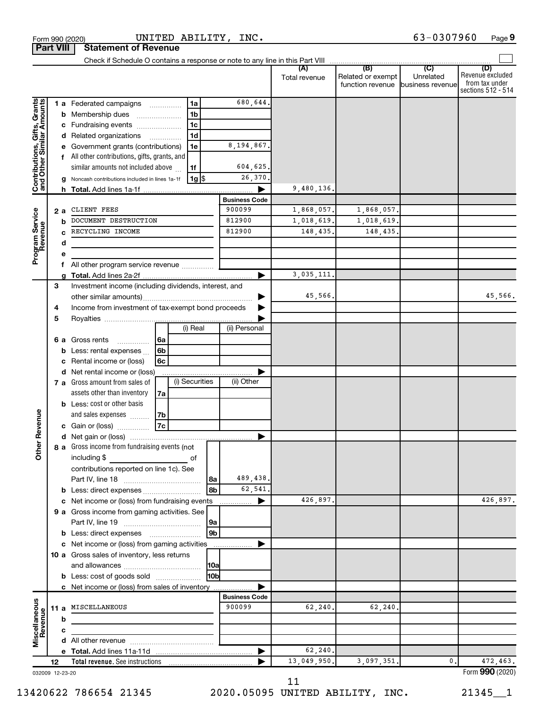|                                                           | <b>Part VIII</b> |     | <b>Statement of Revenue</b>                                                   |                          |                |                      |                      |                                       |                                                 |                                                                 |
|-----------------------------------------------------------|------------------|-----|-------------------------------------------------------------------------------|--------------------------|----------------|----------------------|----------------------|---------------------------------------|-------------------------------------------------|-----------------------------------------------------------------|
|                                                           |                  |     | Check if Schedule O contains a response or note to any line in this Part VIII |                          |                |                      |                      | (B)                                   |                                                 |                                                                 |
|                                                           |                  |     |                                                                               |                          |                |                      | (A)<br>Total revenue | Related or exempt<br>function revenue | $\overline{C}$<br>Unrelated<br>business revenue | (D)<br>Revenue excluded<br>from tax under<br>sections 512 - 514 |
|                                                           |                  |     | <b>1 a</b> Federated campaigns                                                |                          | 1a             | 680,644              |                      |                                       |                                                 |                                                                 |
| Contributions, Gifts, Grants<br>and Other Similar Amounts |                  | b   | Membership dues                                                               |                          | 1 <sub>b</sub> |                      |                      |                                       |                                                 |                                                                 |
|                                                           |                  |     | Fundraising events                                                            |                          | 1c             |                      |                      |                                       |                                                 |                                                                 |
|                                                           |                  |     | Related organizations                                                         | $\overline{\phantom{a}}$ | 1 <sub>d</sub> |                      |                      |                                       |                                                 |                                                                 |
|                                                           |                  |     | Government grants (contributions)                                             |                          | 1e             | 8,194,867.           |                      |                                       |                                                 |                                                                 |
|                                                           |                  | f   | All other contributions, gifts, grants, and                                   |                          |                |                      |                      |                                       |                                                 |                                                                 |
|                                                           |                  |     | similar amounts not included above                                            |                          | 1f             | 604,625.             |                      |                                       |                                                 |                                                                 |
|                                                           |                  |     | Noncash contributions included in lines 1a-1f                                 |                          | $1g$ \$        | 26,370               |                      |                                       |                                                 |                                                                 |
|                                                           |                  | h.  |                                                                               |                          |                |                      | 9,480,136.           |                                       |                                                 |                                                                 |
|                                                           |                  |     |                                                                               |                          |                | <b>Business Code</b> |                      |                                       |                                                 |                                                                 |
|                                                           |                  | 2 a | CLIENT FEES                                                                   |                          |                | 900099               | 1,868,057.           | 1,868,057.                            |                                                 |                                                                 |
|                                                           |                  | b   | DOCUMENT DESTRUCTION                                                          |                          |                | 812900               | 1,018,619.           | 1,018,619.                            |                                                 |                                                                 |
|                                                           |                  |     | RECYCLING INCOME                                                              |                          |                | 812900               | 148,435.             | 148,435.                              |                                                 |                                                                 |
|                                                           |                  | d   |                                                                               |                          |                |                      |                      |                                       |                                                 |                                                                 |
| Program Service<br>Revenue                                |                  | f   | All other program service revenue                                             |                          |                |                      |                      |                                       |                                                 |                                                                 |
|                                                           |                  |     |                                                                               |                          |                |                      | 3,035,111.           |                                       |                                                 |                                                                 |
|                                                           | 3                |     | Investment income (including dividends, interest, and                         |                          |                |                      |                      |                                       |                                                 |                                                                 |
|                                                           |                  |     |                                                                               |                          |                |                      | 45,566.              |                                       |                                                 | 45,566.                                                         |
|                                                           | 4                |     | Income from investment of tax-exempt bond proceeds                            |                          |                |                      |                      |                                       |                                                 |                                                                 |
|                                                           | 5                |     |                                                                               |                          |                |                      |                      |                                       |                                                 |                                                                 |
|                                                           |                  |     |                                                                               |                          | (i) Real       | (ii) Personal        |                      |                                       |                                                 |                                                                 |
|                                                           |                  | 6а  | Gross rents<br>.                                                              | l 6a                     |                |                      |                      |                                       |                                                 |                                                                 |
|                                                           |                  | b   | Less: rental expenses                                                         | 6b                       |                |                      |                      |                                       |                                                 |                                                                 |
|                                                           |                  |     | Rental income or (loss)                                                       | 6c                       |                |                      |                      |                                       |                                                 |                                                                 |
|                                                           |                  | d   | Net rental income or (loss)                                                   |                          |                |                      |                      |                                       |                                                 |                                                                 |
|                                                           |                  |     | 7 a Gross amount from sales of                                                |                          | (i) Securities | (ii) Other           |                      |                                       |                                                 |                                                                 |
|                                                           |                  |     | assets other than inventory                                                   | 7a                       |                |                      |                      |                                       |                                                 |                                                                 |
|                                                           |                  |     | <b>b</b> Less: cost or other basis                                            |                          |                |                      |                      |                                       |                                                 |                                                                 |
| Revenue                                                   |                  |     | and sales expenses                                                            | 7b                       |                |                      |                      |                                       |                                                 |                                                                 |
|                                                           |                  |     | c Gain or (loss)                                                              | 7c                       |                |                      |                      |                                       |                                                 |                                                                 |
| ৯                                                         |                  |     |                                                                               |                          |                | ▶                    |                      |                                       |                                                 |                                                                 |
| Ĕ                                                         |                  |     | 8 a Gross income from fundraising events (not                                 |                          |                |                      |                      |                                       |                                                 |                                                                 |
|                                                           |                  |     | including \$                                                                  |                          | оf             |                      |                      |                                       |                                                 |                                                                 |
|                                                           |                  |     | contributions reported on line 1c). See                                       |                          |                | 489,438.             |                      |                                       |                                                 |                                                                 |
|                                                           |                  |     | <b>b</b> Less: direct expenses                                                |                          | l 8a<br>8b     | 62,541.              |                      |                                       |                                                 |                                                                 |
|                                                           |                  |     | c Net income or (loss) from fundraising events                                |                          |                | ▶                    | 426.897.             |                                       |                                                 | 426,897.                                                        |
|                                                           |                  |     | 9 a Gross income from gaming activities. See                                  |                          |                |                      |                      |                                       |                                                 |                                                                 |
|                                                           |                  |     |                                                                               |                          | 9a             |                      |                      |                                       |                                                 |                                                                 |
|                                                           |                  |     |                                                                               |                          | 9 <sub>b</sub> |                      |                      |                                       |                                                 |                                                                 |
|                                                           |                  |     | c Net income or (loss) from gaming activities                                 |                          |                |                      |                      |                                       |                                                 |                                                                 |
|                                                           |                  |     | 10 a Gross sales of inventory, less returns                                   |                          |                |                      |                      |                                       |                                                 |                                                                 |
|                                                           |                  |     |                                                                               |                          | 10a            |                      |                      |                                       |                                                 |                                                                 |
|                                                           |                  |     | <b>b</b> Less: cost of goods sold                                             |                          | l10bl          |                      |                      |                                       |                                                 |                                                                 |
|                                                           |                  |     | c Net income or (loss) from sales of inventory                                |                          |                |                      |                      |                                       |                                                 |                                                                 |
|                                                           |                  |     |                                                                               |                          |                | <b>Business Code</b> |                      |                                       |                                                 |                                                                 |
|                                                           |                  |     | 11 a MISCELLANEOUS                                                            |                          |                | 900099               | 62,240.              | 62,240.                               |                                                 |                                                                 |
| Miscellaneous<br>Revenue                                  |                  | b   |                                                                               |                          |                |                      |                      |                                       |                                                 |                                                                 |
|                                                           |                  | с   |                                                                               |                          |                |                      |                      |                                       |                                                 |                                                                 |
|                                                           |                  |     |                                                                               |                          |                |                      |                      |                                       |                                                 |                                                                 |
|                                                           |                  |     |                                                                               |                          |                | ▶                    | 62,240.              |                                       |                                                 |                                                                 |
| 032009 12-23-20                                           | 12               |     |                                                                               |                          |                |                      | 13,049,950.          | 3,097,351.                            | 0.                                              | 472,463.<br>Form 990 (2020)                                     |

 $\frac{1}{2}$ Form 990 (2020) UNITED ABILITY , INC . 6 3 – 0 3 0  $\sqrt{9}$  Page

UNITED ABILITY, INC.

11

13420622 786654 21345 2020.05095 UNITED ABILITY, INC. 21345\_\_1

63-0307960 Page 9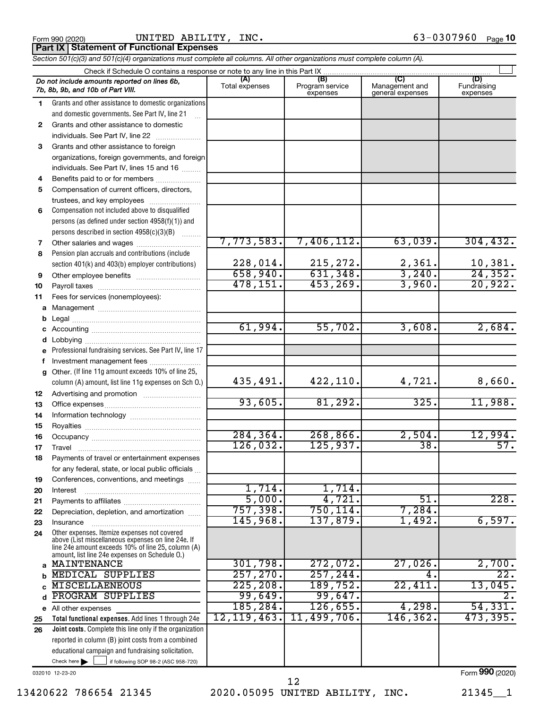|  | Form 990 (2020) |
|--|-----------------|
|  |                 |

Form 990 (2020) Page UNITED ABILITY, INC. 63-0307960

**Part IX Statement of Functional Expenses**

*Section 501(c)(3) and 501(c)(4) organizations must complete all columns. All other organizations must complete column (A).*

|              | Do not include amounts reported on lines 6b,<br>7b, 8b, 9b, and 10b of Part VIII.                    | (A)<br>Total expenses | (B)<br>Program service<br>expenses | (C)<br>Management and<br>general expenses | (D)<br>Fundraising<br>expenses |  |  |  |  |  |
|--------------|------------------------------------------------------------------------------------------------------|-----------------------|------------------------------------|-------------------------------------------|--------------------------------|--|--|--|--|--|
| 1.           | Grants and other assistance to domestic organizations                                                |                       |                                    |                                           |                                |  |  |  |  |  |
|              | and domestic governments. See Part IV, line 21                                                       |                       |                                    |                                           |                                |  |  |  |  |  |
| $\mathbf{2}$ | Grants and other assistance to domestic                                                              |                       |                                    |                                           |                                |  |  |  |  |  |
|              | individuals. See Part IV, line 22                                                                    |                       |                                    |                                           |                                |  |  |  |  |  |
| 3            | Grants and other assistance to foreign                                                               |                       |                                    |                                           |                                |  |  |  |  |  |
|              | organizations, foreign governments, and foreign                                                      |                       |                                    |                                           |                                |  |  |  |  |  |
|              | individuals. See Part IV, lines 15 and 16                                                            |                       |                                    |                                           |                                |  |  |  |  |  |
| 4            | Benefits paid to or for members                                                                      |                       |                                    |                                           |                                |  |  |  |  |  |
| 5            | Compensation of current officers, directors,                                                         |                       |                                    |                                           |                                |  |  |  |  |  |
|              | trustees, and key employees                                                                          |                       |                                    |                                           |                                |  |  |  |  |  |
| 6            | Compensation not included above to disqualified                                                      |                       |                                    |                                           |                                |  |  |  |  |  |
|              | persons (as defined under section 4958(f)(1)) and                                                    |                       |                                    |                                           |                                |  |  |  |  |  |
|              | persons described in section 4958(c)(3)(B)                                                           | 7,773,583.            | 7,406,112.                         | 63,039.                                   | 304, 432.                      |  |  |  |  |  |
| 7<br>8       | Other salaries and wages<br>Pension plan accruals and contributions (include                         |                       |                                    |                                           |                                |  |  |  |  |  |
|              | section 401(k) and 403(b) employer contributions)                                                    | 228,014.              | 215,272.                           |                                           | 10,381.                        |  |  |  |  |  |
| 9            |                                                                                                      | 658,940.              | 631,348.                           | $\frac{2,361}{3,240}$ .                   | $\overline{24,352}$ .          |  |  |  |  |  |
| 10           |                                                                                                      | 478, 151.             | 453,269.                           | 3,960.                                    | 20,922.                        |  |  |  |  |  |
| 11           | Fees for services (nonemployees):                                                                    |                       |                                    |                                           |                                |  |  |  |  |  |
| a            |                                                                                                      |                       |                                    |                                           |                                |  |  |  |  |  |
| b            |                                                                                                      |                       |                                    |                                           |                                |  |  |  |  |  |
| с            |                                                                                                      | 61,994.               | 55,702.                            | 3,608.                                    | 2,684.                         |  |  |  |  |  |
| d            |                                                                                                      |                       |                                    |                                           |                                |  |  |  |  |  |
| е            | Professional fundraising services. See Part IV, line 17                                              |                       |                                    |                                           |                                |  |  |  |  |  |
| f            | Investment management fees                                                                           |                       |                                    |                                           |                                |  |  |  |  |  |
| g            | Other. (If line 11g amount exceeds 10% of line 25,                                                   |                       |                                    |                                           |                                |  |  |  |  |  |
|              | column (A) amount, list line 11g expenses on Sch O.)                                                 | 435,491.              | 422,110.                           | 4,721.                                    | 8,660.                         |  |  |  |  |  |
| 12           |                                                                                                      |                       |                                    |                                           |                                |  |  |  |  |  |
| 13           |                                                                                                      | 93,605.               | 81,292.                            | 325.                                      | 11,988.                        |  |  |  |  |  |
| 14           |                                                                                                      |                       |                                    |                                           |                                |  |  |  |  |  |
| 15           |                                                                                                      |                       |                                    |                                           |                                |  |  |  |  |  |
| 16           |                                                                                                      | 284, 364.<br>126,032. | 268,866.<br>125,937.               | 2,504.<br>$\overline{38}$                 | 12,994.<br>57.                 |  |  |  |  |  |
| 17           |                                                                                                      |                       |                                    |                                           |                                |  |  |  |  |  |
| 18           | Payments of travel or entertainment expenses                                                         |                       |                                    |                                           |                                |  |  |  |  |  |
|              | for any federal, state, or local public officials                                                    |                       |                                    |                                           |                                |  |  |  |  |  |
| 19           | Conferences, conventions, and meetings<br>Interest                                                   | 1,714.                | 1,714.                             |                                           |                                |  |  |  |  |  |
| 20<br>21     |                                                                                                      | 5,000.                | 4,721.                             | 51.                                       | 228.                           |  |  |  |  |  |
| 22           | Depreciation, depletion, and amortization                                                            | 757,398.              | 750, 114.                          | $7,284$ .                                 |                                |  |  |  |  |  |
| 23           | Insurance                                                                                            | 145,968.              | 137,879.                           | 1,492.                                    | 6,597.                         |  |  |  |  |  |
| 24           | Other expenses. Itemize expenses not covered                                                         |                       |                                    |                                           |                                |  |  |  |  |  |
|              | above (List miscellaneous expenses on line 24e. If                                                   |                       |                                    |                                           |                                |  |  |  |  |  |
|              | line 24e amount exceeds 10% of line 25, column (A)<br>amount, list line 24e expenses on Schedule 0.) |                       |                                    |                                           |                                |  |  |  |  |  |
| a            | MAINTENANCE                                                                                          | 301,798.              | 272,072.                           | 27,026                                    | 2,700.                         |  |  |  |  |  |
| b            | <b>MEDICAL SUPPLIES</b>                                                                              | 257, 270.             | 257, 244.                          | 4                                         | $\overline{22}$ .              |  |  |  |  |  |
|              | <b>MISCELLAENEOUS</b>                                                                                | 225, 208.             | 189,752.                           | 22,411                                    | 13,045.                        |  |  |  |  |  |
| d            | PROGRAM SUPPLIES                                                                                     | 99,649.               | 99,647.                            |                                           | $\overline{2}$ .               |  |  |  |  |  |
|              | e All other expenses                                                                                 | 185, 284.             | 126,655.                           | 4,298.                                    | 54,331.                        |  |  |  |  |  |
| 25           | Total functional expenses. Add lines 1 through 24e                                                   | 12, 119, 463.         | 11,499,706.                        | 146,362.                                  | 473,395.                       |  |  |  |  |  |
| 26           | <b>Joint costs.</b> Complete this line only if the organization                                      |                       |                                    |                                           |                                |  |  |  |  |  |
|              | reported in column (B) joint costs from a combined                                                   |                       |                                    |                                           |                                |  |  |  |  |  |
|              | educational campaign and fundraising solicitation.                                                   |                       |                                    |                                           |                                |  |  |  |  |  |
|              | Check here $\blacktriangleright$<br>if following SOP 98-2 (ASC 958-720)                              |                       |                                    |                                           |                                |  |  |  |  |  |

032010 12-23-20

Form (2020) **990**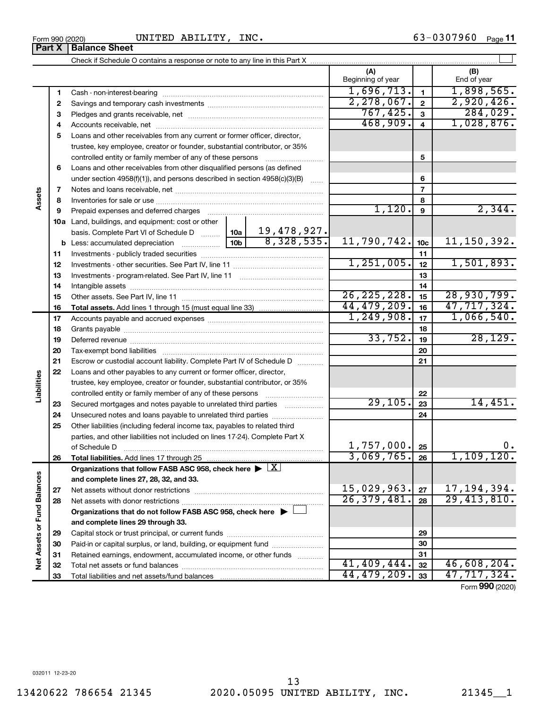**31 32 33**

**Net Assets or Fund Balances**

Net Assets or Fund Balances

| 6  | Loans and other receivables from other disqualified persons (as defined                    |               |             |                   |                 |                          |
|----|--------------------------------------------------------------------------------------------|---------------|-------------|-------------------|-----------------|--------------------------|
|    | under section $4958(f)(1)$ , and persons described in section $4958(c)(3)(B)$              |               | .           |                   | 6               |                          |
| 7  |                                                                                            |               |             |                   | $\overline{7}$  |                          |
| 8  |                                                                                            |               |             |                   | 8               |                          |
| 9  |                                                                                            |               |             | 1,120.            | 9               | 2,344.                   |
|    | <b>10a</b> Land, buildings, and equipment: cost or other                                   |               |             |                   |                 |                          |
|    |                                                                                            |               |             |                   |                 |                          |
|    |                                                                                            |               |             | 11,790,742.       | 10 <sub>c</sub> | 11, 150, 392.            |
| 11 |                                                                                            |               |             |                   | 11              |                          |
| 12 |                                                                                            |               |             | 1,251,005.        | 12              | 1,501,893.               |
| 13 |                                                                                            |               |             |                   | 13              |                          |
| 14 |                                                                                            |               |             |                   | 14              |                          |
| 15 |                                                                                            | 26, 225, 228. | 15          | 28,930,799.       |                 |                          |
| 16 |                                                                                            |               | 44,479,209. | 16                | 47,717,324.     |                          |
| 17 |                                                                                            | 1, 249, 908.  | 17          | 1,066,540.        |                 |                          |
| 18 |                                                                                            |               | 18          |                   |                 |                          |
| 19 |                                                                                            | 33,752.       | 19          | 28, 129.          |                 |                          |
| 20 |                                                                                            |               | 20          |                   |                 |                          |
| 21 | Escrow or custodial account liability. Complete Part IV of Schedule D                      |               |             |                   | 21              |                          |
| 22 | Loans and other payables to any current or former officer, director,                       |               |             |                   |                 |                          |
|    | trustee, key employee, creator or founder, substantial contributor, or 35%                 |               |             |                   |                 |                          |
|    | controlled entity or family member of any of these persons                                 |               |             |                   | 22              |                          |
| 23 | Secured mortgages and notes payable to unrelated third parties <i>manumum</i>              |               |             | 29, 105.          | 23              | 14,451.                  |
| 24 | Unsecured notes and loans payable to unrelated third parties                               |               |             |                   | 24              |                          |
| 25 | Other liabilities (including federal income tax, payables to related third                 |               |             |                   |                 |                          |
|    | parties, and other liabilities not included on lines 17-24). Complete Part X               |               |             |                   |                 |                          |
|    | of Schedule D                                                                              |               |             | 1,757,000.        | 25              | 0.                       |
| 26 |                                                                                            |               |             | 3,069,765.        | 26              | 1,109,120.               |
|    | Organizations that follow FASB ASC 958, check here $\blacktriangleright \lfloor X \rfloor$ |               |             |                   |                 |                          |
|    | and complete lines 27, 28, 32, and 33.                                                     |               |             |                   |                 |                          |
| 27 |                                                                                            |               |             | $15,029,963$ . 27 |                 | 17, 194, 394.            |
| 28 |                                                                                            |               |             | 26, 379, 481.     | 28              | $\overline{29,413,810.}$ |
|    | Organizations that do not follow FASB ASC 958, check here $\blacktriangleright \bot$       |               |             |                   |                 |                          |
|    | and complete lines 29 through 33.                                                          |               |             |                   |                 |                          |
| 29 |                                                                                            |               |             | 29                |                 |                          |
| 30 | Paid-in or capital surplus, or land, building, or equipment fund                           |               | 30          |                   |                 |                          |

 $_{\rm Form}$   $_{990}$  (2020) <code>UNITED ABILITY</code> ,  $_{\rm INC}$  .  $_{\rm 63-0307960}$   $_{\rm Page}$  11 UNITED ABILITY, INC.

Cash - non-interest-bearing ~~~~~~~~~~~~~~~~~~~~~~~~~ Savings and temporary cash investments ~~~~~~~~~~~~~~~~~~ Pledges and grants receivable, net ~~~~~~~~~~~~~~~~~~~~~

**4** Accounts receivable, net ~~~~~~~~~~~~~~~~~~~~~~~~~~ **5** Loans and other receivables from any current or former officer, director,

trustee, key employee, creator or founder, substantial contributor, or 35% controlled entity or family member of any of these persons ~~~~~~~~~

Retained earnings, endowment, accumulated income, or other funds ............

Total net assets or fund balances ~~~~~~~~~~~~~~~~~~~~~~

Total liabilities and net assets/fund balances

**(A) (B)**

Beginning of year  $\vert$   $\vert$  End of year

 $1,696,713.$  | 1,898,565. 2,278,067. 2 2,920,426. 767,425. 284,029.  $468,909.4$  1,028,876.

**5**

 $\perp$ 

**1 2 3**

**Assets**

**Liabilities**

Check if Schedule O contains a response or note to any line in this Part X **Part X** | **Balance Sheet** 

**31 32 33**

 $41,409,444.$   $32 \mid 46,608,204.$ 44,479,209. 47,717,324.

Form (2020) **990**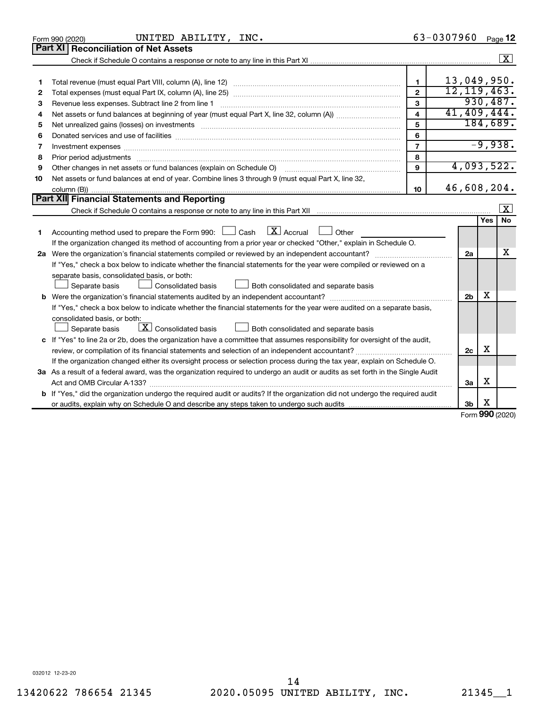|    | UNITED ABILITY, INC.<br>Form 990 (2020)                                                                                              |                         | 63-0307960     |                      | Page 12                 |
|----|--------------------------------------------------------------------------------------------------------------------------------------|-------------------------|----------------|----------------------|-------------------------|
|    | Part XI<br><b>Reconciliation of Net Assets</b>                                                                                       |                         |                |                      |                         |
|    |                                                                                                                                      |                         |                |                      | $\boxed{\textbf{X}}$    |
|    |                                                                                                                                      |                         |                |                      |                         |
| 1  |                                                                                                                                      | $\mathbf{1}$            | 13,049,950.    |                      |                         |
| 2  |                                                                                                                                      | $\overline{2}$          | 12, 119, 463.  |                      |                         |
| з  | Revenue less expenses. Subtract line 2 from line 1                                                                                   | 3                       |                |                      | 930,487.                |
| 4  |                                                                                                                                      | $\overline{\mathbf{4}}$ | 41,409,444.    |                      |                         |
| 5  |                                                                                                                                      | 5                       |                |                      | 184,689.                |
| 6  |                                                                                                                                      | 6                       |                |                      |                         |
| 7  | Investment expenses www.communication.com/www.communication.com/www.communication.com/www.com                                        | $\overline{7}$          |                |                      | $-9,938.$               |
| 8  |                                                                                                                                      | 8                       |                |                      |                         |
| 9  | Other changes in net assets or fund balances (explain on Schedule O)                                                                 | $\mathbf{Q}$            | 4,093,522.     |                      |                         |
| 10 | Net assets or fund balances at end of year. Combine lines 3 through 9 (must equal Part X, line 32,                                   |                         |                |                      |                         |
|    |                                                                                                                                      | 10                      | 46,608,204.    |                      |                         |
|    | Part XII Financial Statements and Reporting                                                                                          |                         |                |                      |                         |
|    |                                                                                                                                      |                         |                |                      | $\overline{\mathbf{X}}$ |
|    |                                                                                                                                      |                         |                | Yes                  | <b>No</b>               |
| 1  | $\lfloor \mathbf{X} \rfloor$ Accrual<br>Accounting method used to prepare the Form 990: [130] Cash<br>$\Box$ Other                   |                         |                |                      |                         |
|    | If the organization changed its method of accounting from a prior year or checked "Other," explain in Schedule O.                    |                         |                |                      |                         |
|    |                                                                                                                                      |                         | 2a             |                      | х                       |
|    | If "Yes," check a box below to indicate whether the financial statements for the year were compiled or reviewed on a                 |                         |                |                      |                         |
|    | separate basis, consolidated basis, or both:                                                                                         |                         |                |                      |                         |
|    | Both consolidated and separate basis<br>Separate basis<br>Consolidated basis                                                         |                         |                |                      |                         |
|    |                                                                                                                                      |                         | 2 <sub>b</sub> | х                    |                         |
|    | If "Yes," check a box below to indicate whether the financial statements for the year were audited on a separate basis,              |                         |                |                      |                         |
|    | consolidated basis, or both:                                                                                                         |                         |                |                      |                         |
|    | $\boxed{\text{X}}$ Consolidated basis<br>Both consolidated and separate basis<br>Separate basis                                      |                         |                |                      |                         |
|    | c If "Yes" to line 2a or 2b, does the organization have a committee that assumes responsibility for oversight of the audit,          |                         |                |                      |                         |
|    | review, or compilation of its financial statements and selection of an independent accountant?                                       |                         | 2 <sub>c</sub> | X                    |                         |
|    | If the organization changed either its oversight process or selection process during the tax year, explain on Schedule O.            |                         |                |                      |                         |
|    | 3a As a result of a federal award, was the organization required to undergo an audit or audits as set forth in the Single Audit      |                         |                |                      |                         |
|    |                                                                                                                                      |                         | За             | х                    |                         |
|    | <b>b</b> If "Yes," did the organization undergo the required audit or audits? If the organization did not undergo the required audit |                         |                |                      |                         |
|    |                                                                                                                                      |                         | 3b             | х<br>$\mathbf{on}$ . |                         |

Form (2020) **990**

032012 12-23-20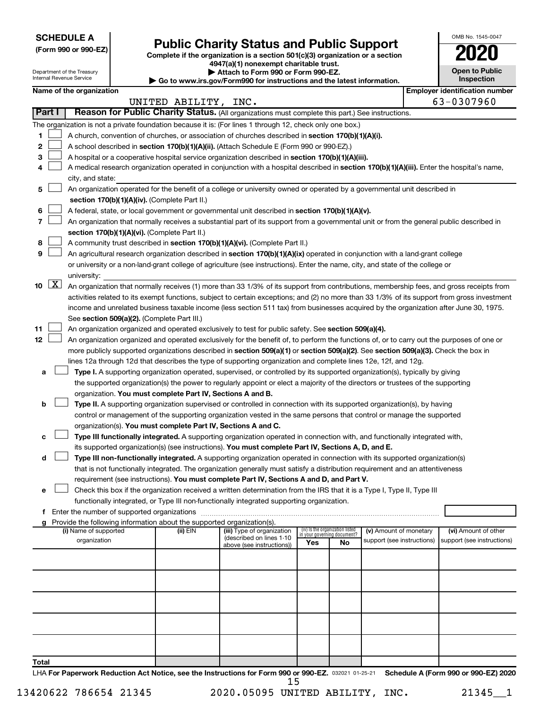**SCHEDULE A**

Department of the Treasury Internal Revenue Service

# Form 990 or 990-EZ) **Public Charity Status and Public Support**<br>
Complete if the organization is a section 501(c)(3) organization or a section<br> **2020**

**4947(a)(1) nonexempt charitable trust. | Attach to Form 990 or Form 990-EZ.** 

**| Go to www.irs.gov/Form990 for instructions and the latest information.**

| OMB No. 1545-0047                   |  |  |  |  |  |  |  |
|-------------------------------------|--|--|--|--|--|--|--|
| 2020                                |  |  |  |  |  |  |  |
| <b>Open to Public</b><br>Inspection |  |  |  |  |  |  |  |
| antification nun<br>r.              |  |  |  |  |  |  |  |

|                             | Name of the organization                                                                                                                                                                                                                             | UNITED ABILITY, INC. |                                                       |                             |                                 |                            |  | <b>Employer identification number</b><br>63-0307960 |  |  |
|-----------------------------|------------------------------------------------------------------------------------------------------------------------------------------------------------------------------------------------------------------------------------------------------|----------------------|-------------------------------------------------------|-----------------------------|---------------------------------|----------------------------|--|-----------------------------------------------------|--|--|
| Part I                      | Reason for Public Charity Status. (All organizations must complete this part.) See instructions.                                                                                                                                                     |                      |                                                       |                             |                                 |                            |  |                                                     |  |  |
|                             |                                                                                                                                                                                                                                                      |                      |                                                       |                             |                                 |                            |  |                                                     |  |  |
| 1.                          | The organization is not a private foundation because it is: (For lines 1 through 12, check only one box.)                                                                                                                                            |                      |                                                       |                             |                                 |                            |  |                                                     |  |  |
|                             | A church, convention of churches, or association of churches described in section 170(b)(1)(A)(i).                                                                                                                                                   |                      |                                                       |                             |                                 |                            |  |                                                     |  |  |
| 2                           | A school described in section 170(b)(1)(A)(ii). (Attach Schedule E (Form 990 or 990-EZ).)                                                                                                                                                            |                      |                                                       |                             |                                 |                            |  |                                                     |  |  |
| 3.                          | A hospital or a cooperative hospital service organization described in section 170(b)(1)(A)(iii).                                                                                                                                                    |                      |                                                       |                             |                                 |                            |  |                                                     |  |  |
| 4                           | A medical research organization operated in conjunction with a hospital described in section 170(b)(1)(A)(iii). Enter the hospital's name,                                                                                                           |                      |                                                       |                             |                                 |                            |  |                                                     |  |  |
|                             | city, and state:                                                                                                                                                                                                                                     |                      |                                                       |                             |                                 |                            |  |                                                     |  |  |
| 5                           | An organization operated for the benefit of a college or university owned or operated by a governmental unit described in<br>section 170(b)(1)(A)(iv). (Complete Part II.)                                                                           |                      |                                                       |                             |                                 |                            |  |                                                     |  |  |
|                             |                                                                                                                                                                                                                                                      |                      |                                                       |                             |                                 |                            |  |                                                     |  |  |
| 6                           | A federal, state, or local government or governmental unit described in section 170(b)(1)(A)(v).                                                                                                                                                     |                      |                                                       |                             |                                 |                            |  |                                                     |  |  |
| 7                           | An organization that normally receives a substantial part of its support from a governmental unit or from the general public described in                                                                                                            |                      |                                                       |                             |                                 |                            |  |                                                     |  |  |
|                             | section 170(b)(1)(A)(vi). (Complete Part II.)                                                                                                                                                                                                        |                      |                                                       |                             |                                 |                            |  |                                                     |  |  |
| 8                           | A community trust described in section 170(b)(1)(A)(vi). (Complete Part II.)                                                                                                                                                                         |                      |                                                       |                             |                                 |                            |  |                                                     |  |  |
| 9                           | An agricultural research organization described in section 170(b)(1)(A)(ix) operated in conjunction with a land-grant college                                                                                                                        |                      |                                                       |                             |                                 |                            |  |                                                     |  |  |
|                             | or university or a non-land-grant college of agriculture (see instructions). Enter the name, city, and state of the college or                                                                                                                       |                      |                                                       |                             |                                 |                            |  |                                                     |  |  |
| $10 \quad \boxed{\text{X}}$ | university:                                                                                                                                                                                                                                          |                      |                                                       |                             |                                 |                            |  |                                                     |  |  |
|                             | An organization that normally receives (1) more than 33 1/3% of its support from contributions, membership fees, and gross receipts from                                                                                                             |                      |                                                       |                             |                                 |                            |  |                                                     |  |  |
|                             | activities related to its exempt functions, subject to certain exceptions; and (2) no more than 33 1/3% of its support from gross investment                                                                                                         |                      |                                                       |                             |                                 |                            |  |                                                     |  |  |
|                             | income and unrelated business taxable income (less section 511 tax) from businesses acquired by the organization after June 30, 1975.                                                                                                                |                      |                                                       |                             |                                 |                            |  |                                                     |  |  |
|                             | See section 509(a)(2). (Complete Part III.)                                                                                                                                                                                                          |                      |                                                       |                             |                                 |                            |  |                                                     |  |  |
| 11<br>12                    | An organization organized and operated exclusively to test for public safety. See section 509(a)(4).<br>An organization organized and operated exclusively for the benefit of, to perform the functions of, or to carry out the purposes of one or   |                      |                                                       |                             |                                 |                            |  |                                                     |  |  |
|                             |                                                                                                                                                                                                                                                      |                      |                                                       |                             |                                 |                            |  |                                                     |  |  |
|                             | more publicly supported organizations described in section 509(a)(1) or section 509(a)(2). See section 509(a)(3). Check the box in<br>lines 12a through 12d that describes the type of supporting organization and complete lines 12e, 12f, and 12g. |                      |                                                       |                             |                                 |                            |  |                                                     |  |  |
| а                           | Type I. A supporting organization operated, supervised, or controlled by its supported organization(s), typically by giving                                                                                                                          |                      |                                                       |                             |                                 |                            |  |                                                     |  |  |
|                             | the supported organization(s) the power to regularly appoint or elect a majority of the directors or trustees of the supporting                                                                                                                      |                      |                                                       |                             |                                 |                            |  |                                                     |  |  |
|                             | organization. You must complete Part IV, Sections A and B.                                                                                                                                                                                           |                      |                                                       |                             |                                 |                            |  |                                                     |  |  |
| b                           | Type II. A supporting organization supervised or controlled in connection with its supported organization(s), by having                                                                                                                              |                      |                                                       |                             |                                 |                            |  |                                                     |  |  |
|                             | control or management of the supporting organization vested in the same persons that control or manage the supported                                                                                                                                 |                      |                                                       |                             |                                 |                            |  |                                                     |  |  |
|                             | organization(s). You must complete Part IV, Sections A and C.                                                                                                                                                                                        |                      |                                                       |                             |                                 |                            |  |                                                     |  |  |
| с                           | Type III functionally integrated. A supporting organization operated in connection with, and functionally integrated with,                                                                                                                           |                      |                                                       |                             |                                 |                            |  |                                                     |  |  |
|                             | its supported organization(s) (see instructions). You must complete Part IV, Sections A, D, and E.                                                                                                                                                   |                      |                                                       |                             |                                 |                            |  |                                                     |  |  |
| d                           | Type III non-functionally integrated. A supporting organization operated in connection with its supported organization(s)                                                                                                                            |                      |                                                       |                             |                                 |                            |  |                                                     |  |  |
|                             | that is not functionally integrated. The organization generally must satisfy a distribution requirement and an attentiveness                                                                                                                         |                      |                                                       |                             |                                 |                            |  |                                                     |  |  |
|                             | requirement (see instructions). You must complete Part IV, Sections A and D, and Part V.                                                                                                                                                             |                      |                                                       |                             |                                 |                            |  |                                                     |  |  |
|                             | Check this box if the organization received a written determination from the IRS that it is a Type I, Type II, Type III                                                                                                                              |                      |                                                       |                             |                                 |                            |  |                                                     |  |  |
|                             | functionally integrated, or Type III non-functionally integrated supporting organization.                                                                                                                                                            |                      |                                                       |                             |                                 |                            |  |                                                     |  |  |
|                             | f Enter the number of supported organizations                                                                                                                                                                                                        |                      |                                                       |                             |                                 |                            |  |                                                     |  |  |
|                             | g Provide the following information about the supported organization(s).                                                                                                                                                                             |                      |                                                       |                             |                                 |                            |  |                                                     |  |  |
|                             | (i) Name of supported                                                                                                                                                                                                                                | (ii) $EIN$           | (iii) Type of organization                            | in your governing document? | (iv) Is the organization listed | (v) Amount of monetary     |  | (vi) Amount of other                                |  |  |
|                             | organization                                                                                                                                                                                                                                         |                      | (described on lines 1-10<br>above (see instructions)) | Yes                         | No                              | support (see instructions) |  | support (see instructions)                          |  |  |
|                             |                                                                                                                                                                                                                                                      |                      |                                                       |                             |                                 |                            |  |                                                     |  |  |
|                             |                                                                                                                                                                                                                                                      |                      |                                                       |                             |                                 |                            |  |                                                     |  |  |
|                             |                                                                                                                                                                                                                                                      |                      |                                                       |                             |                                 |                            |  |                                                     |  |  |
|                             |                                                                                                                                                                                                                                                      |                      |                                                       |                             |                                 |                            |  |                                                     |  |  |
|                             |                                                                                                                                                                                                                                                      |                      |                                                       |                             |                                 |                            |  |                                                     |  |  |
|                             |                                                                                                                                                                                                                                                      |                      |                                                       |                             |                                 |                            |  |                                                     |  |  |
|                             |                                                                                                                                                                                                                                                      |                      |                                                       |                             |                                 |                            |  |                                                     |  |  |
|                             |                                                                                                                                                                                                                                                      |                      |                                                       |                             |                                 |                            |  |                                                     |  |  |
|                             |                                                                                                                                                                                                                                                      |                      |                                                       |                             |                                 |                            |  |                                                     |  |  |
| Total                       |                                                                                                                                                                                                                                                      |                      |                                                       |                             |                                 |                            |  |                                                     |  |  |
|                             |                                                                                                                                                                                                                                                      |                      |                                                       |                             |                                 |                            |  |                                                     |  |  |

LHA For Paperwork Reduction Act Notice, see the Instructions for Form 990 or 990-EZ. 032021 01-25-21 Schedule A (Form 990 or 990-EZ) 2020 15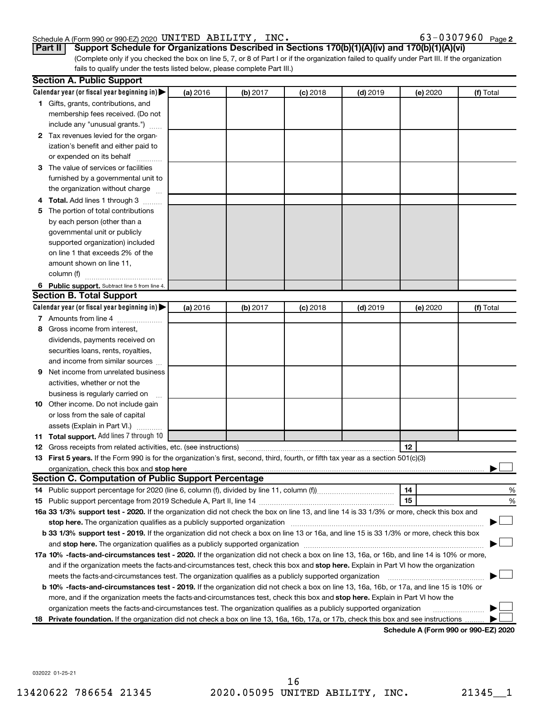#### Schedule A (Form 990 or 990-EZ) 2020 Page UNITED ABILITY, INC. 63-0307960

63-0307960 Page 2

## **Part II Support Schedule for Organizations Described in Sections 170(b)(1)(A)(iv) and 170(b)(1)(A)(vi)**

(Complete only if you checked the box on line 5, 7, or 8 of Part I or if the organization failed to qualify under Part III. If the organization fails to qualify under the tests listed below, please complete Part III.)

| Calendar year (or fiscal year beginning in)<br>(a) 2016<br>(b) 2017<br>$(c)$ 2018<br>$(d)$ 2019<br>(e) 2020<br>(f) Total<br>1 Gifts, grants, contributions, and<br>membership fees received. (Do not<br>include any "unusual grants.")<br>2 Tax revenues levied for the organ-<br>ization's benefit and either paid to<br>or expended on its behalf<br>3 The value of services or facilities<br>furnished by a governmental unit to<br>the organization without charge<br>4 Total. Add lines 1 through 3<br>5 The portion of total contributions<br>by each person (other than a<br>governmental unit or publicly<br>supported organization) included<br>on line 1 that exceeds 2% of the<br>amount shown on line 11,<br>column (f)<br>6 Public support. Subtract line 5 from line 4.<br><b>Section B. Total Support</b><br>Calendar year (or fiscal year beginning in)<br>(a) 2016<br>(b) 2017<br>$(c)$ 2018<br>$(d)$ 2019<br>(f) Total<br>(e) 2020<br>7 Amounts from line 4<br>Gross income from interest,<br>8<br>dividends, payments received on<br>securities loans, rents, royalties,<br>and income from similar sources<br>Net income from unrelated business<br>9<br>activities, whether or not the<br>business is regularly carried on<br>10 Other income. Do not include gain<br>or loss from the sale of capital<br>assets (Explain in Part VI.)<br>11 Total support. Add lines 7 through 10<br>12<br><b>12</b> Gross receipts from related activities, etc. (see instructions)<br>13 First 5 years. If the Form 990 is for the organization's first, second, third, fourth, or fifth tax year as a section 501(c)(3)<br>organization, check this box and stop here <b>construction and construction</b> control and construction of the construction of the construction of the construction of the construction of the construction of the construction of<br><b>Section C. Computation of Public Support Percentage</b> |   |
|---------------------------------------------------------------------------------------------------------------------------------------------------------------------------------------------------------------------------------------------------------------------------------------------------------------------------------------------------------------------------------------------------------------------------------------------------------------------------------------------------------------------------------------------------------------------------------------------------------------------------------------------------------------------------------------------------------------------------------------------------------------------------------------------------------------------------------------------------------------------------------------------------------------------------------------------------------------------------------------------------------------------------------------------------------------------------------------------------------------------------------------------------------------------------------------------------------------------------------------------------------------------------------------------------------------------------------------------------------------------------------------------------------------------------------------------------------------------------------------------------------------------------------------------------------------------------------------------------------------------------------------------------------------------------------------------------------------------------------------------------------------------------------------------------------------------------------------------------------------------------------------------------------------------------------------|---|
|                                                                                                                                                                                                                                                                                                                                                                                                                                                                                                                                                                                                                                                                                                                                                                                                                                                                                                                                                                                                                                                                                                                                                                                                                                                                                                                                                                                                                                                                                                                                                                                                                                                                                                                                                                                                                                                                                                                                       |   |
|                                                                                                                                                                                                                                                                                                                                                                                                                                                                                                                                                                                                                                                                                                                                                                                                                                                                                                                                                                                                                                                                                                                                                                                                                                                                                                                                                                                                                                                                                                                                                                                                                                                                                                                                                                                                                                                                                                                                       |   |
|                                                                                                                                                                                                                                                                                                                                                                                                                                                                                                                                                                                                                                                                                                                                                                                                                                                                                                                                                                                                                                                                                                                                                                                                                                                                                                                                                                                                                                                                                                                                                                                                                                                                                                                                                                                                                                                                                                                                       |   |
|                                                                                                                                                                                                                                                                                                                                                                                                                                                                                                                                                                                                                                                                                                                                                                                                                                                                                                                                                                                                                                                                                                                                                                                                                                                                                                                                                                                                                                                                                                                                                                                                                                                                                                                                                                                                                                                                                                                                       |   |
|                                                                                                                                                                                                                                                                                                                                                                                                                                                                                                                                                                                                                                                                                                                                                                                                                                                                                                                                                                                                                                                                                                                                                                                                                                                                                                                                                                                                                                                                                                                                                                                                                                                                                                                                                                                                                                                                                                                                       |   |
|                                                                                                                                                                                                                                                                                                                                                                                                                                                                                                                                                                                                                                                                                                                                                                                                                                                                                                                                                                                                                                                                                                                                                                                                                                                                                                                                                                                                                                                                                                                                                                                                                                                                                                                                                                                                                                                                                                                                       |   |
|                                                                                                                                                                                                                                                                                                                                                                                                                                                                                                                                                                                                                                                                                                                                                                                                                                                                                                                                                                                                                                                                                                                                                                                                                                                                                                                                                                                                                                                                                                                                                                                                                                                                                                                                                                                                                                                                                                                                       |   |
|                                                                                                                                                                                                                                                                                                                                                                                                                                                                                                                                                                                                                                                                                                                                                                                                                                                                                                                                                                                                                                                                                                                                                                                                                                                                                                                                                                                                                                                                                                                                                                                                                                                                                                                                                                                                                                                                                                                                       |   |
|                                                                                                                                                                                                                                                                                                                                                                                                                                                                                                                                                                                                                                                                                                                                                                                                                                                                                                                                                                                                                                                                                                                                                                                                                                                                                                                                                                                                                                                                                                                                                                                                                                                                                                                                                                                                                                                                                                                                       |   |
|                                                                                                                                                                                                                                                                                                                                                                                                                                                                                                                                                                                                                                                                                                                                                                                                                                                                                                                                                                                                                                                                                                                                                                                                                                                                                                                                                                                                                                                                                                                                                                                                                                                                                                                                                                                                                                                                                                                                       |   |
|                                                                                                                                                                                                                                                                                                                                                                                                                                                                                                                                                                                                                                                                                                                                                                                                                                                                                                                                                                                                                                                                                                                                                                                                                                                                                                                                                                                                                                                                                                                                                                                                                                                                                                                                                                                                                                                                                                                                       |   |
|                                                                                                                                                                                                                                                                                                                                                                                                                                                                                                                                                                                                                                                                                                                                                                                                                                                                                                                                                                                                                                                                                                                                                                                                                                                                                                                                                                                                                                                                                                                                                                                                                                                                                                                                                                                                                                                                                                                                       |   |
|                                                                                                                                                                                                                                                                                                                                                                                                                                                                                                                                                                                                                                                                                                                                                                                                                                                                                                                                                                                                                                                                                                                                                                                                                                                                                                                                                                                                                                                                                                                                                                                                                                                                                                                                                                                                                                                                                                                                       |   |
|                                                                                                                                                                                                                                                                                                                                                                                                                                                                                                                                                                                                                                                                                                                                                                                                                                                                                                                                                                                                                                                                                                                                                                                                                                                                                                                                                                                                                                                                                                                                                                                                                                                                                                                                                                                                                                                                                                                                       |   |
|                                                                                                                                                                                                                                                                                                                                                                                                                                                                                                                                                                                                                                                                                                                                                                                                                                                                                                                                                                                                                                                                                                                                                                                                                                                                                                                                                                                                                                                                                                                                                                                                                                                                                                                                                                                                                                                                                                                                       |   |
|                                                                                                                                                                                                                                                                                                                                                                                                                                                                                                                                                                                                                                                                                                                                                                                                                                                                                                                                                                                                                                                                                                                                                                                                                                                                                                                                                                                                                                                                                                                                                                                                                                                                                                                                                                                                                                                                                                                                       |   |
|                                                                                                                                                                                                                                                                                                                                                                                                                                                                                                                                                                                                                                                                                                                                                                                                                                                                                                                                                                                                                                                                                                                                                                                                                                                                                                                                                                                                                                                                                                                                                                                                                                                                                                                                                                                                                                                                                                                                       |   |
|                                                                                                                                                                                                                                                                                                                                                                                                                                                                                                                                                                                                                                                                                                                                                                                                                                                                                                                                                                                                                                                                                                                                                                                                                                                                                                                                                                                                                                                                                                                                                                                                                                                                                                                                                                                                                                                                                                                                       |   |
|                                                                                                                                                                                                                                                                                                                                                                                                                                                                                                                                                                                                                                                                                                                                                                                                                                                                                                                                                                                                                                                                                                                                                                                                                                                                                                                                                                                                                                                                                                                                                                                                                                                                                                                                                                                                                                                                                                                                       |   |
|                                                                                                                                                                                                                                                                                                                                                                                                                                                                                                                                                                                                                                                                                                                                                                                                                                                                                                                                                                                                                                                                                                                                                                                                                                                                                                                                                                                                                                                                                                                                                                                                                                                                                                                                                                                                                                                                                                                                       |   |
|                                                                                                                                                                                                                                                                                                                                                                                                                                                                                                                                                                                                                                                                                                                                                                                                                                                                                                                                                                                                                                                                                                                                                                                                                                                                                                                                                                                                                                                                                                                                                                                                                                                                                                                                                                                                                                                                                                                                       |   |
|                                                                                                                                                                                                                                                                                                                                                                                                                                                                                                                                                                                                                                                                                                                                                                                                                                                                                                                                                                                                                                                                                                                                                                                                                                                                                                                                                                                                                                                                                                                                                                                                                                                                                                                                                                                                                                                                                                                                       |   |
|                                                                                                                                                                                                                                                                                                                                                                                                                                                                                                                                                                                                                                                                                                                                                                                                                                                                                                                                                                                                                                                                                                                                                                                                                                                                                                                                                                                                                                                                                                                                                                                                                                                                                                                                                                                                                                                                                                                                       |   |
|                                                                                                                                                                                                                                                                                                                                                                                                                                                                                                                                                                                                                                                                                                                                                                                                                                                                                                                                                                                                                                                                                                                                                                                                                                                                                                                                                                                                                                                                                                                                                                                                                                                                                                                                                                                                                                                                                                                                       |   |
|                                                                                                                                                                                                                                                                                                                                                                                                                                                                                                                                                                                                                                                                                                                                                                                                                                                                                                                                                                                                                                                                                                                                                                                                                                                                                                                                                                                                                                                                                                                                                                                                                                                                                                                                                                                                                                                                                                                                       |   |
|                                                                                                                                                                                                                                                                                                                                                                                                                                                                                                                                                                                                                                                                                                                                                                                                                                                                                                                                                                                                                                                                                                                                                                                                                                                                                                                                                                                                                                                                                                                                                                                                                                                                                                                                                                                                                                                                                                                                       |   |
|                                                                                                                                                                                                                                                                                                                                                                                                                                                                                                                                                                                                                                                                                                                                                                                                                                                                                                                                                                                                                                                                                                                                                                                                                                                                                                                                                                                                                                                                                                                                                                                                                                                                                                                                                                                                                                                                                                                                       |   |
|                                                                                                                                                                                                                                                                                                                                                                                                                                                                                                                                                                                                                                                                                                                                                                                                                                                                                                                                                                                                                                                                                                                                                                                                                                                                                                                                                                                                                                                                                                                                                                                                                                                                                                                                                                                                                                                                                                                                       |   |
|                                                                                                                                                                                                                                                                                                                                                                                                                                                                                                                                                                                                                                                                                                                                                                                                                                                                                                                                                                                                                                                                                                                                                                                                                                                                                                                                                                                                                                                                                                                                                                                                                                                                                                                                                                                                                                                                                                                                       |   |
|                                                                                                                                                                                                                                                                                                                                                                                                                                                                                                                                                                                                                                                                                                                                                                                                                                                                                                                                                                                                                                                                                                                                                                                                                                                                                                                                                                                                                                                                                                                                                                                                                                                                                                                                                                                                                                                                                                                                       |   |
|                                                                                                                                                                                                                                                                                                                                                                                                                                                                                                                                                                                                                                                                                                                                                                                                                                                                                                                                                                                                                                                                                                                                                                                                                                                                                                                                                                                                                                                                                                                                                                                                                                                                                                                                                                                                                                                                                                                                       |   |
|                                                                                                                                                                                                                                                                                                                                                                                                                                                                                                                                                                                                                                                                                                                                                                                                                                                                                                                                                                                                                                                                                                                                                                                                                                                                                                                                                                                                                                                                                                                                                                                                                                                                                                                                                                                                                                                                                                                                       |   |
|                                                                                                                                                                                                                                                                                                                                                                                                                                                                                                                                                                                                                                                                                                                                                                                                                                                                                                                                                                                                                                                                                                                                                                                                                                                                                                                                                                                                                                                                                                                                                                                                                                                                                                                                                                                                                                                                                                                                       |   |
|                                                                                                                                                                                                                                                                                                                                                                                                                                                                                                                                                                                                                                                                                                                                                                                                                                                                                                                                                                                                                                                                                                                                                                                                                                                                                                                                                                                                                                                                                                                                                                                                                                                                                                                                                                                                                                                                                                                                       |   |
|                                                                                                                                                                                                                                                                                                                                                                                                                                                                                                                                                                                                                                                                                                                                                                                                                                                                                                                                                                                                                                                                                                                                                                                                                                                                                                                                                                                                                                                                                                                                                                                                                                                                                                                                                                                                                                                                                                                                       |   |
|                                                                                                                                                                                                                                                                                                                                                                                                                                                                                                                                                                                                                                                                                                                                                                                                                                                                                                                                                                                                                                                                                                                                                                                                                                                                                                                                                                                                                                                                                                                                                                                                                                                                                                                                                                                                                                                                                                                                       |   |
|                                                                                                                                                                                                                                                                                                                                                                                                                                                                                                                                                                                                                                                                                                                                                                                                                                                                                                                                                                                                                                                                                                                                                                                                                                                                                                                                                                                                                                                                                                                                                                                                                                                                                                                                                                                                                                                                                                                                       |   |
| 14                                                                                                                                                                                                                                                                                                                                                                                                                                                                                                                                                                                                                                                                                                                                                                                                                                                                                                                                                                                                                                                                                                                                                                                                                                                                                                                                                                                                                                                                                                                                                                                                                                                                                                                                                                                                                                                                                                                                    | % |
| 15                                                                                                                                                                                                                                                                                                                                                                                                                                                                                                                                                                                                                                                                                                                                                                                                                                                                                                                                                                                                                                                                                                                                                                                                                                                                                                                                                                                                                                                                                                                                                                                                                                                                                                                                                                                                                                                                                                                                    | % |
| 16a 33 1/3% support test - 2020. If the organization did not check the box on line 13, and line 14 is 33 1/3% or more, check this box and                                                                                                                                                                                                                                                                                                                                                                                                                                                                                                                                                                                                                                                                                                                                                                                                                                                                                                                                                                                                                                                                                                                                                                                                                                                                                                                                                                                                                                                                                                                                                                                                                                                                                                                                                                                             |   |
|                                                                                                                                                                                                                                                                                                                                                                                                                                                                                                                                                                                                                                                                                                                                                                                                                                                                                                                                                                                                                                                                                                                                                                                                                                                                                                                                                                                                                                                                                                                                                                                                                                                                                                                                                                                                                                                                                                                                       |   |
| b 33 1/3% support test - 2019. If the organization did not check a box on line 13 or 16a, and line 15 is 33 1/3% or more, check this box                                                                                                                                                                                                                                                                                                                                                                                                                                                                                                                                                                                                                                                                                                                                                                                                                                                                                                                                                                                                                                                                                                                                                                                                                                                                                                                                                                                                                                                                                                                                                                                                                                                                                                                                                                                              |   |
|                                                                                                                                                                                                                                                                                                                                                                                                                                                                                                                                                                                                                                                                                                                                                                                                                                                                                                                                                                                                                                                                                                                                                                                                                                                                                                                                                                                                                                                                                                                                                                                                                                                                                                                                                                                                                                                                                                                                       |   |
| 17a 10% -facts-and-circumstances test - 2020. If the organization did not check a box on line 13, 16a, or 16b, and line 14 is 10% or more,                                                                                                                                                                                                                                                                                                                                                                                                                                                                                                                                                                                                                                                                                                                                                                                                                                                                                                                                                                                                                                                                                                                                                                                                                                                                                                                                                                                                                                                                                                                                                                                                                                                                                                                                                                                            |   |
| and if the organization meets the facts-and-circumstances test, check this box and stop here. Explain in Part VI how the organization                                                                                                                                                                                                                                                                                                                                                                                                                                                                                                                                                                                                                                                                                                                                                                                                                                                                                                                                                                                                                                                                                                                                                                                                                                                                                                                                                                                                                                                                                                                                                                                                                                                                                                                                                                                                 |   |
| meets the facts-and-circumstances test. The organization qualifies as a publicly supported organization                                                                                                                                                                                                                                                                                                                                                                                                                                                                                                                                                                                                                                                                                                                                                                                                                                                                                                                                                                                                                                                                                                                                                                                                                                                                                                                                                                                                                                                                                                                                                                                                                                                                                                                                                                                                                               |   |
| <b>b 10% -facts-and-circumstances test - 2019.</b> If the organization did not check a box on line 13, 16a, 16b, or 17a, and line 15 is 10% or                                                                                                                                                                                                                                                                                                                                                                                                                                                                                                                                                                                                                                                                                                                                                                                                                                                                                                                                                                                                                                                                                                                                                                                                                                                                                                                                                                                                                                                                                                                                                                                                                                                                                                                                                                                        |   |
| more, and if the organization meets the facts-and-circumstances test, check this box and stop here. Explain in Part VI how the                                                                                                                                                                                                                                                                                                                                                                                                                                                                                                                                                                                                                                                                                                                                                                                                                                                                                                                                                                                                                                                                                                                                                                                                                                                                                                                                                                                                                                                                                                                                                                                                                                                                                                                                                                                                        |   |
| organization meets the facts-and-circumstances test. The organization qualifies as a publicly supported organization                                                                                                                                                                                                                                                                                                                                                                                                                                                                                                                                                                                                                                                                                                                                                                                                                                                                                                                                                                                                                                                                                                                                                                                                                                                                                                                                                                                                                                                                                                                                                                                                                                                                                                                                                                                                                  |   |
| 18 Private foundation. If the organization did not check a box on line 13, 16a, 16b, 17a, or 17b, check this box and see instructions                                                                                                                                                                                                                                                                                                                                                                                                                                                                                                                                                                                                                                                                                                                                                                                                                                                                                                                                                                                                                                                                                                                                                                                                                                                                                                                                                                                                                                                                                                                                                                                                                                                                                                                                                                                                 |   |

**Schedule A (Form 990 or 990-EZ) 2020**

032022 01-25-21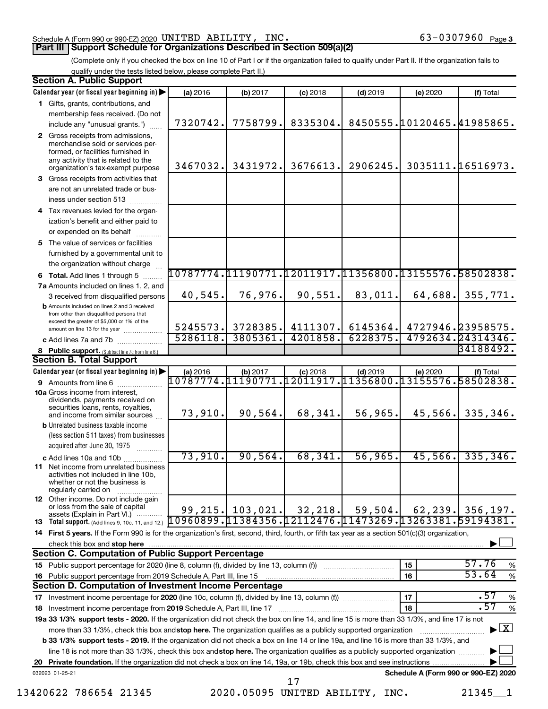#### Schedule A (Form 990 or 990-EZ) 2020 Page UNITED ABILITY, INC. 63-0307960

(Complete only if you checked the box on line 10 of Part I or if the organization failed to qualify under Part II. If the organization fails to qualify under the tests listed below, please complete Part II.)

| <b>Section A. Public Support</b>                                                                                                                    |                                                          |                     |                                      |            |                            |                                          |
|-----------------------------------------------------------------------------------------------------------------------------------------------------|----------------------------------------------------------|---------------------|--------------------------------------|------------|----------------------------|------------------------------------------|
| Calendar year (or fiscal year beginning in)                                                                                                         | (a) 2016                                                 | (b) 2017            | $(c)$ 2018                           | $(d)$ 2019 | (e) 2020                   | (f) Total                                |
| 1 Gifts, grants, contributions, and                                                                                                                 |                                                          |                     |                                      |            |                            |                                          |
| membership fees received. (Do not                                                                                                                   |                                                          |                     |                                      |            |                            |                                          |
| include any "unusual grants.")                                                                                                                      | 7320742.                                                 | 7758799.            | 8335304.                             |            | 8450555.10120465.41985865. |                                          |
| 2 Gross receipts from admissions,<br>merchandise sold or services per-<br>formed, or facilities furnished in<br>any activity that is related to the | 3467032.                                                 | 3431972.            | 3676613.                             | 2906245.   |                            | 3035111.16516973.                        |
| organization's tax-exempt purpose<br>3 Gross receipts from activities that                                                                          |                                                          |                     |                                      |            |                            |                                          |
| are not an unrelated trade or bus-                                                                                                                  |                                                          |                     |                                      |            |                            |                                          |
| iness under section 513                                                                                                                             |                                                          |                     |                                      |            |                            |                                          |
| 4 Tax revenues levied for the organ-                                                                                                                |                                                          |                     |                                      |            |                            |                                          |
| ization's benefit and either paid to                                                                                                                |                                                          |                     |                                      |            |                            |                                          |
| or expended on its behalf                                                                                                                           |                                                          |                     |                                      |            |                            |                                          |
| 5 The value of services or facilities                                                                                                               |                                                          |                     |                                      |            |                            |                                          |
| furnished by a governmental unit to                                                                                                                 |                                                          |                     |                                      |            |                            |                                          |
| the organization without charge                                                                                                                     |                                                          |                     |                                      |            |                            |                                          |
| 6 Total. Add lines 1 through 5                                                                                                                      | 10787774.11190771                                        |                     | 12011917.11356800.13155576.58502838. |            |                            |                                          |
| 7a Amounts included on lines 1, 2, and                                                                                                              |                                                          |                     |                                      |            |                            |                                          |
| 3 received from disqualified persons                                                                                                                | 40,545.                                                  | 76,976.             | 90,551.                              | 83,011.    | 64,688.                    | 355,771.                                 |
| <b>b</b> Amounts included on lines 2 and 3 received<br>from other than disqualified persons that<br>exceed the greater of \$5,000 or 1% of the      |                                                          |                     |                                      |            |                            |                                          |
| amount on line 13 for the year                                                                                                                      | 5245573.                                                 | 3728385.            | 4111307.                             | 6145364.   |                            | 4727946.23958575.                        |
| c Add lines 7a and 7b                                                                                                                               | 5286118.                                                 | 3805361.            | 4201858.                             | 6228375.   |                            | 4792634.24314346.                        |
| 8 Public support. (Subtract line 7c from line 6.)                                                                                                   |                                                          |                     |                                      |            |                            | 34188492.                                |
| <b>Section B. Total Support</b>                                                                                                                     |                                                          |                     |                                      |            |                            |                                          |
| Calendar year (or fiscal year beginning in)                                                                                                         | (a) 2016                                                 | (b) 2017            | $(c)$ 2018                           | $(d)$ 2019 | (e) 2020                   | (f) Total                                |
| 9 Amounts from line 6                                                                                                                               | 10787774.                                                | 1190771             | 12011917.11356800.13155576.58502838. |            |                            |                                          |
| <b>10a</b> Gross income from interest,<br>dividends, payments received on<br>securities loans, rents, royalties,                                    | 73,910.                                                  | 90,564.             | 68,341.                              | 56,965.    | 45,566.                    | 335,346.                                 |
| and income from similar sources<br><b>b</b> Unrelated business taxable income                                                                       |                                                          |                     |                                      |            |                            |                                          |
| (less section 511 taxes) from businesses                                                                                                            |                                                          |                     |                                      |            |                            |                                          |
| acquired after June 30, 1975                                                                                                                        |                                                          |                     |                                      |            |                            |                                          |
| c Add lines 10a and 10b                                                                                                                             | 73,910.                                                  | 90, 564.            | 68,341.                              | 56,965.    | 45,566.                    | 335, 346.                                |
| 11 Net income from unrelated business<br>activities not included in line 10b,<br>whether or not the business is<br>regularly carried on             |                                                          |                     |                                      |            |                            |                                          |
| <b>12</b> Other income. Do not include gain<br>or loss from the sale of capital<br>assets (Explain in Part VI.)                                     |                                                          | $99, 215.$ 103,021. | 32, 218.                             | 59,504.    | 62, 239.                   | 356, 197.                                |
| <b>13</b> Total support. (Add lines 9, 10c, 11, and 12.)                                                                                            | $10960899.11384356.12112476.11473269.13263381.59194381.$ |                     |                                      |            |                            |                                          |
| 14 First 5 years. If the Form 990 is for the organization's first, second, third, fourth, or fifth tax year as a section 501(c)(3) organization,    |                                                          |                     |                                      |            |                            |                                          |
| check this box and stop here                                                                                                                        |                                                          |                     |                                      |            |                            |                                          |
| <b>Section C. Computation of Public Support Percentage</b>                                                                                          |                                                          |                     |                                      |            |                            |                                          |
|                                                                                                                                                     |                                                          |                     |                                      |            | 15                         | 57.76<br>%                               |
| 16 Public support percentage from 2019 Schedule A, Part III, line 15                                                                                |                                                          |                     |                                      |            | 16                         | 53.64<br>$\%$                            |
| Section D. Computation of Investment Income Percentage                                                                                              |                                                          |                     |                                      |            |                            |                                          |
| 17 Investment income percentage for 2020 (line 10c, column (f), divided by line 13, column (f))                                                     |                                                          |                     |                                      |            | 17                         | .57<br>$\%$                              |
| 18 Investment income percentage from 2019 Schedule A, Part III, line 17                                                                             |                                                          |                     |                                      |            | 18                         | $\overline{.57}$<br>$\%$                 |
| 19a 33 1/3% support tests - 2020. If the organization did not check the box on line 14, and line 15 is more than 33 1/3%, and line 17 is not        |                                                          |                     |                                      |            |                            |                                          |
| more than 33 1/3%, check this box and stop here. The organization qualifies as a publicly supported organization                                    |                                                          |                     |                                      |            |                            | $\blacktriangleright$ $\boxed{\text{X}}$ |
| <b>b 33 1/3% support tests - 2019.</b> If the organization did not check a box on line 14 or line 19a, and line 16 is more than 33 1/3%, and        |                                                          |                     |                                      |            |                            |                                          |
| line 18 is not more than 33 1/3%, check this box and stop here. The organization qualifies as a publicly supported organization                     |                                                          |                     |                                      |            |                            |                                          |
|                                                                                                                                                     |                                                          |                     |                                      |            |                            |                                          |
| 032023 01-25-21                                                                                                                                     |                                                          |                     | 17                                   |            |                            | Schedule A (Form 990 or 990-EZ) 2020     |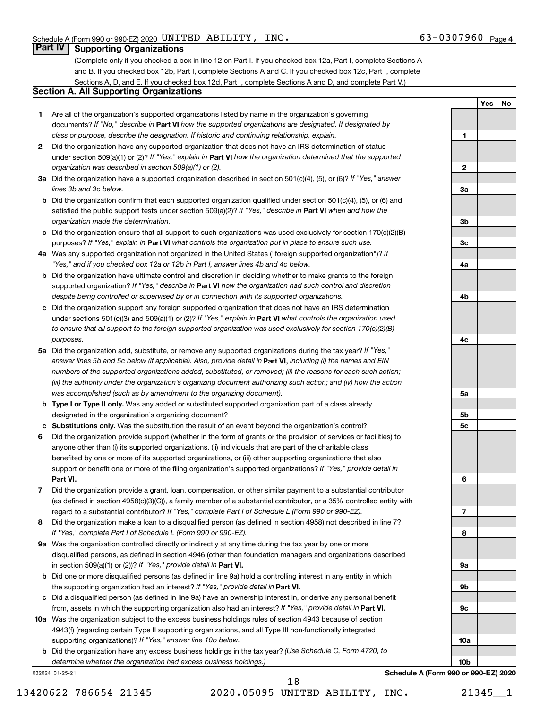**1**

**Yes No**

#### **Part IV Supporting Organizations**

(Complete only if you checked a box in line 12 on Part I. If you checked box 12a, Part I, complete Sections A and B. If you checked box 12b, Part I, complete Sections A and C. If you checked box 12c, Part I, complete Sections A, D, and E. If you checked box 12d, Part I, complete Sections A and D, and complete Part V.)

### **Section A. All Supporting Organizations**

- **1** Are all of the organization's supported organizations listed by name in the organization's governing documents? If "No," describe in Part VI how the supported organizations are designated. If designated by *class or purpose, describe the designation. If historic and continuing relationship, explain.*
- **2** Did the organization have any supported organization that does not have an IRS determination of status under section 509(a)(1) or (2)? If "Yes," explain in Part **VI** how the organization determined that the supported *organization was described in section 509(a)(1) or (2).*
- **3a** Did the organization have a supported organization described in section 501(c)(4), (5), or (6)? If "Yes," answer *lines 3b and 3c below.*
- **b** Did the organization confirm that each supported organization qualified under section 501(c)(4), (5), or (6) and satisfied the public support tests under section 509(a)(2)? If "Yes," describe in Part VI when and how the *organization made the determination.*
- **c** Did the organization ensure that all support to such organizations was used exclusively for section 170(c)(2)(B) purposes? If "Yes," explain in Part VI what controls the organization put in place to ensure such use.
- **4 a** *If* Was any supported organization not organized in the United States ("foreign supported organization")? *"Yes," and if you checked box 12a or 12b in Part I, answer lines 4b and 4c below.*
- **b** Did the organization have ultimate control and discretion in deciding whether to make grants to the foreign supported organization? If "Yes," describe in Part VI how the organization had such control and discretion *despite being controlled or supervised by or in connection with its supported organizations.*
- **c** Did the organization support any foreign supported organization that does not have an IRS determination under sections 501(c)(3) and 509(a)(1) or (2)? If "Yes," explain in Part VI what controls the organization used *to ensure that all support to the foreign supported organization was used exclusively for section 170(c)(2)(B) purposes.*
- **5a** Did the organization add, substitute, or remove any supported organizations during the tax year? If "Yes," answer lines 5b and 5c below (if applicable). Also, provide detail in **Part VI,** including (i) the names and EIN *numbers of the supported organizations added, substituted, or removed; (ii) the reasons for each such action; (iii) the authority under the organization's organizing document authorizing such action; and (iv) how the action was accomplished (such as by amendment to the organizing document).*
- **b** Type I or Type II only. Was any added or substituted supported organization part of a class already designated in the organization's organizing document?
- **c Substitutions only.**  Was the substitution the result of an event beyond the organization's control?
- **6** Did the organization provide support (whether in the form of grants or the provision of services or facilities) to **Part VI.** support or benefit one or more of the filing organization's supported organizations? If "Yes," provide detail in anyone other than (i) its supported organizations, (ii) individuals that are part of the charitable class benefited by one or more of its supported organizations, or (iii) other supporting organizations that also
- **7** Did the organization provide a grant, loan, compensation, or other similar payment to a substantial contributor regard to a substantial contributor? If "Yes," complete Part I of Schedule L (Form 990 or 990-EZ). (as defined in section 4958(c)(3)(C)), a family member of a substantial contributor, or a 35% controlled entity with
- **8** Did the organization make a loan to a disqualified person (as defined in section 4958) not described in line 7? *If "Yes," complete Part I of Schedule L (Form 990 or 990-EZ).*
- **9 a** Was the organization controlled directly or indirectly at any time during the tax year by one or more in section 509(a)(1) or (2))? If "Yes," provide detail in **Part VI.** disqualified persons, as defined in section 4946 (other than foundation managers and organizations described
- **b** Did one or more disqualified persons (as defined in line 9a) hold a controlling interest in any entity in which the supporting organization had an interest? If "Yes," provide detail in Part VI.
- **c** Did a disqualified person (as defined in line 9a) have an ownership interest in, or derive any personal benefit from, assets in which the supporting organization also had an interest? If "Yes," provide detail in Part VI.
- **10 a** Was the organization subject to the excess business holdings rules of section 4943 because of section supporting organizations)? If "Yes," answer line 10b below. 4943(f) (regarding certain Type II supporting organizations, and all Type III non-functionally integrated
	- **b** Did the organization have any excess business holdings in the tax year? (Use Schedule C, Form 4720, to *determine whether the organization had excess business holdings.)*

032024 01-25-21

**2 3a 3b 3c 4a 4b 4c 5a 5b 5c 6 7 8 9a 9b 9c 10a 10b**

**Schedule A (Form 990 or 990-EZ) 2020**

18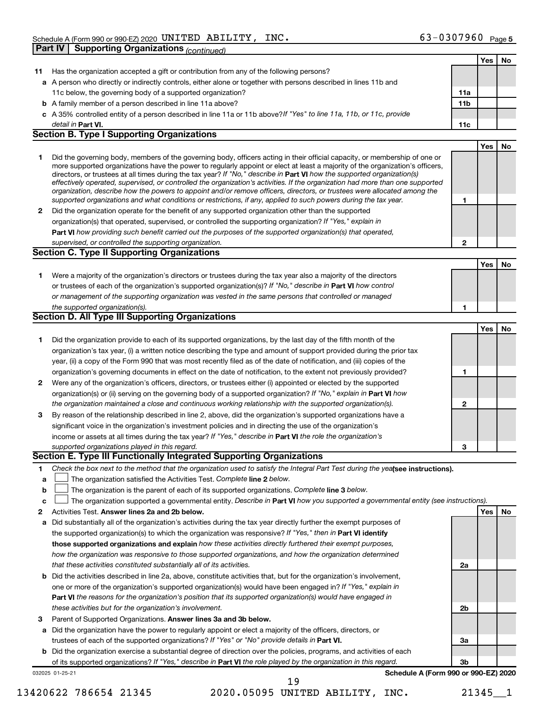|              |                                                                                                                                   |              | Yes | No |
|--------------|-----------------------------------------------------------------------------------------------------------------------------------|--------------|-----|----|
| 11.          | Has the organization accepted a gift or contribution from any of the following persons?                                           |              |     |    |
|              | a A person who directly or indirectly controls, either alone or together with persons described in lines 11b and                  |              |     |    |
|              | 11c below, the governing body of a supported organization?                                                                        | 11a          |     |    |
|              | <b>b</b> A family member of a person described in line 11a above?                                                                 | 11b          |     |    |
|              | c A 35% controlled entity of a person described in line 11a or 11b above?If "Yes" to line 11a, 11b, or 11c, provide               |              |     |    |
|              | detail in Part VI.                                                                                                                | 11c          |     |    |
|              | <b>Section B. Type I Supporting Organizations</b>                                                                                 |              |     |    |
|              |                                                                                                                                   |              | Yes | No |
| 1.           | Did the governing body, members of the governing body, officers acting in their official capacity, or membership of one or        |              |     |    |
|              | more supported organizations have the power to regularly appoint or elect at least a majority of the organization's officers,     |              |     |    |
|              | directors, or trustees at all times during the tax year? If "No," describe in Part VI how the supported organization(s)           |              |     |    |
|              | effectively operated, supervised, or controlled the organization's activities. If the organization had more than one supported    |              |     |    |
|              | organization, describe how the powers to appoint and/or remove officers, directors, or trustees were allocated among the          |              |     |    |
|              | supported organizations and what conditions or restrictions, if any, applied to such powers during the tax year.                  | 1            |     |    |
|              | 2 Did the organization operate for the benefit of any supported organization other than the supported                             |              |     |    |
|              | organization(s) that operated, supervised, or controlled the supporting organization? If "Yes," explain in                        |              |     |    |
|              | Part VI how providing such benefit carried out the purposes of the supported organization(s) that operated,                       |              |     |    |
|              | supervised, or controlled the supporting organization.                                                                            | $\mathbf{2}$ |     |    |
|              | <b>Section C. Type II Supporting Organizations</b>                                                                                |              |     |    |
|              |                                                                                                                                   |              | Yes | No |
| 1.           | Were a majority of the organization's directors or trustees during the tax year also a majority of the directors                  |              |     |    |
|              | or trustees of each of the organization's supported organization(s)? If "No," describe in Part VI how control                     |              |     |    |
|              | or management of the supporting organization was vested in the same persons that controlled or managed                            |              |     |    |
|              | the supported organization(s).                                                                                                    | 1            |     |    |
|              | <b>Section D. All Type III Supporting Organizations</b>                                                                           |              |     |    |
|              |                                                                                                                                   |              | Yes | No |
| 1.           | Did the organization provide to each of its supported organizations, by the last day of the fifth month of the                    |              |     |    |
|              | organization's tax year, (i) a written notice describing the type and amount of support provided during the prior tax             |              |     |    |
|              | year, (ii) a copy of the Form 990 that was most recently filed as of the date of notification, and (iii) copies of the            |              |     |    |
|              | organization's governing documents in effect on the date of notification, to the extent not previously provided?                  | 1            |     |    |
| $\mathbf{2}$ | Were any of the organization's officers, directors, or trustees either (i) appointed or elected by the supported                  |              |     |    |
|              | organization(s) or (ii) serving on the governing body of a supported organization? If "No," explain in Part VI how                |              |     |    |
|              | the organization maintained a close and continuous working relationship with the supported organization(s).                       | 2            |     |    |
| 3            | By reason of the relationship described in line 2, above, did the organization's supported organizations have a                   |              |     |    |
|              | significant voice in the organization's investment policies and in directing the use of the organization's                        |              |     |    |
|              | income or assets at all times during the tax year? If "Yes," describe in Part VI the role the organization's                      |              |     |    |
|              | supported organizations played in this regard.                                                                                    | 3            |     |    |
|              | Section E. Type III Functionally Integrated Supporting Organizations                                                              |              |     |    |
| 1.           | Check the box next to the method that the organization used to satisfy the Integral Part Test during the yealsee instructions).   |              |     |    |
| a            | The organization satisfied the Activities Test. Complete line 2 below.                                                            |              |     |    |
| b            | The organization is the parent of each of its supported organizations. Complete line 3 below.                                     |              |     |    |
| c            | The organization supported a governmental entity. Describe in Part VI how you supported a governmental entity (see instructions). |              |     |    |
| 2            | Activities Test. Answer lines 2a and 2b below.                                                                                    |              | Yes | No |
| а            | Did substantially all of the organization's activities during the tax year directly further the exempt purposes of                |              |     |    |
|              | the supported organization(s) to which the organization was responsive? If "Yes," then in Part VI identify                        |              |     |    |
|              | those supported organizations and explain how these activities directly furthered their exempt purposes,                          |              |     |    |
|              | how the organization was responsive to those supported organizations, and how the organization determined                         |              |     |    |
|              | that these activities constituted substantially all of its activities.                                                            | 2a           |     |    |
|              | <b>b</b> Did the activities described in line 2a, above, constitute activities that, but for the organization's involvement,      |              |     |    |
|              | one or more of the organization's supported organization(s) would have been engaged in? If "Yes," explain in                      |              |     |    |
|              | Part VI the reasons for the organization's position that its supported organization(s) would have engaged in                      |              |     |    |
|              | these activities but for the organization's involvement.                                                                          | 2b           |     |    |
| З            | Parent of Supported Organizations. Answer lines 3a and 3b below.                                                                  |              |     |    |
|              | a Did the organization have the power to regularly appoint or elect a majority of the officers, directors, or                     |              |     |    |
|              | trustees of each of the supported organizations? If "Yes" or "No" provide details in Part VI.                                     | За           |     |    |
|              | <b>b</b> Did the organization exercise a substantial degree of direction over the policies, programs, and activities of each      |              |     |    |
|              | of its supported organizations? If "Yes," describe in Part VI the role played by the organization in this regard.                 | 3b           |     |    |
|              | Schedule A (Form 990 or 990-EZ) 2020<br>032025 01-25-21                                                                           |              |     |    |
|              | 19                                                                                                                                |              |     |    |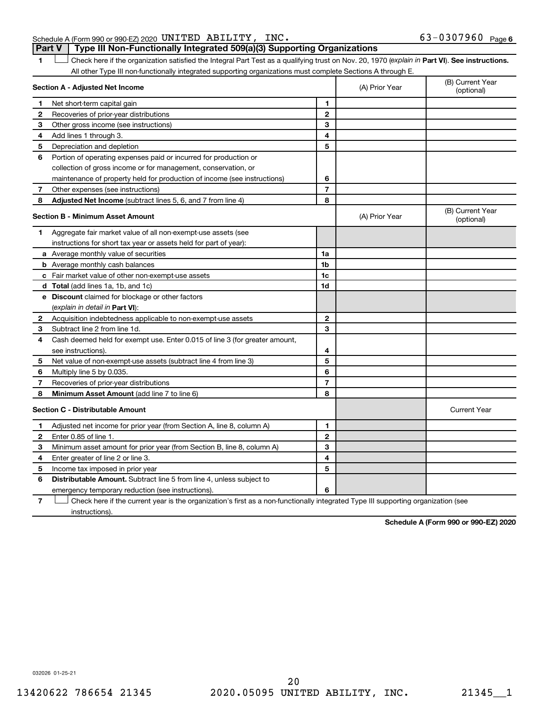#### Schedule A (Form 990 or 990-EZ) 2020 Page UNITED ABILITY, INC. 63-0307960 **Part V Type III Non-Functionally Integrated 509(a)(3) Supporting Organizations**

1 **Letter See instructions.** Check here if the organization satisfied the Integral Part Test as a qualifying trust on Nov. 20, 1970 (*explain in* Part **VI**). See instructions. All other Type III non-functionally integrated supporting organizations must complete Sections A through E.

|              | Section A - Adjusted Net Income                                                                                                   |                | (A) Prior Year | (B) Current Year<br>(optional) |
|--------------|-----------------------------------------------------------------------------------------------------------------------------------|----------------|----------------|--------------------------------|
| 1            | Net short-term capital gain                                                                                                       | 1              |                |                                |
| $\mathbf{2}$ | Recoveries of prior-year distributions                                                                                            | $\mathbf{2}$   |                |                                |
| З            | Other gross income (see instructions)                                                                                             | 3              |                |                                |
| 4            | Add lines 1 through 3.                                                                                                            | 4              |                |                                |
| 5            | Depreciation and depletion                                                                                                        | 5              |                |                                |
| 6            | Portion of operating expenses paid or incurred for production or                                                                  |                |                |                                |
|              | collection of gross income or for management, conservation, or                                                                    |                |                |                                |
|              | maintenance of property held for production of income (see instructions)                                                          | 6              |                |                                |
| 7            | Other expenses (see instructions)                                                                                                 | $\overline{7}$ |                |                                |
| 8            | Adjusted Net Income (subtract lines 5, 6, and 7 from line 4)                                                                      | 8              |                |                                |
|              | <b>Section B - Minimum Asset Amount</b>                                                                                           |                | (A) Prior Year | (B) Current Year<br>(optional) |
| 1.           | Aggregate fair market value of all non-exempt-use assets (see                                                                     |                |                |                                |
|              | instructions for short tax year or assets held for part of year):                                                                 |                |                |                                |
|              | <b>a</b> Average monthly value of securities                                                                                      | 1a             |                |                                |
|              | <b>b</b> Average monthly cash balances                                                                                            | 1 <sub>b</sub> |                |                                |
|              | c Fair market value of other non-exempt-use assets                                                                                | 1c             |                |                                |
|              | d Total (add lines 1a, 1b, and 1c)                                                                                                | 1d             |                |                                |
|              | e Discount claimed for blockage or other factors                                                                                  |                |                |                                |
|              | (explain in detail in <b>Part VI</b> ):                                                                                           |                |                |                                |
| 2            | Acquisition indebtedness applicable to non-exempt-use assets                                                                      | 2              |                |                                |
| 3            | Subtract line 2 from line 1d.                                                                                                     | 3              |                |                                |
| 4            | Cash deemed held for exempt use. Enter 0.015 of line 3 (for greater amount,                                                       |                |                |                                |
|              | see instructions).                                                                                                                | 4              |                |                                |
| 5            | Net value of non-exempt-use assets (subtract line 4 from line 3)                                                                  | 5              |                |                                |
| 6            | Multiply line 5 by 0.035.                                                                                                         | 6              |                |                                |
| 7            | Recoveries of prior-year distributions                                                                                            | $\overline{7}$ |                |                                |
| 8            | Minimum Asset Amount (add line 7 to line 6)                                                                                       | 8              |                |                                |
|              | <b>Section C - Distributable Amount</b>                                                                                           |                |                | <b>Current Year</b>            |
| 1            | Adjusted net income for prior year (from Section A, line 8, column A)                                                             | 1              |                |                                |
| 2            | Enter 0.85 of line 1.                                                                                                             | $\overline{2}$ |                |                                |
| З            | Minimum asset amount for prior year (from Section B, line 8, column A)                                                            | 3              |                |                                |
| 4            | Enter greater of line 2 or line 3.                                                                                                | 4              |                |                                |
| 5            | Income tax imposed in prior year                                                                                                  | 5              |                |                                |
| 6            | <b>Distributable Amount.</b> Subtract line 5 from line 4, unless subject to                                                       |                |                |                                |
|              | emergency temporary reduction (see instructions).                                                                                 | 6              |                |                                |
| 7            | Check here if the current year is the organization's first as a non-functionally integrated Type III supporting organization (see |                |                |                                |

instructions).

**Schedule A (Form 990 or 990-EZ) 2020**

032026 01-25-21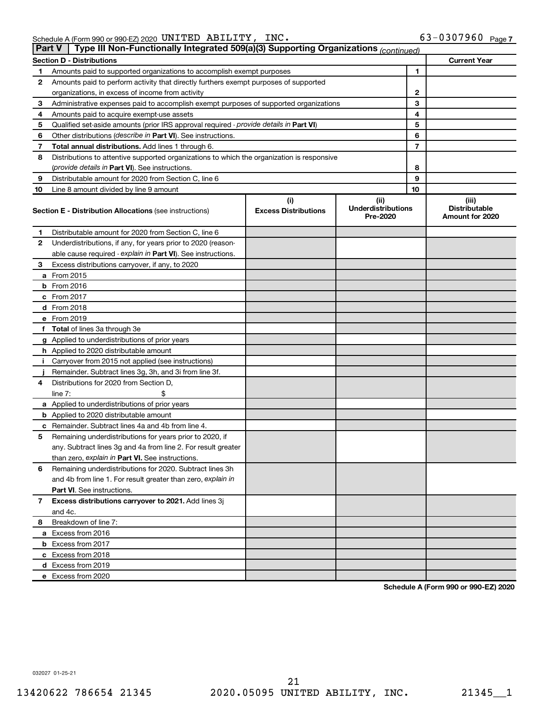| Part V | Type III Non-Functionally Integrated 509(a)(3) Supporting Organizations (continued)        |                                    |                                               |                                                  |
|--------|--------------------------------------------------------------------------------------------|------------------------------------|-----------------------------------------------|--------------------------------------------------|
|        | <b>Section D - Distributions</b>                                                           |                                    |                                               | <b>Current Year</b>                              |
| 1      | Amounts paid to supported organizations to accomplish exempt purposes                      |                                    | 1                                             |                                                  |
| 2      | Amounts paid to perform activity that directly furthers exempt purposes of supported       |                                    |                                               |                                                  |
|        | organizations, in excess of income from activity                                           |                                    | 2                                             |                                                  |
| 3      | Administrative expenses paid to accomplish exempt purposes of supported organizations      |                                    | 3                                             |                                                  |
| 4      | Amounts paid to acquire exempt-use assets                                                  |                                    | 4                                             |                                                  |
| 5      | Qualified set-aside amounts (prior IRS approval required - provide details in Part VI)     |                                    | 5                                             |                                                  |
| 6      | Other distributions ( <i>describe in Part VI</i> ). See instructions.                      |                                    | 6                                             |                                                  |
| 7      | Total annual distributions. Add lines 1 through 6.                                         |                                    | 7                                             |                                                  |
| 8      | Distributions to attentive supported organizations to which the organization is responsive |                                    |                                               |                                                  |
|        | ( <i>provide details in Part VI</i> ). See instructions.                                   |                                    | 8                                             |                                                  |
| 9      | Distributable amount for 2020 from Section C, line 6                                       |                                    | 9                                             |                                                  |
| 10     | Line 8 amount divided by line 9 amount                                                     |                                    | 10                                            |                                                  |
|        | <b>Section E - Distribution Allocations (see instructions)</b>                             | (i)<br><b>Excess Distributions</b> | (ii)<br><b>Underdistributions</b><br>Pre-2020 | (iii)<br><b>Distributable</b><br>Amount for 2020 |
| 1      | Distributable amount for 2020 from Section C, line 6                                       |                                    |                                               |                                                  |
| 2      | Underdistributions, if any, for years prior to 2020 (reason-                               |                                    |                                               |                                                  |
|        | able cause required - explain in Part VI). See instructions.                               |                                    |                                               |                                                  |
| 3      | Excess distributions carryover, if any, to 2020                                            |                                    |                                               |                                                  |
|        | a From 2015                                                                                |                                    |                                               |                                                  |
|        | $b$ From 2016                                                                              |                                    |                                               |                                                  |
|        | c From 2017                                                                                |                                    |                                               |                                                  |
|        | <b>d</b> From 2018                                                                         |                                    |                                               |                                                  |
|        | e From 2019                                                                                |                                    |                                               |                                                  |
|        | f Total of lines 3a through 3e                                                             |                                    |                                               |                                                  |
|        | g Applied to underdistributions of prior years                                             |                                    |                                               |                                                  |
|        | h Applied to 2020 distributable amount                                                     |                                    |                                               |                                                  |
| Ť.     | Carryover from 2015 not applied (see instructions)                                         |                                    |                                               |                                                  |
|        | Remainder. Subtract lines 3g, 3h, and 3i from line 3f.                                     |                                    |                                               |                                                  |
| 4      | Distributions for 2020 from Section D,                                                     |                                    |                                               |                                                  |
|        | line $7:$                                                                                  |                                    |                                               |                                                  |
|        | a Applied to underdistributions of prior years                                             |                                    |                                               |                                                  |
|        | <b>b</b> Applied to 2020 distributable amount                                              |                                    |                                               |                                                  |
|        | c Remainder. Subtract lines 4a and 4b from line 4.                                         |                                    |                                               |                                                  |
| 5      | Remaining underdistributions for years prior to 2020, if                                   |                                    |                                               |                                                  |
|        | any. Subtract lines 3g and 4a from line 2. For result greater                              |                                    |                                               |                                                  |
|        | than zero, explain in Part VI. See instructions.                                           |                                    |                                               |                                                  |
| 6      | Remaining underdistributions for 2020. Subtract lines 3h                                   |                                    |                                               |                                                  |
|        | and 4b from line 1. For result greater than zero, explain in                               |                                    |                                               |                                                  |
|        | <b>Part VI.</b> See instructions.                                                          |                                    |                                               |                                                  |
| 7      | Excess distributions carryover to 2021. Add lines 3j                                       |                                    |                                               |                                                  |
|        | and 4c.                                                                                    |                                    |                                               |                                                  |
| 8      | Breakdown of line 7:                                                                       |                                    |                                               |                                                  |
|        | a Excess from 2016                                                                         |                                    |                                               |                                                  |
|        | <b>b</b> Excess from 2017                                                                  |                                    |                                               |                                                  |
|        | c Excess from 2018                                                                         |                                    |                                               |                                                  |
|        | d Excess from 2019                                                                         |                                    |                                               |                                                  |
|        | e Excess from 2020                                                                         |                                    |                                               |                                                  |

**Schedule A (Form 990 or 990-EZ) 2020**

032027 01-25-21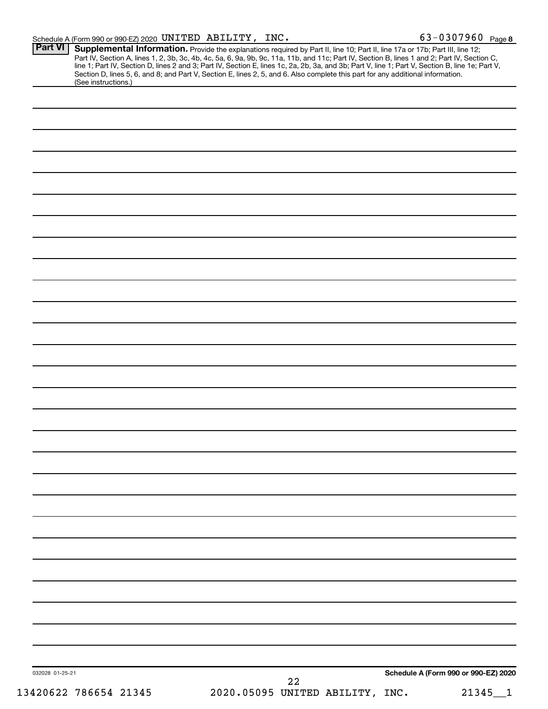|                 | <b>Supplemental Information.</b> Provide the explanations required by Part II, line 10; Part II, line 17a or 17b; Part III, line 12;<br>Part IV, Section A, lines 1, 2, 3b, 3c, 4b, 4c, 5a, 6, 9a, 9b, 9c, 11a, 11b, and 11c; Part IV,<br>Section D, lines 5, 6, and 8; and Part V, Section E, lines 2, 5, and 6. Also complete this part for any additional information.<br>(See instructions.) |  |
|-----------------|--------------------------------------------------------------------------------------------------------------------------------------------------------------------------------------------------------------------------------------------------------------------------------------------------------------------------------------------------------------------------------------------------|--|
|                 |                                                                                                                                                                                                                                                                                                                                                                                                  |  |
|                 |                                                                                                                                                                                                                                                                                                                                                                                                  |  |
|                 |                                                                                                                                                                                                                                                                                                                                                                                                  |  |
|                 |                                                                                                                                                                                                                                                                                                                                                                                                  |  |
|                 |                                                                                                                                                                                                                                                                                                                                                                                                  |  |
|                 |                                                                                                                                                                                                                                                                                                                                                                                                  |  |
|                 |                                                                                                                                                                                                                                                                                                                                                                                                  |  |
|                 |                                                                                                                                                                                                                                                                                                                                                                                                  |  |
|                 |                                                                                                                                                                                                                                                                                                                                                                                                  |  |
|                 |                                                                                                                                                                                                                                                                                                                                                                                                  |  |
|                 |                                                                                                                                                                                                                                                                                                                                                                                                  |  |
|                 |                                                                                                                                                                                                                                                                                                                                                                                                  |  |
|                 |                                                                                                                                                                                                                                                                                                                                                                                                  |  |
|                 |                                                                                                                                                                                                                                                                                                                                                                                                  |  |
|                 |                                                                                                                                                                                                                                                                                                                                                                                                  |  |
|                 |                                                                                                                                                                                                                                                                                                                                                                                                  |  |
|                 |                                                                                                                                                                                                                                                                                                                                                                                                  |  |
|                 |                                                                                                                                                                                                                                                                                                                                                                                                  |  |
|                 |                                                                                                                                                                                                                                                                                                                                                                                                  |  |
|                 |                                                                                                                                                                                                                                                                                                                                                                                                  |  |
|                 |                                                                                                                                                                                                                                                                                                                                                                                                  |  |
|                 |                                                                                                                                                                                                                                                                                                                                                                                                  |  |
|                 |                                                                                                                                                                                                                                                                                                                                                                                                  |  |
|                 |                                                                                                                                                                                                                                                                                                                                                                                                  |  |
|                 |                                                                                                                                                                                                                                                                                                                                                                                                  |  |
|                 |                                                                                                                                                                                                                                                                                                                                                                                                  |  |
|                 |                                                                                                                                                                                                                                                                                                                                                                                                  |  |
|                 |                                                                                                                                                                                                                                                                                                                                                                                                  |  |
|                 |                                                                                                                                                                                                                                                                                                                                                                                                  |  |
|                 |                                                                                                                                                                                                                                                                                                                                                                                                  |  |
|                 |                                                                                                                                                                                                                                                                                                                                                                                                  |  |
|                 |                                                                                                                                                                                                                                                                                                                                                                                                  |  |
|                 |                                                                                                                                                                                                                                                                                                                                                                                                  |  |
|                 |                                                                                                                                                                                                                                                                                                                                                                                                  |  |
|                 |                                                                                                                                                                                                                                                                                                                                                                                                  |  |
|                 |                                                                                                                                                                                                                                                                                                                                                                                                  |  |
|                 |                                                                                                                                                                                                                                                                                                                                                                                                  |  |
|                 |                                                                                                                                                                                                                                                                                                                                                                                                  |  |
|                 |                                                                                                                                                                                                                                                                                                                                                                                                  |  |
|                 |                                                                                                                                                                                                                                                                                                                                                                                                  |  |
|                 |                                                                                                                                                                                                                                                                                                                                                                                                  |  |
|                 |                                                                                                                                                                                                                                                                                                                                                                                                  |  |
|                 |                                                                                                                                                                                                                                                                                                                                                                                                  |  |
| 032028 01-25-21 | Schedule A (Form 990 or 990-EZ) 2020<br>22                                                                                                                                                                                                                                                                                                                                                       |  |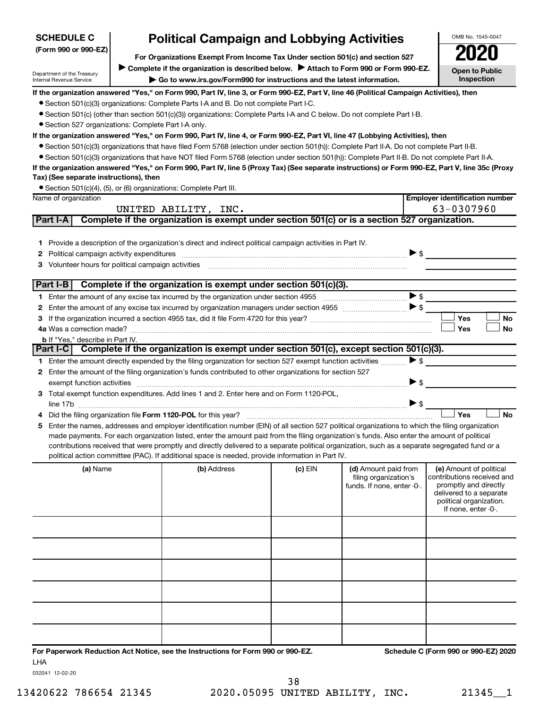| <b>SCHEDULE C</b>                                      | <b>Political Campaign and Lobbying Activities</b>                                                                                                |         |                                                                             |                          | OMB No. 1545-0047                                                                                                                                           |
|--------------------------------------------------------|--------------------------------------------------------------------------------------------------------------------------------------------------|---------|-----------------------------------------------------------------------------|--------------------------|-------------------------------------------------------------------------------------------------------------------------------------------------------------|
| (Form 990 or 990-EZ)                                   | For Organizations Exempt From Income Tax Under section 501(c) and section 527                                                                    |         |                                                                             |                          |                                                                                                                                                             |
|                                                        | Complete if the organization is described below. Attach to Form 990 or Form 990-EZ.                                                              |         |                                                                             |                          |                                                                                                                                                             |
| Department of the Treasury<br>Internal Revenue Service | Go to www.irs.gov/Form990 for instructions and the latest information.                                                                           |         |                                                                             |                          | <b>Open to Public</b><br>Inspection                                                                                                                         |
|                                                        | If the organization answered "Yes," on Form 990, Part IV, line 3, or Form 990-EZ, Part V, line 46 (Political Campaign Activities), then          |         |                                                                             |                          |                                                                                                                                                             |
|                                                        | • Section 501(c)(3) organizations: Complete Parts I-A and B. Do not complete Part I-C.                                                           |         |                                                                             |                          |                                                                                                                                                             |
|                                                        | ● Section 501(c) (other than section 501(c)(3)) organizations: Complete Parts I-A and C below. Do not complete Part I-B.                         |         |                                                                             |                          |                                                                                                                                                             |
| • Section 527 organizations: Complete Part I-A only.   |                                                                                                                                                  |         |                                                                             |                          |                                                                                                                                                             |
|                                                        | If the organization answered "Yes," on Form 990, Part IV, line 4, or Form 990-EZ, Part VI, line 47 (Lobbying Activities), then                   |         |                                                                             |                          |                                                                                                                                                             |
|                                                        | • Section 501(c)(3) organizations that have filed Form 5768 (election under section 501(h)): Complete Part II-A. Do not complete Part II-B.      |         |                                                                             |                          |                                                                                                                                                             |
|                                                        | • Section 501(c)(3) organizations that have NOT filed Form 5768 (election under section 501(h)): Complete Part II-B. Do not complete Part II-A.  |         |                                                                             |                          |                                                                                                                                                             |
|                                                        | If the organization answered "Yes," on Form 990, Part IV, line 5 (Proxy Tax) (See separate instructions) or Form 990-EZ, Part V, line 35c (Proxy |         |                                                                             |                          |                                                                                                                                                             |
| Tax) (See separate instructions), then                 |                                                                                                                                                  |         |                                                                             |                          |                                                                                                                                                             |
| Name of organization                                   | • Section 501(c)(4), (5), or (6) organizations: Complete Part III.                                                                               |         |                                                                             |                          | <b>Employer identification number</b>                                                                                                                       |
|                                                        | UNITED ABILITY, INC.                                                                                                                             |         |                                                                             |                          | 63-0307960                                                                                                                                                  |
| Part I-A                                               | Complete if the organization is exempt under section 501(c) or is a section 527 organization.                                                    |         |                                                                             |                          |                                                                                                                                                             |
|                                                        |                                                                                                                                                  |         |                                                                             |                          |                                                                                                                                                             |
|                                                        | 1 Provide a description of the organization's direct and indirect political campaign activities in Part IV.                                      |         |                                                                             |                          |                                                                                                                                                             |
| Political campaign activity expenditures<br>2          |                                                                                                                                                  |         |                                                                             | $\triangleright$ \$      |                                                                                                                                                             |
| Volunteer hours for political campaign activities<br>з |                                                                                                                                                  |         |                                                                             |                          |                                                                                                                                                             |
| Part $I-B$                                             | Complete if the organization is exempt under section 501(c)(3).                                                                                  |         |                                                                             |                          |                                                                                                                                                             |
|                                                        |                                                                                                                                                  |         |                                                                             | $\triangleright$ \$      |                                                                                                                                                             |
| 2                                                      |                                                                                                                                                  |         |                                                                             |                          |                                                                                                                                                             |
| З                                                      |                                                                                                                                                  |         |                                                                             |                          | Yes<br>No                                                                                                                                                   |
|                                                        |                                                                                                                                                  |         |                                                                             |                          | <b>Yes</b><br>No                                                                                                                                            |
| <b>b</b> If "Yes," describe in Part IV.                |                                                                                                                                                  |         |                                                                             |                          |                                                                                                                                                             |
|                                                        | Part I-C Complete if the organization is exempt under section 501(c), except section 501(c)(3).                                                  |         |                                                                             |                          |                                                                                                                                                             |
|                                                        | 1 Enter the amount directly expended by the filing organization for section 527 exempt function activities                                       |         |                                                                             | $\triangleright$ \$      |                                                                                                                                                             |
|                                                        | 2 Enter the amount of the filing organization's funds contributed to other organizations for section 527                                         |         |                                                                             |                          |                                                                                                                                                             |
| exempt function activities                             |                                                                                                                                                  |         |                                                                             | ▶ \$                     |                                                                                                                                                             |
|                                                        | 3 Total exempt function expenditures. Add lines 1 and 2. Enter here and on Form 1120-POL,                                                        |         |                                                                             | $\blacktriangleright$ \$ |                                                                                                                                                             |
|                                                        | Did the filing organization file Form 1120-POL for this year?                                                                                    |         |                                                                             |                          | Yes<br><b>No</b>                                                                                                                                            |
| 5                                                      | Enter the names, addresses and employer identification number (EIN) of all section 527 political organizations to which the filing organization  |         |                                                                             |                          |                                                                                                                                                             |
|                                                        | made payments. For each organization listed, enter the amount paid from the filing organization's funds. Also enter the amount of political      |         |                                                                             |                          |                                                                                                                                                             |
|                                                        | contributions received that were promptly and directly delivered to a separate political organization, such as a separate segregated fund or a   |         |                                                                             |                          |                                                                                                                                                             |
|                                                        | political action committee (PAC). If additional space is needed, provide information in Part IV.                                                 |         |                                                                             |                          |                                                                                                                                                             |
| (a) Name                                               | (b) Address                                                                                                                                      | (c) EIN | (d) Amount paid from<br>filing organization's<br>funds. If none, enter -0-. |                          | (e) Amount of political<br>contributions received and<br>promptly and directly<br>delivered to a separate<br>political organization.<br>If none, enter -0-. |
|                                                        |                                                                                                                                                  |         |                                                                             |                          |                                                                                                                                                             |
|                                                        |                                                                                                                                                  |         |                                                                             |                          |                                                                                                                                                             |
|                                                        |                                                                                                                                                  |         |                                                                             |                          |                                                                                                                                                             |
|                                                        |                                                                                                                                                  |         |                                                                             |                          |                                                                                                                                                             |
|                                                        |                                                                                                                                                  |         |                                                                             |                          |                                                                                                                                                             |
|                                                        |                                                                                                                                                  |         |                                                                             |                          |                                                                                                                                                             |

**For Paperwork Reduction Act Notice, see the Instructions for Form 990 or 990-EZ. Schedule C (Form 990 or 990-EZ) 2020** LHA

032041 12-02-20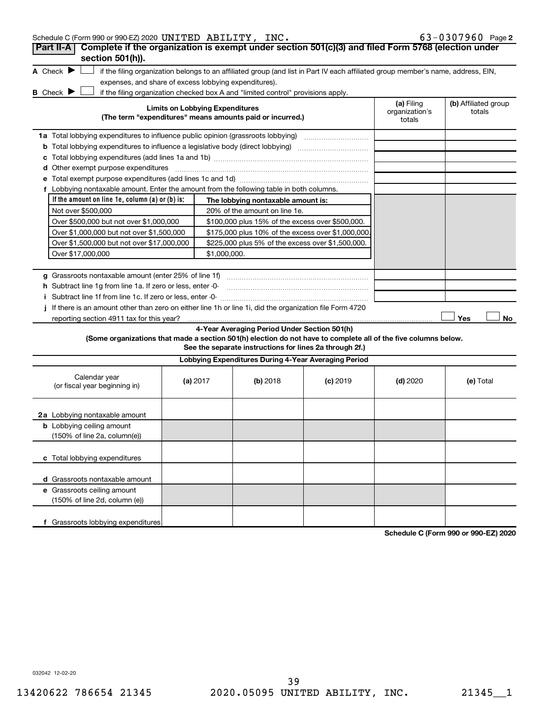|                                                                                                                   |          |                                        | Schedule C (Form 990 or 990-EZ) 2020 UNITED ABILITY, INC. |                                                                                                                                   |                          | $63 - 0307960$ Page 2 |
|-------------------------------------------------------------------------------------------------------------------|----------|----------------------------------------|-----------------------------------------------------------|-----------------------------------------------------------------------------------------------------------------------------------|--------------------------|-----------------------|
| Complete if the organization is exempt under section 501(c)(3) and filed Form 5768 (election under<br>Part II-A   |          |                                        |                                                           |                                                                                                                                   |                          |                       |
| section 501(h)).                                                                                                  |          |                                        |                                                           |                                                                                                                                   |                          |                       |
| A Check $\blacktriangleright$                                                                                     |          |                                        |                                                           | if the filing organization belongs to an affiliated group (and list in Part IV each affiliated group member's name, address, EIN, |                          |                       |
| expenses, and share of excess lobbying expenditures).                                                             |          |                                        |                                                           |                                                                                                                                   |                          |                       |
| B Check $\blacktriangleright$<br>if the filing organization checked box A and "limited control" provisions apply. |          | <b>Limits on Lobbying Expenditures</b> |                                                           |                                                                                                                                   | (a) Filing               | (b) Affiliated group  |
| (The term "expenditures" means amounts paid or incurred.)                                                         |          |                                        |                                                           |                                                                                                                                   | organization's<br>totals | totals                |
|                                                                                                                   |          |                                        |                                                           |                                                                                                                                   |                          |                       |
|                                                                                                                   |          |                                        |                                                           |                                                                                                                                   |                          |                       |
|                                                                                                                   |          |                                        |                                                           |                                                                                                                                   |                          |                       |
| <b>d</b> Other exempt purpose expenditures                                                                        |          |                                        |                                                           |                                                                                                                                   |                          |                       |
|                                                                                                                   |          |                                        |                                                           |                                                                                                                                   |                          |                       |
| f Lobbying nontaxable amount. Enter the amount from the following table in both columns.                          |          |                                        |                                                           |                                                                                                                                   |                          |                       |
| If the amount on line 1e, column $(a)$ or $(b)$ is:                                                               |          |                                        | The lobbying nontaxable amount is:                        |                                                                                                                                   |                          |                       |
| Not over \$500,000                                                                                                |          |                                        | 20% of the amount on line 1e.                             |                                                                                                                                   |                          |                       |
| Over \$500,000 but not over \$1,000,000                                                                           |          |                                        |                                                           | \$100,000 plus 15% of the excess over \$500,000.                                                                                  |                          |                       |
| Over \$1,000,000 but not over \$1,500,000                                                                         |          |                                        |                                                           | \$175,000 plus 10% of the excess over \$1,000,000                                                                                 |                          |                       |
| Over \$1,500,000 but not over \$17,000,000                                                                        |          |                                        |                                                           | \$225,000 plus 5% of the excess over \$1,500,000.                                                                                 |                          |                       |
| Over \$17,000,000                                                                                                 |          | \$1,000,000.                           |                                                           |                                                                                                                                   |                          |                       |
|                                                                                                                   |          |                                        |                                                           |                                                                                                                                   |                          |                       |
| g Grassroots nontaxable amount (enter 25% of line 1f)                                                             |          |                                        |                                                           |                                                                                                                                   |                          |                       |
| h Subtract line 1g from line 1a. If zero or less, enter -0-                                                       |          |                                        |                                                           |                                                                                                                                   |                          |                       |
|                                                                                                                   |          |                                        |                                                           |                                                                                                                                   |                          |                       |
|                                                                                                                   |          |                                        |                                                           |                                                                                                                                   |                          |                       |
| If there is an amount other than zero on either line 1h or line 1i, did the organization file Form 4720           |          |                                        |                                                           |                                                                                                                                   |                          |                       |
| reporting section 4911 tax for this year?                                                                         |          |                                        |                                                           |                                                                                                                                   |                          | Yes                   |
|                                                                                                                   |          |                                        | 4-Year Averaging Period Under Section 501(h)              |                                                                                                                                   |                          |                       |
| (Some organizations that made a section 501(h) election do not have to complete all of the five columns below.    |          |                                        |                                                           | See the separate instructions for lines 2a through 2f.)                                                                           |                          |                       |
|                                                                                                                   |          |                                        |                                                           | Lobbying Expenditures During 4-Year Averaging Period                                                                              |                          |                       |
| Calendar year<br>(or fiscal year beginning in)                                                                    | (a) 2017 |                                        | (b) 2018                                                  | $(c)$ 2019                                                                                                                        | $(d)$ 2020               | No.<br>(e) Total      |
| 2a Lobbying nontaxable amount                                                                                     |          |                                        |                                                           |                                                                                                                                   |                          |                       |
| <b>b</b> Lobbying ceiling amount                                                                                  |          |                                        |                                                           |                                                                                                                                   |                          |                       |
| (150% of line 2a, column(e))                                                                                      |          |                                        |                                                           |                                                                                                                                   |                          |                       |
| c Total lobbying expenditures                                                                                     |          |                                        |                                                           |                                                                                                                                   |                          |                       |
|                                                                                                                   |          |                                        |                                                           |                                                                                                                                   |                          |                       |
| d Grassroots nontaxable amount                                                                                    |          |                                        |                                                           |                                                                                                                                   |                          |                       |
| e Grassroots ceiling amount<br>(150% of line 2d, column (e))                                                      |          |                                        |                                                           |                                                                                                                                   |                          |                       |
|                                                                                                                   |          |                                        |                                                           |                                                                                                                                   |                          |                       |

**Schedule C (Form 990 or 990-EZ) 2020**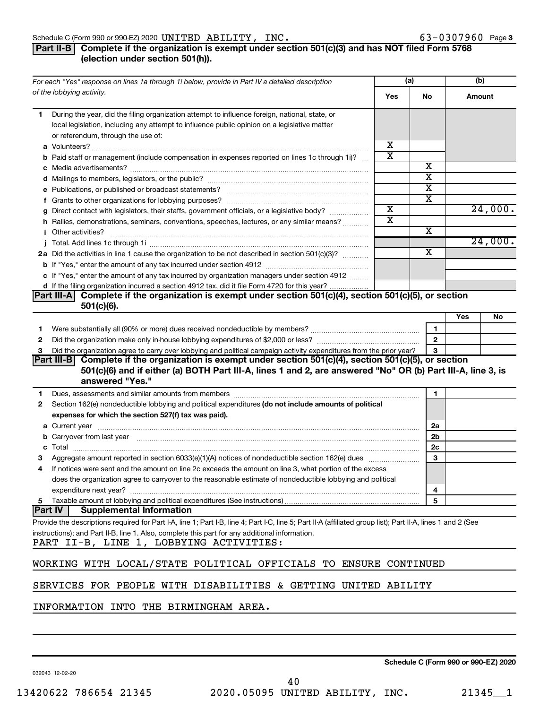#### Schedule C (Form 990 or 990-EZ) 2020  $\textbf{UNITED}$   $\textbf{ABILITY}$ ,  $\textbf{INC.}$  63  $-0307960$  Page

#### **Part II-B Complete if the organization is exempt under section 501(c)(3) and has NOT filed Form 5768 (election under section 501(h)).**

|    | For each "Yes" response on lines 1a through 1i below, provide in Part IV a detailed description                                                                                                                                      |                       | (a)                     |     | (b)     |
|----|--------------------------------------------------------------------------------------------------------------------------------------------------------------------------------------------------------------------------------------|-----------------------|-------------------------|-----|---------|
|    | of the lobbying activity.                                                                                                                                                                                                            | Yes                   | No                      |     | Amount  |
| 1. | During the year, did the filing organization attempt to influence foreign, national, state, or<br>local legislation, including any attempt to influence public opinion on a legislative matter<br>or referendum, through the use of: |                       |                         |     |         |
|    |                                                                                                                                                                                                                                      | х                     |                         |     |         |
|    | <b>b</b> Paid staff or management (include compensation in expenses reported on lines 1c through 1i)?                                                                                                                                | $\overline{\text{x}}$ |                         |     |         |
|    |                                                                                                                                                                                                                                      |                       | х                       |     |         |
|    |                                                                                                                                                                                                                                      |                       | $\overline{\textbf{x}}$ |     |         |
|    |                                                                                                                                                                                                                                      |                       | X                       |     |         |
|    |                                                                                                                                                                                                                                      |                       | X                       |     |         |
|    | g Direct contact with legislators, their staffs, government officials, or a legislative body?                                                                                                                                        | $\overline{\text{x}}$ |                         |     | 24,000. |
|    | h Rallies, demonstrations, seminars, conventions, speeches, lectures, or any similar means?                                                                                                                                          | $\overline{\text{x}}$ |                         |     |         |
|    | <i>i</i> Other activities?                                                                                                                                                                                                           |                       | X                       |     |         |
|    |                                                                                                                                                                                                                                      |                       |                         |     | 24,000. |
|    | 2a Did the activities in line 1 cause the organization to be not described in section 501(c)(3)?                                                                                                                                     |                       | $\overline{\text{x}}$   |     |         |
|    |                                                                                                                                                                                                                                      |                       |                         |     |         |
|    | c If "Yes," enter the amount of any tax incurred by organization managers under section 4912                                                                                                                                         |                       |                         |     |         |
|    | d If the filing organization incurred a section 4912 tax, did it file Form 4720 for this year?                                                                                                                                       |                       |                         |     |         |
|    | Part III-A Complete if the organization is exempt under section 501(c)(4), section 501(c)(5), or section                                                                                                                             |                       |                         |     |         |
|    | $501(c)(6)$ .                                                                                                                                                                                                                        |                       |                         |     |         |
|    |                                                                                                                                                                                                                                      |                       |                         | Yes | No      |
| 1  |                                                                                                                                                                                                                                      |                       | $\mathbf{1}$            |     |         |
| 2  |                                                                                                                                                                                                                                      |                       | $\overline{2}$          |     |         |
| З  | Did the organization agree to carry over lobbying and political campaign activity expenditures from the prior year?                                                                                                                  |                       | 3                       |     |         |
|    | Part III-B Complete if the organization is exempt under section 501(c)(4), section 501(c)(5), or section<br>501(c)(6) and if either (a) BOTH Part III-A, lines 1 and 2, are answered "No" OR (b) Part III-A, line 3, is              |                       |                         |     |         |
|    | answered "Yes."                                                                                                                                                                                                                      |                       |                         |     |         |
| 1  | Dues, assessments and similar amounts from members [111] Dues, assessments and similar members [11] Dues, assessments and similar amounts from members [11] Dues, assessments and similar amounts from members [11] Dues and S       |                       | 1                       |     |         |
| 2  | Section 162(e) nondeductible lobbying and political expenditures (do not include amounts of political                                                                                                                                |                       |                         |     |         |
|    | expenses for which the section 527(f) tax was paid).                                                                                                                                                                                 |                       |                         |     |         |
|    |                                                                                                                                                                                                                                      |                       | 2a                      |     |         |
|    | b Carryover from last year manufactured and continuum contract to contact the contract of the contract of the contract of the contract of the contract of the contract of the contract of the contract of the contract of the        |                       | 2 <sub>b</sub>          |     |         |
|    |                                                                                                                                                                                                                                      |                       | 2c                      |     |         |
| З  |                                                                                                                                                                                                                                      |                       | 3                       |     |         |
| 4  | If notices were sent and the amount on line 2c exceeds the amount on line 3, what portion of the excess                                                                                                                              |                       |                         |     |         |
|    | does the organization agree to carryover to the reasonable estimate of nondeductible lobbying and political                                                                                                                          |                       |                         |     |         |
|    | expenditure next year?                                                                                                                                                                                                               |                       | 4                       |     |         |
| 5  | Taxable amount of lobbying and political expenditures (See instructions)                                                                                                                                                             |                       | 5                       |     |         |
|    | <b>Part IV</b><br><b>Supplemental Information</b>                                                                                                                                                                                    |                       |                         |     |         |
|    | Provide the descriptions required for Part I-A, line 1; Part I-B, line 4; Part I-C, line 5; Part II-A (affiliated group list); Part II-A, lines 1 and 2 (See                                                                         |                       |                         |     |         |
|    | instructions); and Part II-B, line 1. Also, complete this part for any additional information.<br>PART II-B, LINE 1, LOBBYING ACTIVITIES:                                                                                            |                       |                         |     |         |
|    | WORKING WITH LOCAL/STATE POLITICAL OFFICIALS TO ENSURE CONTINUED                                                                                                                                                                     |                       |                         |     |         |
|    |                                                                                                                                                                                                                                      |                       |                         |     |         |
|    | SERVICES FOR PEOPLE WITH DISABILITIES & GETTING UNITED ABILITY                                                                                                                                                                       |                       |                         |     |         |

INFORMATION INTO THE BIRMINGHAM AREA.

**Schedule C (Form 990 or 990-EZ) 2020**

032043 12-02-20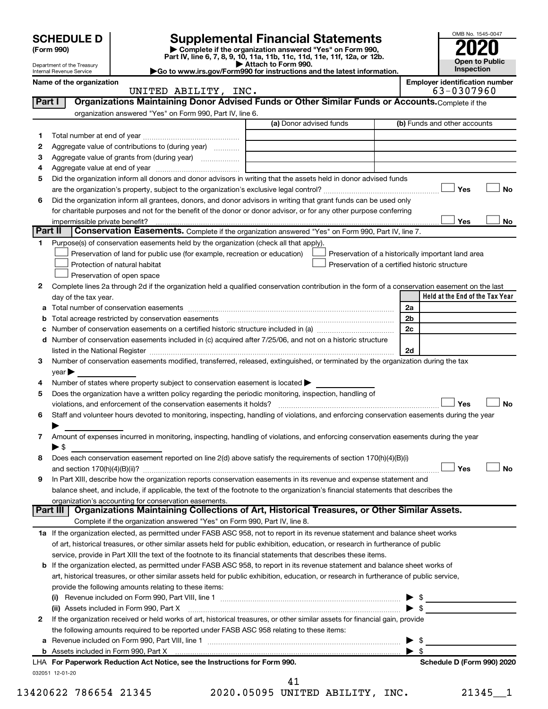# **SCHEDULE D Supplemental Financial Statements**<br> **Form 990 2020**<br> **Part IV** line 6.7.8.9.10, 11a, 11b, 11d, 11d, 11d, 11d, 11d, 12a, 0r, 12b

**(Form 990) | Complete if the organization answered "Yes" on Form 990, Part IV, line 6, 7, 8, 9, 10, 11a, 11b, 11c, 11d, 11e, 11f, 12a, or 12b.**

**| Attach to Form 990. |Go to www.irs.gov/Form990 for instructions and the latest information.**



Department of the Treasury Internal Revenue Service

Name of the organization<br> **Employer identification number**<br> **Employer identification number**<br> **Employer identification number**<br> **Employer identification number** 

|         | UNITED ABILITY, INC.                                                                                                                                                                                                           |                                                    |                | 63-0307960                      |
|---------|--------------------------------------------------------------------------------------------------------------------------------------------------------------------------------------------------------------------------------|----------------------------------------------------|----------------|---------------------------------|
| Part I  | Organizations Maintaining Donor Advised Funds or Other Similar Funds or Accounts. Complete if the                                                                                                                              |                                                    |                |                                 |
|         | organization answered "Yes" on Form 990, Part IV, line 6.                                                                                                                                                                      |                                                    |                |                                 |
|         |                                                                                                                                                                                                                                | (a) Donor advised funds                            |                | (b) Funds and other accounts    |
| 1       |                                                                                                                                                                                                                                |                                                    |                |                                 |
| 2       | Aggregate value of contributions to (during year)                                                                                                                                                                              |                                                    |                |                                 |
| 3       | Aggregate value of grants from (during year)                                                                                                                                                                                   |                                                    |                |                                 |
| 4       |                                                                                                                                                                                                                                |                                                    |                |                                 |
| 5       | Did the organization inform all donors and donor advisors in writing that the assets held in donor advised funds                                                                                                               |                                                    |                |                                 |
|         |                                                                                                                                                                                                                                |                                                    |                | Yes<br><b>No</b>                |
| 6       | Did the organization inform all grantees, donors, and donor advisors in writing that grant funds can be used only                                                                                                              |                                                    |                |                                 |
|         | for charitable purposes and not for the benefit of the donor or donor advisor, or for any other purpose conferring                                                                                                             |                                                    |                |                                 |
|         | impermissible private benefit?                                                                                                                                                                                                 |                                                    |                | Yes<br>No                       |
| Part II | Conservation Easements. Complete if the organization answered "Yes" on Form 990, Part IV, line 7.                                                                                                                              |                                                    |                |                                 |
| 1       | Purpose(s) of conservation easements held by the organization (check all that apply).                                                                                                                                          |                                                    |                |                                 |
|         | Preservation of land for public use (for example, recreation or education)                                                                                                                                                     | Preservation of a historically important land area |                |                                 |
|         | Protection of natural habitat                                                                                                                                                                                                  | Preservation of a certified historic structure     |                |                                 |
|         | Preservation of open space                                                                                                                                                                                                     |                                                    |                |                                 |
|         |                                                                                                                                                                                                                                |                                                    |                |                                 |
| 2       | Complete lines 2a through 2d if the organization held a qualified conservation contribution in the form of a conservation easement on the last                                                                                 |                                                    |                | Held at the End of the Tax Year |
|         | day of the tax year.                                                                                                                                                                                                           |                                                    |                |                                 |
| а       |                                                                                                                                                                                                                                |                                                    | 2a             |                                 |
|         | Total acreage restricted by conservation easements                                                                                                                                                                             |                                                    | 2 <sub>b</sub> |                                 |
|         | Number of conservation easements on a certified historic structure included in (a) manufacture included in (a)                                                                                                                 |                                                    | 2c             |                                 |
| d       | Number of conservation easements included in (c) acquired after 7/25/06, and not on a historic structure                                                                                                                       |                                                    |                |                                 |
|         | listed in the National Register [111] in the National Register [11] in the National Register [11] in the National Register [11] in the National Register [11] in the National Register [11] in the National Register [11] in t |                                                    | 2d             |                                 |
| 3       | Number of conservation easements modified, transferred, released, extinguished, or terminated by the organization during the tax                                                                                               |                                                    |                |                                 |
|         | year                                                                                                                                                                                                                           |                                                    |                |                                 |
| 4       | Number of states where property subject to conservation easement is located >                                                                                                                                                  |                                                    |                |                                 |
| 5       | Does the organization have a written policy regarding the periodic monitoring, inspection, handling of                                                                                                                         |                                                    |                |                                 |
|         | violations, and enforcement of the conservation easements it holds?                                                                                                                                                            |                                                    |                | Yes<br><b>No</b>                |
| 6       | Staff and volunteer hours devoted to monitoring, inspecting, handling of violations, and enforcing conservation easements during the year                                                                                      |                                                    |                |                                 |
|         |                                                                                                                                                                                                                                |                                                    |                |                                 |
| 7       | Amount of expenses incurred in monitoring, inspecting, handling of violations, and enforcing conservation easements during the year                                                                                            |                                                    |                |                                 |
|         | ▶ \$                                                                                                                                                                                                                           |                                                    |                |                                 |
| 8       | Does each conservation easement reported on line 2(d) above satisfy the requirements of section 170(h)(4)(B)(i)                                                                                                                |                                                    |                |                                 |
|         |                                                                                                                                                                                                                                |                                                    |                | Yes<br>No                       |
| 9       | In Part XIII, describe how the organization reports conservation easements in its revenue and expense statement and                                                                                                            |                                                    |                |                                 |
|         | balance sheet, and include, if applicable, the text of the footnote to the organization's financial statements that describes the                                                                                              |                                                    |                |                                 |
|         | organization's accounting for conservation easements.<br>Organizations Maintaining Collections of Art, Historical Treasures, or Other Similar Assets.                                                                          |                                                    |                |                                 |
|         | Part III                                                                                                                                                                                                                       |                                                    |                |                                 |
|         | Complete if the organization answered "Yes" on Form 990, Part IV, line 8.                                                                                                                                                      |                                                    |                |                                 |
|         | 1a If the organization elected, as permitted under FASB ASC 958, not to report in its revenue statement and balance sheet works                                                                                                |                                                    |                |                                 |
|         | of art, historical treasures, or other similar assets held for public exhibition, education, or research in furtherance of public                                                                                              |                                                    |                |                                 |
|         | service, provide in Part XIII the text of the footnote to its financial statements that describes these items.                                                                                                                 |                                                    |                |                                 |
|         | <b>b</b> If the organization elected, as permitted under FASB ASC 958, to report in its revenue statement and balance sheet works of                                                                                           |                                                    |                |                                 |
|         | art, historical treasures, or other similar assets held for public exhibition, education, or research in furtherance of public service,                                                                                        |                                                    |                |                                 |
|         | provide the following amounts relating to these items:                                                                                                                                                                         |                                                    |                |                                 |
|         |                                                                                                                                                                                                                                |                                                    |                | \$                              |
|         | (ii) Assets included in Form 990, Part X                                                                                                                                                                                       |                                                    |                | \$                              |
| 2       | If the organization received or held works of art, historical treasures, or other similar assets for financial gain, provide                                                                                                   |                                                    |                |                                 |
|         | the following amounts required to be reported under FASB ASC 958 relating to these items:                                                                                                                                      |                                                    |                |                                 |
| а       |                                                                                                                                                                                                                                |                                                    |                | \$                              |
|         |                                                                                                                                                                                                                                |                                                    |                | -\$                             |
|         | LHA For Paperwork Reduction Act Notice, see the Instructions for Form 990.                                                                                                                                                     |                                                    |                | Schedule D (Form 990) 2020      |
|         | 032051 12-01-20                                                                                                                                                                                                                |                                                    |                |                                 |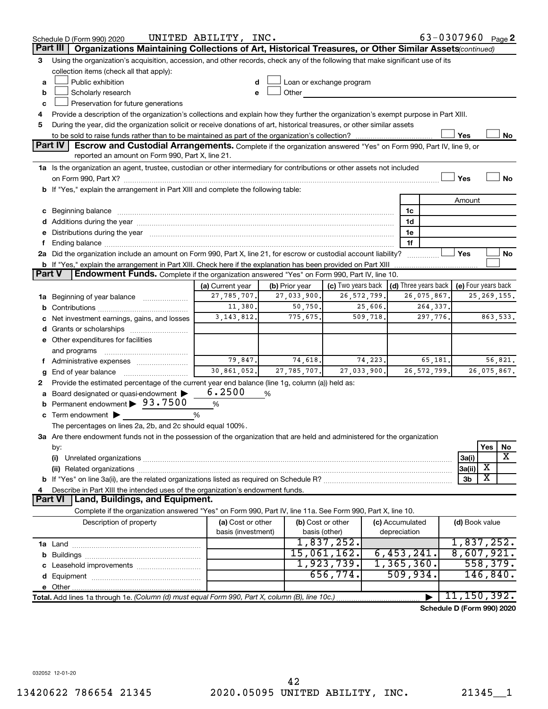|               | Schedule D (Form 990) 2020                                                                                                                                                                                                     | UNITED ABILITY, INC. |                |                                                         |                 | 63-0307960 Page 2          |                     |           |               |
|---------------|--------------------------------------------------------------------------------------------------------------------------------------------------------------------------------------------------------------------------------|----------------------|----------------|---------------------------------------------------------|-----------------|----------------------------|---------------------|-----------|---------------|
|               | Part III<br>Organizations Maintaining Collections of Art, Historical Treasures, or Other Similar Assets (continued)                                                                                                            |                      |                |                                                         |                 |                            |                     |           |               |
| 3             | Using the organization's acquisition, accession, and other records, check any of the following that make significant use of its                                                                                                |                      |                |                                                         |                 |                            |                     |           |               |
|               | collection items (check all that apply):                                                                                                                                                                                       |                      |                |                                                         |                 |                            |                     |           |               |
| a             | Public exhibition                                                                                                                                                                                                              | d                    |                | Loan or exchange program                                |                 |                            |                     |           |               |
| b             | Scholarly research                                                                                                                                                                                                             | е                    | Other          |                                                         |                 |                            |                     |           |               |
| c             | Preservation for future generations                                                                                                                                                                                            |                      |                |                                                         |                 |                            |                     |           |               |
| 4             | Provide a description of the organization's collections and explain how they further the organization's exempt purpose in Part XIII.                                                                                           |                      |                |                                                         |                 |                            |                     |           |               |
| 5             | During the year, did the organization solicit or receive donations of art, historical treasures, or other similar assets                                                                                                       |                      |                |                                                         |                 |                            |                     |           |               |
|               |                                                                                                                                                                                                                                |                      |                |                                                         |                 |                            | Yes                 |           | No            |
|               | <b>Part IV</b><br>Escrow and Custodial Arrangements. Complete if the organization answered "Yes" on Form 990, Part IV, line 9, or                                                                                              |                      |                |                                                         |                 |                            |                     |           |               |
|               | reported an amount on Form 990, Part X, line 21.                                                                                                                                                                               |                      |                |                                                         |                 |                            |                     |           |               |
|               | 1a Is the organization an agent, trustee, custodian or other intermediary for contributions or other assets not included                                                                                                       |                      |                |                                                         |                 |                            |                     |           |               |
|               |                                                                                                                                                                                                                                |                      |                |                                                         |                 |                            | Yes                 |           | <b>No</b>     |
|               | b If "Yes," explain the arrangement in Part XIII and complete the following table:                                                                                                                                             |                      |                |                                                         |                 |                            |                     |           |               |
|               |                                                                                                                                                                                                                                |                      |                |                                                         |                 |                            | Amount              |           |               |
|               | c Beginning balance measurements and the contract of the contract of the contract of the contract of the contract of the contract of the contract of the contract of the contract of the contract of the contract of the contr |                      |                |                                                         |                 | 1c                         |                     |           |               |
|               |                                                                                                                                                                                                                                |                      |                |                                                         |                 | 1d                         |                     |           |               |
|               | e Distributions during the year manufactured and continuum and contact the year manufactured and contact the year manufactured and contact the year manufactured and contact the year manufactured and contact the year manufa |                      |                |                                                         |                 | 1e                         |                     |           |               |
| f.            |                                                                                                                                                                                                                                |                      |                |                                                         |                 | 1f                         |                     |           |               |
|               | 2a Did the organization include an amount on Form 990, Part X, line 21, for escrow or custodial account liability?                                                                                                             |                      |                |                                                         |                 |                            | Yes                 |           | No            |
|               | <b>b</b> If "Yes," explain the arrangement in Part XIII. Check here if the explanation has been provided on Part XIII                                                                                                          |                      |                |                                                         |                 |                            |                     |           |               |
| <b>Part V</b> | Endowment Funds. Complete if the organization answered "Yes" on Form 990, Part IV, line 10.                                                                                                                                    |                      |                |                                                         |                 |                            |                     |           |               |
|               |                                                                                                                                                                                                                                | (a) Current year     | (b) Prior year | (c) Two years back $\vert$ (d) Three years back $\vert$ |                 |                            | (e) Four years back |           |               |
|               | 1a Beginning of year balance                                                                                                                                                                                                   | 27, 785, 707.        | 27,033,900.    | 26, 572, 799.                                           |                 | 26,075,867.                |                     |           | 25, 269, 155. |
|               |                                                                                                                                                                                                                                | 11,380.              | 50,750.        | 25,606.                                                 |                 | 264,337.                   |                     |           |               |
|               | c Net investment earnings, gains, and losses                                                                                                                                                                                   | 3, 143, 812.         | 775,675.       | 509,718.                                                |                 | 297,776.                   |                     |           | 863,533.      |
|               |                                                                                                                                                                                                                                |                      |                |                                                         |                 |                            |                     |           |               |
|               | e Other expenditures for facilities                                                                                                                                                                                            |                      |                |                                                         |                 |                            |                     |           |               |
|               | and programs                                                                                                                                                                                                                   |                      |                |                                                         |                 |                            |                     |           |               |
|               | f Administrative expenses                                                                                                                                                                                                      | 79,847.              | 74,618.        | 74,223.                                                 |                 | 65,181.                    |                     |           | 56,821.       |
| g             |                                                                                                                                                                                                                                | 30,861,052.          | 27,785,707.    | 27,033,900.                                             |                 | 26, 572, 799.              |                     |           | 26,075,867.   |
| 2             | Provide the estimated percentage of the current year end balance (line 1g, column (a)) held as:                                                                                                                                |                      |                |                                                         |                 |                            |                     |           |               |
| a             | Board designated or quasi-endowment                                                                                                                                                                                            | 6.2500               | %              |                                                         |                 |                            |                     |           |               |
|               | <b>b</b> Permanent endowment > 93.7500                                                                                                                                                                                         | $\%$                 |                |                                                         |                 |                            |                     |           |               |
|               | c Term endowment $\blacktriangleright$                                                                                                                                                                                         | %                    |                |                                                         |                 |                            |                     |           |               |
|               | The percentages on lines 2a, 2b, and 2c should equal 100%.                                                                                                                                                                     |                      |                |                                                         |                 |                            |                     |           |               |
|               | 3a Are there endowment funds not in the possession of the organization that are held and administered for the organization                                                                                                     |                      |                |                                                         |                 |                            |                     |           |               |
|               | by:                                                                                                                                                                                                                            |                      |                |                                                         |                 |                            |                     | Yes       | No            |
|               | (i)                                                                                                                                                                                                                            |                      |                |                                                         |                 |                            | 3a(i)               |           | X             |
|               |                                                                                                                                                                                                                                |                      |                |                                                         |                 |                            | 3a(ii)              | х         |               |
|               |                                                                                                                                                                                                                                |                      |                |                                                         |                 |                            | 3 <sub>b</sub>      | X         |               |
| 4             | Describe in Part XIII the intended uses of the organization's endowment funds.                                                                                                                                                 |                      |                |                                                         |                 |                            |                     |           |               |
|               | Land, Buildings, and Equipment.<br><b>Part VI</b>                                                                                                                                                                              |                      |                |                                                         |                 |                            |                     |           |               |
|               | Complete if the organization answered "Yes" on Form 990, Part IV, line 11a. See Form 990, Part X, line 10.                                                                                                                     |                      |                |                                                         |                 |                            |                     |           |               |
|               | Description of property                                                                                                                                                                                                        | (a) Cost or other    |                | (b) Cost or other                                       | (c) Accumulated |                            | (d) Book value      |           |               |
|               |                                                                                                                                                                                                                                | basis (investment)   |                | basis (other)                                           | depreciation    |                            |                     |           |               |
|               |                                                                                                                                                                                                                                |                      |                | 1,837,252.                                              |                 |                            | 1,837,252.          |           |               |
|               |                                                                                                                                                                                                                                |                      |                | 15,061,162.                                             | 6,453,241.      |                            | 8,607,921.          |           |               |
|               |                                                                                                                                                                                                                                |                      |                | 1,923,739.                                              | 1, 365, 360.    |                            |                     | 558, 379. |               |
|               |                                                                                                                                                                                                                                |                      |                | 656,774.                                                |                 | 509,934.                   |                     | 146,840.  |               |
|               |                                                                                                                                                                                                                                |                      |                |                                                         |                 |                            | 11,150,392.         |           |               |
|               | Total. Add lines 1a through 1e. (Column (d) must equal Form 990, Part X, column (B), line 10c.)                                                                                                                                |                      |                |                                                         |                 |                            |                     |           |               |
|               |                                                                                                                                                                                                                                |                      |                |                                                         |                 | Schedule D (Form 990) 2020 |                     |           |               |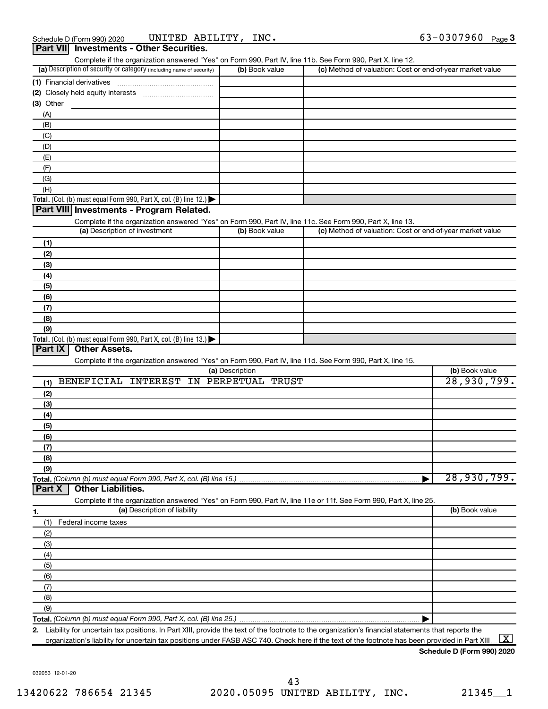| (a) Description of security or category (including name of security)                                                                        | (b) Book value  | (c) Method of valuation: Cost or end-of-year market value |                |
|---------------------------------------------------------------------------------------------------------------------------------------------|-----------------|-----------------------------------------------------------|----------------|
|                                                                                                                                             |                 |                                                           |                |
|                                                                                                                                             |                 |                                                           |                |
| $(3)$ Other                                                                                                                                 |                 |                                                           |                |
| (A)                                                                                                                                         |                 |                                                           |                |
| (B)                                                                                                                                         |                 |                                                           |                |
| (C)                                                                                                                                         |                 |                                                           |                |
| (D)                                                                                                                                         |                 |                                                           |                |
| (E)                                                                                                                                         |                 |                                                           |                |
| (F)                                                                                                                                         |                 |                                                           |                |
| (G)                                                                                                                                         |                 |                                                           |                |
| (H)                                                                                                                                         |                 |                                                           |                |
| Total. (Col. (b) must equal Form 990, Part X, col. (B) line 12.) $\blacktriangleright$                                                      |                 |                                                           |                |
| Part VIII Investments - Program Related.                                                                                                    |                 |                                                           |                |
|                                                                                                                                             |                 |                                                           |                |
| Complete if the organization answered "Yes" on Form 990, Part IV, line 11c. See Form 990, Part X, line 13.<br>(a) Description of investment | (b) Book value  | (c) Method of valuation: Cost or end-of-year market value |                |
|                                                                                                                                             |                 |                                                           |                |
| (1)                                                                                                                                         |                 |                                                           |                |
| (2)                                                                                                                                         |                 |                                                           |                |
| (3)                                                                                                                                         |                 |                                                           |                |
| (4)                                                                                                                                         |                 |                                                           |                |
| (5)                                                                                                                                         |                 |                                                           |                |
| (6)                                                                                                                                         |                 |                                                           |                |
| (7)                                                                                                                                         |                 |                                                           |                |
| (8)                                                                                                                                         |                 |                                                           |                |
|                                                                                                                                             |                 |                                                           |                |
| (9)                                                                                                                                         |                 |                                                           |                |
|                                                                                                                                             |                 |                                                           |                |
| Total. (Col. (b) must equal Form 990, Part X, col. (B) line 13.)<br>Part IX<br><b>Other Assets.</b>                                         |                 |                                                           |                |
| Complete if the organization answered "Yes" on Form 990, Part IV, line 11d. See Form 990, Part X, line 15.                                  |                 |                                                           |                |
|                                                                                                                                             | (a) Description |                                                           | (b) Book value |
| BENEFICIAL INTEREST IN PERPETUAL TRUST                                                                                                      |                 |                                                           |                |
| (1)                                                                                                                                         |                 |                                                           | 28,930,799.    |
| (2)                                                                                                                                         |                 |                                                           |                |
| (3)                                                                                                                                         |                 |                                                           |                |
| (4)                                                                                                                                         |                 |                                                           |                |
| (5)                                                                                                                                         |                 |                                                           |                |
| (6)                                                                                                                                         |                 |                                                           |                |
| (7)                                                                                                                                         |                 |                                                           |                |
| (8)                                                                                                                                         |                 |                                                           |                |
| (9)                                                                                                                                         |                 |                                                           |                |
|                                                                                                                                             |                 |                                                           |                |
| Part X<br><b>Other Liabilities.</b>                                                                                                         |                 |                                                           | 28,930,799.    |
| Complete if the organization answered "Yes" on Form 990, Part IV, line 11e or 11f. See Form 990, Part X, line 25.                           |                 |                                                           |                |
| (a) Description of liability                                                                                                                |                 |                                                           | (b) Book value |
| (1)<br>Federal income taxes                                                                                                                 |                 |                                                           |                |
| (2)                                                                                                                                         |                 |                                                           |                |
| (3)                                                                                                                                         |                 |                                                           |                |
| (4)                                                                                                                                         |                 |                                                           |                |
|                                                                                                                                             |                 |                                                           |                |
| 1.<br>(5)                                                                                                                                   |                 |                                                           |                |
| (6)                                                                                                                                         |                 |                                                           |                |
| (7)                                                                                                                                         |                 |                                                           |                |
| (8)<br>(9)                                                                                                                                  |                 |                                                           |                |

**2.** Liability for uncertain tax positions. In Part XIII, provide the text of the footnote to the organization's financial statements that reports the organization's liability for uncertain tax positions under FASB ASC 740. Check here if the text of the footnote has been provided in Part XIII..  $\boxed{\text{X}}$ 

**Schedule D (Form 990) 2020**

032053 12-01-20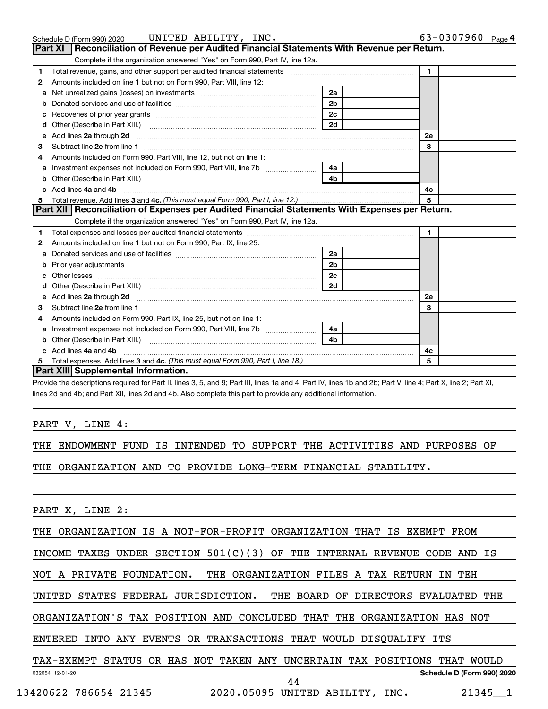|   | Schedule D (Form 990) 2020 UNITED ABILITY, INC.                                                                                                                                                                                      |                | $63 - 0307960$ Page 4 |
|---|--------------------------------------------------------------------------------------------------------------------------------------------------------------------------------------------------------------------------------------|----------------|-----------------------|
|   | Part XI   Reconciliation of Revenue per Audited Financial Statements With Revenue per Return.                                                                                                                                        |                |                       |
|   | Complete if the organization answered "Yes" on Form 990, Part IV, line 12a.                                                                                                                                                          |                |                       |
| 1 | Total revenue, gains, and other support per audited financial statements [[[[[[[[[[[[[[[[[[[[[[]]]]]]]]]]]]]]                                                                                                                        |                | $\mathbf{1}$          |
| 2 | Amounts included on line 1 but not on Form 990, Part VIII, line 12:                                                                                                                                                                  |                |                       |
| a |                                                                                                                                                                                                                                      | 2a             |                       |
|   |                                                                                                                                                                                                                                      | 2 <sub>b</sub> |                       |
| c | Recoveries of prior year grants [111] Recoveries of prior year grants [11] Recoveries (12] Recoveries (12] Recoveries (12] Recoveries (12] Recoveries (12] Recoveries (12] Recoveries (12] Recoveries (12] Recoveries (12] Rec       |                |                       |
| d |                                                                                                                                                                                                                                      | 2d             |                       |
| е | Add lines 2a through 2d <b>continuum continuum contract and all the contract and all the contract and all the contract and all the contract of the contract of the contract of the contract of the contract of the contract of t</b> |                | 2e                    |
| 3 |                                                                                                                                                                                                                                      |                | 3                     |
|   | Amounts included on Form 990, Part VIII, line 12, but not on line 1:                                                                                                                                                                 |                |                       |
| a |                                                                                                                                                                                                                                      | 4a             |                       |
|   |                                                                                                                                                                                                                                      | 4 <sub>b</sub> |                       |
|   | Add lines 4a and 4b                                                                                                                                                                                                                  |                | 4c                    |
| 5 |                                                                                                                                                                                                                                      |                | 5                     |
|   | Part XII   Reconciliation of Expenses per Audited Financial Statements With Expenses per Return.                                                                                                                                     |                |                       |
|   | Complete if the organization answered "Yes" on Form 990, Part IV, line 12a.                                                                                                                                                          |                |                       |
| 1 |                                                                                                                                                                                                                                      |                | $\blacksquare$        |
| 2 | Amounts included on line 1 but not on Form 990, Part IX, line 25:                                                                                                                                                                    |                |                       |
| a |                                                                                                                                                                                                                                      | 2a             |                       |
| b |                                                                                                                                                                                                                                      | 2 <sub>b</sub> |                       |
|   |                                                                                                                                                                                                                                      | 2c             |                       |
|   | Other (Describe in Part XIII.) (COLORED TO AND THE SET OF THE SET OF THE SET OF THE SET OF THE SET OF THE SET O                                                                                                                      | 2d             |                       |
| е | Add lines 2a through 2d <b>must be a constructed as the constant of the S2a</b> through 2d mess 2a through 2d must be a series and the series of the series of the series of the series of the series of the series of the series o  |                | <b>2e</b>             |
| 3 |                                                                                                                                                                                                                                      |                | 3                     |
| 4 | Amounts included on Form 990, Part IX, line 25, but not on line 1:                                                                                                                                                                   |                |                       |
|   |                                                                                                                                                                                                                                      | 4a             |                       |
|   |                                                                                                                                                                                                                                      | 4 <sub>h</sub> |                       |
|   | c Add lines 4a and 4b                                                                                                                                                                                                                |                | 4с                    |
|   |                                                                                                                                                                                                                                      |                | 5                     |
|   | Part XIII Supplemental Information.                                                                                                                                                                                                  |                |                       |

Provide the descriptions required for Part II, lines 3, 5, and 9; Part III, lines 1a and 4; Part IV, lines 1b and 2b; Part V, line 4; Part X, line 2; Part XI, lines 2d and 4b; and Part XII, lines 2d and 4b. Also complete this part to provide any additional information.

#### PART V, LINE 4:

THE ENDOWMENT FUND IS INTENDED TO SUPPORT THE ACTIVITIES AND PURPOSES OF

THE ORGANIZATION AND TO PROVIDE LONG-TERM FINANCIAL STABILITY.

#### PART X, LINE 2:

THE ORGANIZATION IS A NOT-FOR-PROFIT ORGANIZATION THAT IS EXEMPT FROM

INCOME TAXES UNDER SECTION  $501(C)(3)$  OF THE INTERNAL REVENUE CODE AND IS

NOT A PRIVATE FOUNDATION. THE ORGANIZATION FILES A TAX RETURN IN TEH

UNITED STATES FEDERAL JURISDICTION. THE BOARD OF DIRECTORS EVALUATED THE

ORGANIZATION'S TAX POSITION AND CONCLUDED THAT THE ORGANIZATION HAS NOT

ENTERED INTO ANY EVENTS OR TRANSACTIONS THAT WOULD DISQUALIFY ITS

#### 032054 12-01-20 **Schedule D (Form 990) 2020** TAX-EXEMPT STATUS OR HAS NOT TAKEN ANY UNCERTAIN TAX POSITIONS THAT WOULD 44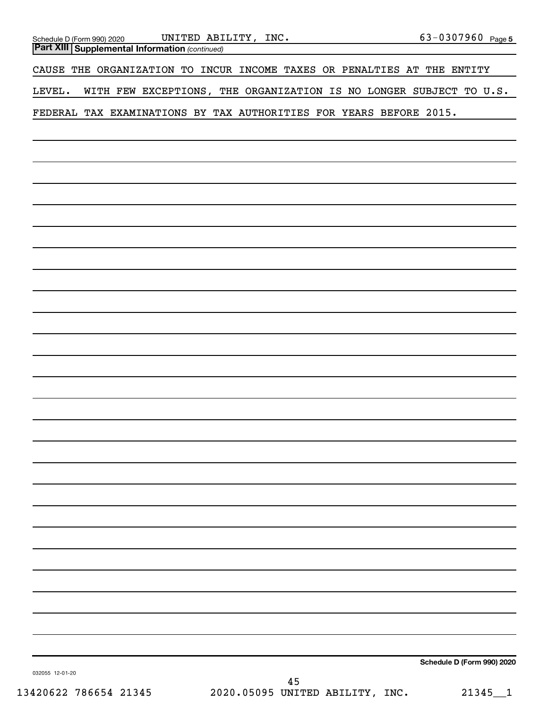| UNITED ABILITY, INC.<br>Schedule D (Form 990) 2020                                                                   | 63-0307960 Page 5          |
|----------------------------------------------------------------------------------------------------------------------|----------------------------|
| <b>Part XIII Supplemental Information (continued)</b><br>the control of the control of the control of the control of |                            |
| CAUSE THE ORGANIZATION TO INCUR INCOME TAXES OR PENALTIES AT THE ENTITY                                              |                            |
| WITH FEW EXCEPTIONS, THE ORGANIZATION IS NO LONGER SUBJECT TO U.S.<br>LEVEL.                                         |                            |
| FEDERAL TAX EXAMINATIONS BY TAX AUTHORITIES FOR YEARS BEFORE 2015.                                                   |                            |
|                                                                                                                      |                            |
|                                                                                                                      |                            |
|                                                                                                                      |                            |
|                                                                                                                      |                            |
|                                                                                                                      |                            |
|                                                                                                                      |                            |
|                                                                                                                      |                            |
|                                                                                                                      |                            |
|                                                                                                                      |                            |
|                                                                                                                      |                            |
|                                                                                                                      |                            |
|                                                                                                                      |                            |
|                                                                                                                      |                            |
|                                                                                                                      |                            |
|                                                                                                                      |                            |
|                                                                                                                      |                            |
|                                                                                                                      |                            |
|                                                                                                                      |                            |
|                                                                                                                      |                            |
|                                                                                                                      |                            |
|                                                                                                                      |                            |
|                                                                                                                      |                            |
|                                                                                                                      |                            |
|                                                                                                                      |                            |
|                                                                                                                      |                            |
|                                                                                                                      |                            |
|                                                                                                                      |                            |
|                                                                                                                      | Schedule D (Form 990) 2020 |
| 032055 12-01-20                                                                                                      |                            |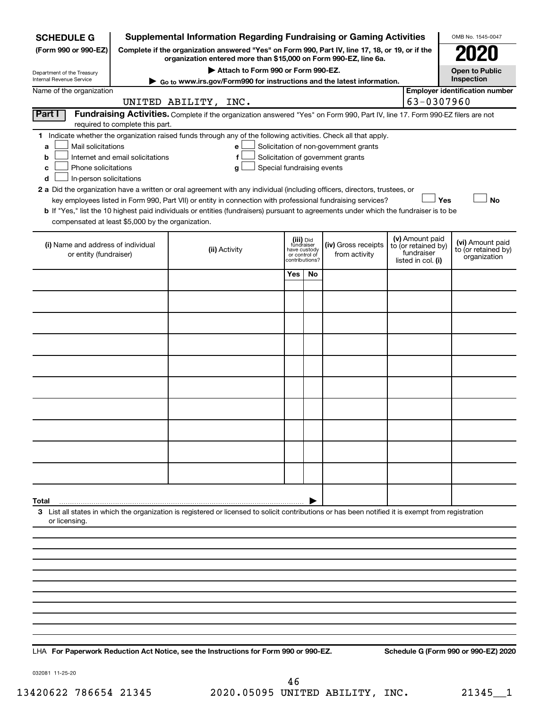| <b>SCHEDULE G</b>                                        |                                                                                                                                                                     | <b>Supplemental Information Regarding Fundraising or Gaming Activities</b>                                                                         |                               |                |                                       |                                   |                 | OMB No. 1545-0047                     |  |
|----------------------------------------------------------|---------------------------------------------------------------------------------------------------------------------------------------------------------------------|----------------------------------------------------------------------------------------------------------------------------------------------------|-------------------------------|----------------|---------------------------------------|-----------------------------------|-----------------|---------------------------------------|--|
| (Form 990 or 990-EZ)                                     | Complete if the organization answered "Yes" on Form 990, Part IV, line 17, 18, or 19, or if the<br>organization entered more than \$15,000 on Form 990-EZ, line 6a. |                                                                                                                                                    |                               |                |                                       |                                   |                 |                                       |  |
| Department of the Treasury                               |                                                                                                                                                                     | Attach to Form 990 or Form 990-EZ.                                                                                                                 |                               |                |                                       |                                   |                 | <b>Open to Public</b>                 |  |
| Internal Revenue Service                                 |                                                                                                                                                                     | ► Go to www.irs.gov/Form990 for instructions and the latest information.                                                                           |                               |                |                                       |                                   |                 | Inspection                            |  |
| Name of the organization                                 | 63-0307960<br>UNITED ABILITY, INC.                                                                                                                                  |                                                                                                                                                    |                               |                |                                       |                                   |                 | <b>Employer identification number</b> |  |
| Part I                                                   |                                                                                                                                                                     | Fundraising Activities. Complete if the organization answered "Yes" on Form 990, Part IV, line 17. Form 990-EZ filers are not                      |                               |                |                                       |                                   |                 |                                       |  |
|                                                          | required to complete this part.                                                                                                                                     | 1 Indicate whether the organization raised funds through any of the following activities. Check all that apply.                                    |                               |                |                                       |                                   |                 |                                       |  |
| Mail solicitations<br>a                                  |                                                                                                                                                                     | е                                                                                                                                                  |                               |                | Solicitation of non-government grants |                                   |                 |                                       |  |
| b                                                        | Internet and email solicitations                                                                                                                                    | f                                                                                                                                                  |                               |                | Solicitation of government grants     |                                   |                 |                                       |  |
| Phone solicitations<br>с<br>In-person solicitations<br>d |                                                                                                                                                                     | Special fundraising events<br>g                                                                                                                    |                               |                |                                       |                                   |                 |                                       |  |
|                                                          |                                                                                                                                                                     | 2 a Did the organization have a written or oral agreement with any individual (including officers, directors, trustees, or                         |                               |                |                                       |                                   |                 |                                       |  |
|                                                          |                                                                                                                                                                     | key employees listed in Form 990, Part VII) or entity in connection with professional fundraising services?                                        |                               |                |                                       |                                   | Yes             | <b>No</b>                             |  |
| compensated at least \$5,000 by the organization.        |                                                                                                                                                                     | b If "Yes," list the 10 highest paid individuals or entities (fundraisers) pursuant to agreements under which the fundraiser is to be              |                               |                |                                       |                                   |                 |                                       |  |
| (i) Name and address of individual                       |                                                                                                                                                                     |                                                                                                                                                    | (iii) Did<br>fundraiser       |                | (iv) Gross receipts                   |                                   | (v) Amount paid | (vi) Amount paid                      |  |
| or entity (fundraiser)                                   |                                                                                                                                                                     | (ii) Activity                                                                                                                                      | have custody<br>or control of | contributions? | from activity                         | to (or retained by)<br>fundraiser |                 | to (or retained by)<br>organization   |  |
|                                                          |                                                                                                                                                                     |                                                                                                                                                    |                               | No             |                                       | listed in col. (i)                |                 |                                       |  |
|                                                          |                                                                                                                                                                     |                                                                                                                                                    |                               |                |                                       |                                   |                 |                                       |  |
|                                                          |                                                                                                                                                                     |                                                                                                                                                    |                               |                |                                       |                                   |                 |                                       |  |
|                                                          |                                                                                                                                                                     |                                                                                                                                                    |                               |                |                                       |                                   |                 |                                       |  |
|                                                          |                                                                                                                                                                     |                                                                                                                                                    |                               |                |                                       |                                   |                 |                                       |  |
|                                                          |                                                                                                                                                                     |                                                                                                                                                    |                               |                |                                       |                                   |                 |                                       |  |
|                                                          |                                                                                                                                                                     |                                                                                                                                                    |                               |                |                                       |                                   |                 |                                       |  |
|                                                          |                                                                                                                                                                     |                                                                                                                                                    |                               |                |                                       |                                   |                 |                                       |  |
|                                                          |                                                                                                                                                                     |                                                                                                                                                    |                               |                |                                       |                                   |                 |                                       |  |
|                                                          |                                                                                                                                                                     |                                                                                                                                                    |                               |                |                                       |                                   |                 |                                       |  |
|                                                          |                                                                                                                                                                     |                                                                                                                                                    |                               |                |                                       |                                   |                 |                                       |  |
|                                                          |                                                                                                                                                                     |                                                                                                                                                    |                               |                |                                       |                                   |                 |                                       |  |
|                                                          |                                                                                                                                                                     |                                                                                                                                                    |                               |                |                                       |                                   |                 |                                       |  |
| Total                                                    |                                                                                                                                                                     |                                                                                                                                                    |                               |                |                                       |                                   |                 |                                       |  |
| or licensing.                                            |                                                                                                                                                                     | 3 List all states in which the organization is registered or licensed to solicit contributions or has been notified it is exempt from registration |                               |                |                                       |                                   |                 |                                       |  |
|                                                          |                                                                                                                                                                     |                                                                                                                                                    |                               |                |                                       |                                   |                 |                                       |  |
|                                                          |                                                                                                                                                                     |                                                                                                                                                    |                               |                |                                       |                                   |                 |                                       |  |
|                                                          |                                                                                                                                                                     |                                                                                                                                                    |                               |                |                                       |                                   |                 |                                       |  |
|                                                          |                                                                                                                                                                     |                                                                                                                                                    |                               |                |                                       |                                   |                 |                                       |  |
|                                                          |                                                                                                                                                                     |                                                                                                                                                    |                               |                |                                       |                                   |                 |                                       |  |
|                                                          |                                                                                                                                                                     |                                                                                                                                                    |                               |                |                                       |                                   |                 |                                       |  |
|                                                          |                                                                                                                                                                     |                                                                                                                                                    |                               |                |                                       |                                   |                 |                                       |  |

**For Paperwork Reduction Act Notice, see the Instructions for Form 990 or 990-EZ. Schedule G (Form 990 or 990-EZ) 2020** LHA

032081 11-25-20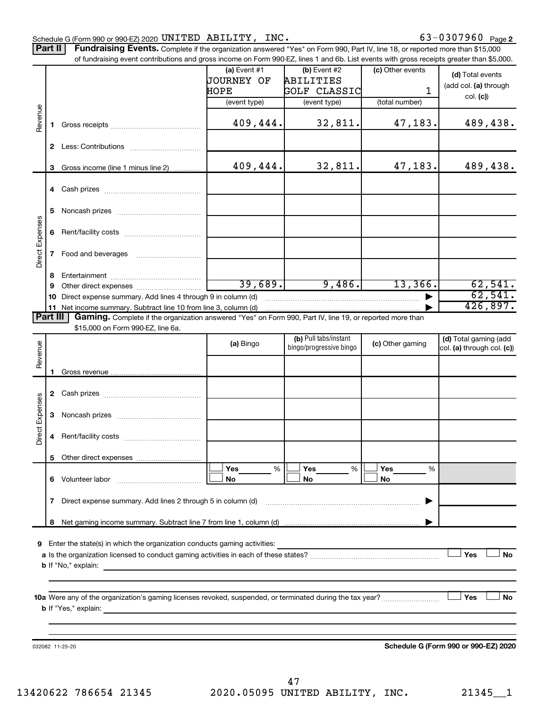Part II | Fundraising Events. Complete if the organization answered "Yes" on Form 990, Part IV, line 18, or reported more than \$15,000

|                 |              | of fundraising event contributions and gross income on Form 990-EZ, lines 1 and 6b. List events with gross receipts greater than \$5,000. |                   |                                                  |                  |                                      |
|-----------------|--------------|-------------------------------------------------------------------------------------------------------------------------------------------|-------------------|--------------------------------------------------|------------------|--------------------------------------|
|                 |              |                                                                                                                                           | $(a)$ Event #1    | (b) Event #2                                     | (c) Other events | (d) Total events                     |
|                 |              |                                                                                                                                           | <b>JOURNEY OF</b> | ABILITIES                                        |                  |                                      |
|                 |              |                                                                                                                                           | HOPE              | <b>GOLF CLASSIC</b>                              | 1                | (add col. (a) through                |
|                 |              |                                                                                                                                           | (event type)      | (event type)                                     | (total number)   | col. (c)                             |
| Revenue         |              |                                                                                                                                           |                   |                                                  |                  |                                      |
|                 | 1.           |                                                                                                                                           | 409,444.          | 32,811.                                          | 47,183.          | 489,438.                             |
|                 |              |                                                                                                                                           |                   |                                                  |                  |                                      |
|                 | $\mathbf{2}$ |                                                                                                                                           |                   |                                                  |                  |                                      |
|                 |              |                                                                                                                                           |                   |                                                  |                  |                                      |
|                 | 3            | Gross income (line 1 minus line 2)                                                                                                        | 409,444.          | 32,811.                                          | 47,183.          | 489,438.                             |
|                 |              |                                                                                                                                           |                   |                                                  |                  |                                      |
|                 |              |                                                                                                                                           |                   |                                                  |                  |                                      |
|                 |              |                                                                                                                                           |                   |                                                  |                  |                                      |
|                 | 5            |                                                                                                                                           |                   |                                                  |                  |                                      |
| Direct Expenses |              |                                                                                                                                           |                   |                                                  |                  |                                      |
|                 | 6            |                                                                                                                                           |                   |                                                  |                  |                                      |
|                 |              |                                                                                                                                           |                   |                                                  |                  |                                      |
|                 | $\mathbf{7}$ | Food and beverages                                                                                                                        |                   |                                                  |                  |                                      |
|                 |              |                                                                                                                                           |                   |                                                  |                  |                                      |
|                 | 8            |                                                                                                                                           |                   |                                                  |                  |                                      |
|                 | 9            |                                                                                                                                           | 39,689.           | 9,486.                                           | 13,366.          | 62,541.                              |
|                 | 10           | Direct expense summary. Add lines 4 through 9 in column (d)                                                                               |                   |                                                  |                  | 62,541.                              |
|                 |              | 11 Net income summary. Subtract line 10 from line 3, column (d)                                                                           |                   |                                                  |                  | 426,897.                             |
| <b>Part III</b> |              | Gaming. Complete if the organization answered "Yes" on Form 990, Part IV, line 19, or reported more than                                  |                   |                                                  |                  |                                      |
|                 |              | \$15,000 on Form 990-EZ, line 6a.                                                                                                         |                   |                                                  |                  |                                      |
|                 |              |                                                                                                                                           | (a) Bingo         | (b) Pull tabs/instant<br>bingo/progressive bingo | (c) Other gaming | (d) Total gaming (add                |
|                 |              |                                                                                                                                           |                   |                                                  |                  | col. (a) through col. (c))           |
| Revenue         |              |                                                                                                                                           |                   |                                                  |                  |                                      |
|                 | 1.           |                                                                                                                                           |                   |                                                  |                  |                                      |
|                 |              |                                                                                                                                           |                   |                                                  |                  |                                      |
|                 | $\mathbf{2}$ |                                                                                                                                           |                   |                                                  |                  |                                      |
|                 |              |                                                                                                                                           |                   |                                                  |                  |                                      |
|                 | 3            |                                                                                                                                           |                   |                                                  |                  |                                      |
| Direct Expenses |              |                                                                                                                                           |                   |                                                  |                  |                                      |
|                 | 4            |                                                                                                                                           |                   |                                                  |                  |                                      |
|                 |              |                                                                                                                                           |                   |                                                  |                  |                                      |
|                 |              | 5 Other direct expenses                                                                                                                   |                   |                                                  |                  |                                      |
|                 |              |                                                                                                                                           | %<br>Yes          | Yes<br>%                                         | Yes<br>%         |                                      |
|                 |              | 6 Volunteer labor                                                                                                                         | No                | No                                               | No               |                                      |
|                 |              |                                                                                                                                           |                   |                                                  |                  |                                      |
|                 | 7            | Direct expense summary. Add lines 2 through 5 in column (d)                                                                               |                   |                                                  |                  |                                      |
|                 |              |                                                                                                                                           |                   |                                                  |                  |                                      |
|                 | 8            |                                                                                                                                           |                   |                                                  |                  |                                      |
|                 |              |                                                                                                                                           |                   |                                                  |                  |                                      |
| 9               |              | Enter the state(s) in which the organization conducts gaming activities:                                                                  |                   |                                                  |                  |                                      |
|                 |              |                                                                                                                                           |                   |                                                  |                  | Yes<br><b>No</b>                     |
|                 |              | <b>b</b> If "No," explain:<br><u> 1989 - Johann Stoff, fransk politiker (d. 1989)</u>                                                     |                   |                                                  |                  |                                      |
|                 |              |                                                                                                                                           |                   |                                                  |                  |                                      |
|                 |              |                                                                                                                                           |                   |                                                  |                  |                                      |
|                 |              |                                                                                                                                           |                   |                                                  |                  | Yes<br>No                            |
|                 |              |                                                                                                                                           |                   |                                                  |                  |                                      |
|                 |              |                                                                                                                                           |                   |                                                  |                  |                                      |
|                 |              |                                                                                                                                           |                   |                                                  |                  |                                      |
|                 |              | 032082 11-25-20                                                                                                                           |                   |                                                  |                  | Schedule G (Form 990 or 990-EZ) 2020 |
|                 |              |                                                                                                                                           |                   |                                                  |                  |                                      |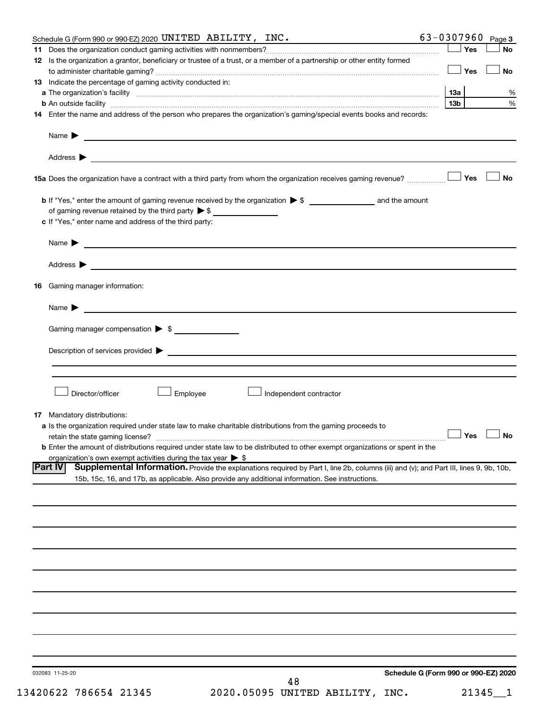| Schedule G (Form 990 or 990-EZ) 2020 UNITED ABILITY, INC.                                                                                                                                                                                                          | 63-0307960 $_{Page 3}$               |           |
|--------------------------------------------------------------------------------------------------------------------------------------------------------------------------------------------------------------------------------------------------------------------|--------------------------------------|-----------|
|                                                                                                                                                                                                                                                                    | ⊥ Yes                                | <b>No</b> |
| 12 Is the organization a grantor, beneficiary or trustee of a trust, or a member of a partnership or other entity formed                                                                                                                                           |                                      |           |
|                                                                                                                                                                                                                                                                    | ⊥ Yes                                | No        |
| 13 Indicate the percentage of gaming activity conducted in:                                                                                                                                                                                                        |                                      |           |
|                                                                                                                                                                                                                                                                    | 13a                                  | %         |
|                                                                                                                                                                                                                                                                    | 13 <sub>b</sub>                      | $\%$      |
|                                                                                                                                                                                                                                                                    |                                      |           |
| 14 Enter the name and address of the person who prepares the organization's gaming/special events books and records:                                                                                                                                               |                                      |           |
|                                                                                                                                                                                                                                                                    |                                      |           |
| Name $\blacktriangleright$<br><u>and the state of the state of the state of the state of the state of the state of the state of the state of the state of the state of the state of the state of the state of the state of the state of the state of the state</u> |                                      |           |
|                                                                                                                                                                                                                                                                    |                                      |           |
|                                                                                                                                                                                                                                                                    |                                      |           |
|                                                                                                                                                                                                                                                                    |                                      |           |
|                                                                                                                                                                                                                                                                    |                                      | <b>No</b> |
|                                                                                                                                                                                                                                                                    |                                      |           |
|                                                                                                                                                                                                                                                                    |                                      |           |
| of gaming revenue retained by the third party $\triangleright$ \$                                                                                                                                                                                                  |                                      |           |
| c If "Yes," enter name and address of the third party:                                                                                                                                                                                                             |                                      |           |
|                                                                                                                                                                                                                                                                    |                                      |           |
| <u> 1980 - Johann Stein, marwolaethau a bhann an t-Amhainn an t-Amhainn an t-Amhainn an t-Amhainn an t-Amhainn an</u><br>Name $\blacktriangleright$                                                                                                                |                                      |           |
|                                                                                                                                                                                                                                                                    |                                      |           |
|                                                                                                                                                                                                                                                                    |                                      |           |
|                                                                                                                                                                                                                                                                    |                                      |           |
| <b>16</b> Gaming manager information:                                                                                                                                                                                                                              |                                      |           |
|                                                                                                                                                                                                                                                                    |                                      |           |
| Name $\blacktriangleright$                                                                                                                                                                                                                                         |                                      |           |
|                                                                                                                                                                                                                                                                    |                                      |           |
| Gaming manager compensation > \$                                                                                                                                                                                                                                   |                                      |           |
|                                                                                                                                                                                                                                                                    |                                      |           |
| Description of services provided states and the contract of the contract of the contract of the contract of the contract of the contract of the contract of the contract of the contract of the contract of the contract of th                                     |                                      |           |
|                                                                                                                                                                                                                                                                    |                                      |           |
|                                                                                                                                                                                                                                                                    |                                      |           |
|                                                                                                                                                                                                                                                                    |                                      |           |
| Director/officer<br>Employee<br>Independent contractor                                                                                                                                                                                                             |                                      |           |
|                                                                                                                                                                                                                                                                    |                                      |           |
|                                                                                                                                                                                                                                                                    |                                      |           |
| <b>17</b> Mandatory distributions:                                                                                                                                                                                                                                 |                                      |           |
| <b>a</b> Is the organization required under state law to make charitable distributions from the gaming proceeds to                                                                                                                                                 | $\Box$ Yes $\Box$ No                 |           |
|                                                                                                                                                                                                                                                                    |                                      |           |
| <b>b</b> Enter the amount of distributions required under state law to be distributed to other exempt organizations or spent in the                                                                                                                                |                                      |           |
| organization's own exempt activities during the tax year $\triangleright$ \$                                                                                                                                                                                       |                                      |           |
| <b>Part IV</b><br>Supplemental Information. Provide the explanations required by Part I, line 2b, columns (iii) and (v); and Part III, lines 9, 9b, 10b,                                                                                                           |                                      |           |
| 15b, 15c, 16, and 17b, as applicable. Also provide any additional information. See instructions.                                                                                                                                                                   |                                      |           |
|                                                                                                                                                                                                                                                                    |                                      |           |
|                                                                                                                                                                                                                                                                    |                                      |           |
|                                                                                                                                                                                                                                                                    |                                      |           |
|                                                                                                                                                                                                                                                                    |                                      |           |
|                                                                                                                                                                                                                                                                    |                                      |           |
|                                                                                                                                                                                                                                                                    |                                      |           |
|                                                                                                                                                                                                                                                                    |                                      |           |
|                                                                                                                                                                                                                                                                    |                                      |           |
|                                                                                                                                                                                                                                                                    |                                      |           |
|                                                                                                                                                                                                                                                                    |                                      |           |
|                                                                                                                                                                                                                                                                    |                                      |           |
|                                                                                                                                                                                                                                                                    |                                      |           |
|                                                                                                                                                                                                                                                                    |                                      |           |
|                                                                                                                                                                                                                                                                    |                                      |           |
|                                                                                                                                                                                                                                                                    |                                      |           |
|                                                                                                                                                                                                                                                                    |                                      |           |
|                                                                                                                                                                                                                                                                    |                                      |           |
|                                                                                                                                                                                                                                                                    | Schedule G (Form 990 or 990-EZ) 2020 |           |
| 032083 11-25-20<br>48                                                                                                                                                                                                                                              |                                      |           |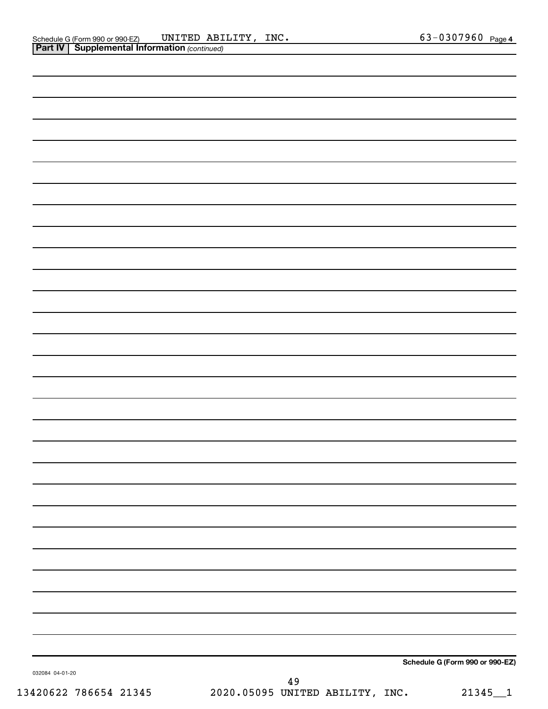| 032084 04-01-20 | 49 |                                 |
|-----------------|----|---------------------------------|
|                 |    | Schedule G (Form 990 or 990-EZ) |
|                 |    |                                 |
|                 |    |                                 |
|                 |    |                                 |
|                 |    |                                 |
|                 |    |                                 |
|                 |    |                                 |
|                 |    |                                 |
|                 |    |                                 |
|                 |    |                                 |
|                 |    |                                 |
|                 |    |                                 |
|                 |    |                                 |
|                 |    |                                 |
|                 |    |                                 |
|                 |    |                                 |
|                 |    |                                 |
|                 |    |                                 |
|                 |    |                                 |
|                 |    |                                 |
|                 |    |                                 |
|                 |    |                                 |
|                 |    |                                 |
|                 |    |                                 |
|                 |    |                                 |
|                 |    |                                 |
|                 |    |                                 |
|                 |    |                                 |
|                 |    |                                 |
|                 |    |                                 |
|                 |    |                                 |
|                 |    |                                 |
|                 |    |                                 |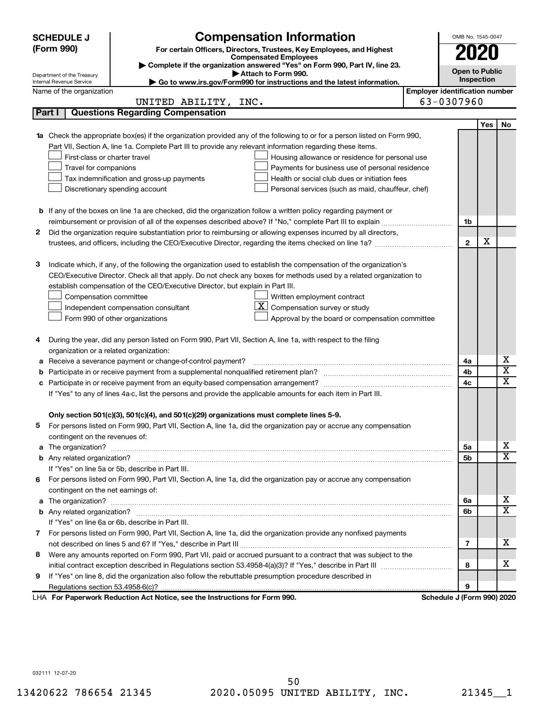| <b>Compensation Information</b><br><b>SCHEDULE J</b> |                                         |                                                                                                                                  | OMB No. 1545-0047                     |                            |     |                         |  |
|------------------------------------------------------|-----------------------------------------|----------------------------------------------------------------------------------------------------------------------------------|---------------------------------------|----------------------------|-----|-------------------------|--|
| (Form 990)<br><b>Compensated Employees</b>           |                                         | For certain Officers, Directors, Trustees, Key Employees, and Highest                                                            | 2020                                  |                            |     |                         |  |
|                                                      |                                         |                                                                                                                                  |                                       |                            |     |                         |  |
|                                                      | Department of the Treasury              | Complete if the organization answered "Yes" on Form 990, Part IV, line 23.<br>Attach to Form 990.                                |                                       | <b>Open to Public</b>      |     |                         |  |
|                                                      | Internal Revenue Service                | Go to www.irs.gov/Form990 for instructions and the latest information.                                                           |                                       | Inspection                 |     |                         |  |
|                                                      | Name of the organization                |                                                                                                                                  | <b>Employer identification number</b> |                            |     |                         |  |
|                                                      |                                         | UNITED ABILITY, INC.                                                                                                             |                                       | 63-0307960                 |     |                         |  |
|                                                      | Part I                                  | <b>Questions Regarding Compensation</b>                                                                                          |                                       |                            |     |                         |  |
|                                                      |                                         |                                                                                                                                  |                                       |                            | Yes | No                      |  |
|                                                      |                                         | <b>1a</b> Check the appropriate box(es) if the organization provided any of the following to or for a person listed on Form 990, |                                       |                            |     |                         |  |
|                                                      |                                         | Part VII, Section A, line 1a. Complete Part III to provide any relevant information regarding these items.                       |                                       |                            |     |                         |  |
|                                                      | First-class or charter travel           | Housing allowance or residence for personal use                                                                                  |                                       |                            |     |                         |  |
|                                                      | Travel for companions                   | Payments for business use of personal residence                                                                                  |                                       |                            |     |                         |  |
|                                                      |                                         | Health or social club dues or initiation fees<br>Tax indemnification and gross-up payments                                       |                                       |                            |     |                         |  |
|                                                      |                                         | Discretionary spending account<br>Personal services (such as maid, chauffeur, chef)                                              |                                       |                            |     |                         |  |
|                                                      |                                         |                                                                                                                                  |                                       |                            |     |                         |  |
|                                                      |                                         | <b>b</b> If any of the boxes on line 1a are checked, did the organization follow a written policy regarding payment or           |                                       |                            |     |                         |  |
|                                                      |                                         |                                                                                                                                  |                                       | 1b                         |     |                         |  |
| 2                                                    |                                         | Did the organization require substantiation prior to reimbursing or allowing expenses incurred by all directors,                 |                                       | $\mathbf{2}$               | X   |                         |  |
|                                                      |                                         |                                                                                                                                  |                                       |                            |     |                         |  |
| 3                                                    |                                         | Indicate which, if any, of the following the organization used to establish the compensation of the organization's               |                                       |                            |     |                         |  |
|                                                      |                                         | CEO/Executive Director. Check all that apply. Do not check any boxes for methods used by a related organization to               |                                       |                            |     |                         |  |
|                                                      |                                         | establish compensation of the CEO/Executive Director, but explain in Part III.                                                   |                                       |                            |     |                         |  |
|                                                      | Compensation committee                  | Written employment contract                                                                                                      |                                       |                            |     |                         |  |
|                                                      |                                         | ΧI<br>Compensation survey or study<br>Independent compensation consultant                                                        |                                       |                            |     |                         |  |
|                                                      |                                         | Approval by the board or compensation committee<br>Form 990 of other organizations                                               |                                       |                            |     |                         |  |
|                                                      |                                         |                                                                                                                                  |                                       |                            |     |                         |  |
| 4                                                    |                                         | During the year, did any person listed on Form 990, Part VII, Section A, line 1a, with respect to the filing                     |                                       |                            |     |                         |  |
|                                                      | organization or a related organization: |                                                                                                                                  |                                       |                            |     |                         |  |
| а                                                    |                                         | Receive a severance payment or change-of-control payment?                                                                        |                                       | 4a                         |     | х                       |  |
| b                                                    |                                         |                                                                                                                                  |                                       | 4b                         |     | $\overline{\textbf{x}}$ |  |
| c                                                    |                                         |                                                                                                                                  |                                       | 4c                         |     | $\overline{\textbf{x}}$ |  |
|                                                      |                                         | If "Yes" to any of lines 4a-c, list the persons and provide the applicable amounts for each item in Part III.                    |                                       |                            |     |                         |  |
|                                                      |                                         |                                                                                                                                  |                                       |                            |     |                         |  |
|                                                      |                                         | Only section 501(c)(3), 501(c)(4), and 501(c)(29) organizations must complete lines 5-9.                                         |                                       |                            |     |                         |  |
|                                                      |                                         | For persons listed on Form 990, Part VII, Section A, line 1a, did the organization pay or accrue any compensation                |                                       |                            |     |                         |  |
|                                                      | contingent on the revenues of:          |                                                                                                                                  |                                       |                            |     |                         |  |
|                                                      |                                         |                                                                                                                                  |                                       | 5а                         |     | х                       |  |
|                                                      |                                         |                                                                                                                                  |                                       | 5b                         |     | х                       |  |
|                                                      |                                         | If "Yes" on line 5a or 5b, describe in Part III.                                                                                 |                                       |                            |     |                         |  |
|                                                      |                                         | 6 For persons listed on Form 990, Part VII, Section A, line 1a, did the organization pay or accrue any compensation              |                                       |                            |     |                         |  |
|                                                      | contingent on the net earnings of:      |                                                                                                                                  |                                       |                            |     |                         |  |
|                                                      |                                         |                                                                                                                                  |                                       | 6a                         |     | х                       |  |
|                                                      |                                         |                                                                                                                                  |                                       | 6b                         |     | х                       |  |
|                                                      |                                         | If "Yes" on line 6a or 6b, describe in Part III.                                                                                 |                                       |                            |     |                         |  |
|                                                      |                                         | 7 For persons listed on Form 990, Part VII, Section A, line 1a, did the organization provide any nonfixed payments               |                                       |                            |     |                         |  |
|                                                      |                                         |                                                                                                                                  |                                       | 7                          |     | х                       |  |
|                                                      |                                         | 8 Were any amounts reported on Form 990, Part VII, paid or accrued pursuant to a contract that was subject to the                |                                       |                            |     |                         |  |
|                                                      |                                         |                                                                                                                                  |                                       | 8                          |     | х                       |  |
| 9                                                    |                                         | If "Yes" on line 8, did the organization also follow the rebuttable presumption procedure described in                           |                                       |                            |     |                         |  |
|                                                      |                                         |                                                                                                                                  |                                       | 9                          |     |                         |  |
|                                                      |                                         | LHA For Paperwork Reduction Act Notice, see the Instructions for Form 990.                                                       |                                       | Schedule J (Form 990) 2020 |     |                         |  |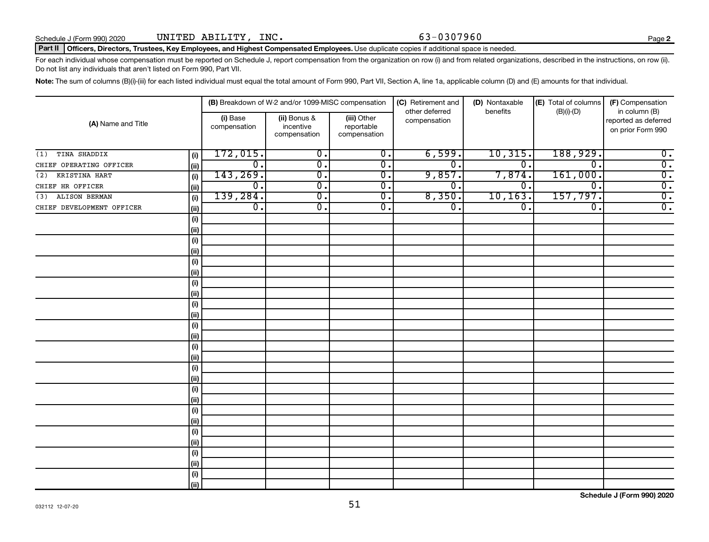#### Part II | Officers, Directors, Trustees, Key Employees, and Highest Compensated Employees. Use duplicate copies if additional space is needed.

For each individual whose compensation must be reported on Schedule J, report compensation from the organization on row (i) and from related organizations, described in the instructions, on row (ii). Do not list any individuals that aren't listed on Form 990, Part VII.

Note: The sum of columns (B)(i)-(iii) for each listed individual must equal the total amount of Form 990, Part VII, Section A, line 1a, applicable column (D) and (E) amounts for that individual.

|                             |       |                          | (B) Breakdown of W-2 and/or 1099-MISC compensation |                                           | (C) Retirement and             | (D) Nontaxable              | (E) Total of columns        | (F) Compensation                                           |
|-----------------------------|-------|--------------------------|----------------------------------------------------|-------------------------------------------|--------------------------------|-----------------------------|-----------------------------|------------------------------------------------------------|
| (A) Name and Title          |       | (i) Base<br>compensation | (ii) Bonus &<br>incentive<br>compensation          | (iii) Other<br>reportable<br>compensation | other deferred<br>compensation | benefits                    | $(B)(i)$ - $(D)$            | in column (B)<br>reported as deferred<br>on prior Form 990 |
| TINA SHADDIX<br>(1)         | (i)   | 172,015.                 | $\overline{\mathbf{0}}$ .                          | $\overline{0}$ .                          | 6,599.                         | 10,315.                     | 188,929.                    | $\overline{\mathbf{0}}$ .                                  |
| CHIEF OPERATING OFFICER     | (ii)  | $\overline{0}$ .         | $\overline{\mathbf{0}}$ .                          | $\overline{0}$ .                          | $\overline{0}$ .               | $\overline{0}$ .            | $\overline{\mathfrak{o}}$ . | $\overline{0}$ .                                           |
| KRISTINA HART<br>(2)        | (i)   | 143, 269.                | $\overline{\mathfrak{o}}$ .                        | $\overline{\mathbf{0}}$ .                 | 9,857.                         | 7,874.                      | 161,000.                    | $\overline{\mathbf{0}}$ .                                  |
| CHIEF HR OFFICER            | (ii)  | $\overline{0}$ .         | $\overline{\mathfrak{o}}$ .                        | $\overline{0}$ .                          | $\overline{0}$ .               | $\overline{0}$ .            | $\overline{\mathfrak{o}}$ . | $\overline{\mathbf{0}}$ .                                  |
| <b>ALISON BERMAN</b><br>(3) | (i)   | 139, 284.                | $\overline{\mathfrak{o}}$ .                        | $\overline{0}$ .                          | 8,350.                         | 10, 163.                    | 157,797.                    | $\overline{0}$ .                                           |
| CHIEF DEVELOPMENT OFFICER   | (ii)  | $\overline{0}$ .         | $\overline{0}$ .                                   | $\overline{0}$ .                          | $\overline{0}$ .               | $\overline{\mathfrak{o}}$ . | $\overline{\mathfrak{o}}$ . | $\overline{0}$ .                                           |
|                             | (i)   |                          |                                                    |                                           |                                |                             |                             |                                                            |
|                             | (ii)  |                          |                                                    |                                           |                                |                             |                             |                                                            |
|                             | (i)   |                          |                                                    |                                           |                                |                             |                             |                                                            |
|                             | (ii)  |                          |                                                    |                                           |                                |                             |                             |                                                            |
|                             | (i)   |                          |                                                    |                                           |                                |                             |                             |                                                            |
|                             | (ii)  |                          |                                                    |                                           |                                |                             |                             |                                                            |
|                             | (i)   |                          |                                                    |                                           |                                |                             |                             |                                                            |
|                             | (ii)  |                          |                                                    |                                           |                                |                             |                             |                                                            |
|                             | (i)   |                          |                                                    |                                           |                                |                             |                             |                                                            |
|                             | (ii)  |                          |                                                    |                                           |                                |                             |                             |                                                            |
|                             | (i)   |                          |                                                    |                                           |                                |                             |                             |                                                            |
|                             | (ii)  |                          |                                                    |                                           |                                |                             |                             |                                                            |
|                             | (i)   |                          |                                                    |                                           |                                |                             |                             |                                                            |
|                             | (ii)  |                          |                                                    |                                           |                                |                             |                             |                                                            |
|                             | (i)   |                          |                                                    |                                           |                                |                             |                             |                                                            |
|                             | (ii)  |                          |                                                    |                                           |                                |                             |                             |                                                            |
|                             | (i)   |                          |                                                    |                                           |                                |                             |                             |                                                            |
|                             | (ii)  |                          |                                                    |                                           |                                |                             |                             |                                                            |
|                             | (i)   |                          |                                                    |                                           |                                |                             |                             |                                                            |
|                             | (ii)  |                          |                                                    |                                           |                                |                             |                             |                                                            |
|                             | (i)   |                          |                                                    |                                           |                                |                             |                             |                                                            |
|                             | (ii)  |                          |                                                    |                                           |                                |                             |                             |                                                            |
|                             | (i)   |                          |                                                    |                                           |                                |                             |                             |                                                            |
|                             | (ii)  |                          |                                                    |                                           |                                |                             |                             |                                                            |
|                             | (i)   |                          |                                                    |                                           |                                |                             |                             |                                                            |
|                             | (iii) |                          |                                                    |                                           |                                |                             |                             |                                                            |

**Schedule J (Form 990) 2020**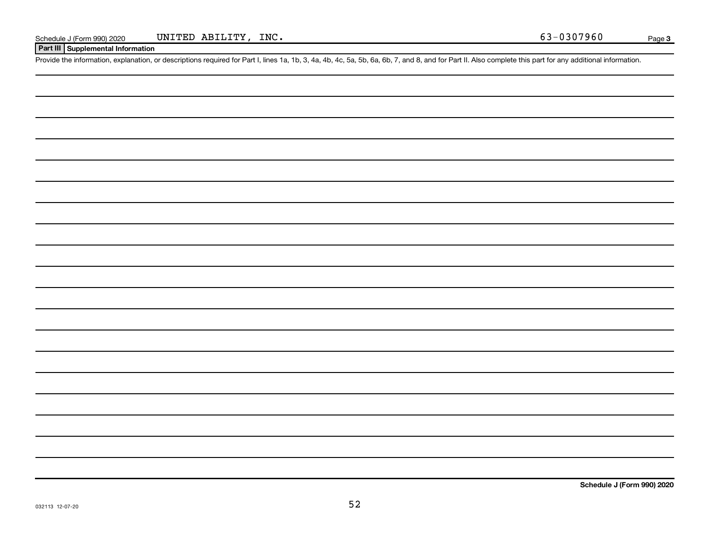#### **Part III Supplemental Information**

Provide the information, explanation, or descriptions required for Part I, lines 1a, 1b, 3, 4a, 4b, 4c, 5a, 5b, 6a, 6b, 7, and 8, and for Part II. Also complete this part for any additional information.

**Schedule J (Form 990) 2020**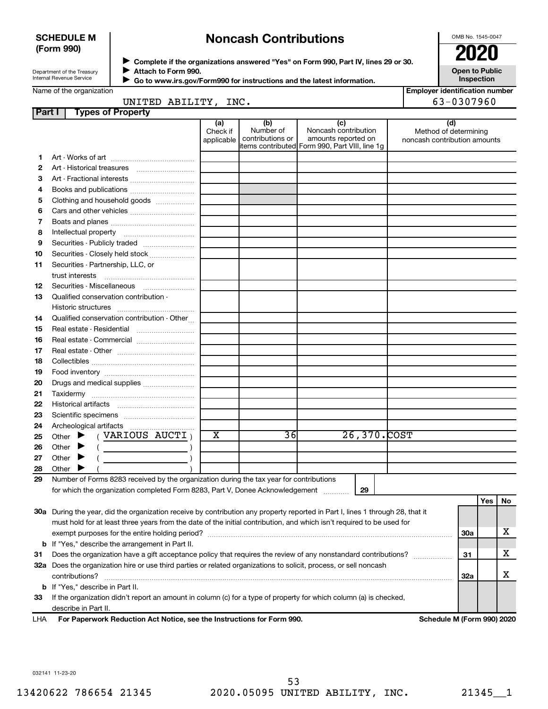#### **SCHEDULE M (Form 990)**

## **Noncash Contributions**

OMB No. 1545-0047

| Department of the Treasury |  |
|----------------------------|--|
| Internal Revenue Service   |  |

**Complete if the organizations answered "Yes" on Form 990, Part IV, lines 29 or 30. Attach to Form 990.** →<br>**→** Complete if the organizations answered "Yes" on Form 990, Part IV, lines 29 or 30.<br>● Complete if the organizations answered "Yes" on Form 990, Part IV, lines 29 or 30.  $\blacktriangleright$ 

**Open to Public Inspection**

| Name of the organization |  |
|--------------------------|--|

|  | Go to www.irs.gov/Form990 for instructions and the latest information. |
|--|------------------------------------------------------------------------|
|--|------------------------------------------------------------------------|

| <b>Employer identification number</b> |  |  |  |
|---------------------------------------|--|--|--|
|                                       |  |  |  |

| 63-0307960<br>INC.<br>UNITED ABILITY, |  |
|---------------------------------------|--|
|---------------------------------------|--|

| Part I | <b>Types of Property</b>                                                                                                       |                         |                               |                                                |                                                       |            |     |           |
|--------|--------------------------------------------------------------------------------------------------------------------------------|-------------------------|-------------------------------|------------------------------------------------|-------------------------------------------------------|------------|-----|-----------|
|        |                                                                                                                                | (a)                     | (b)                           | (c)                                            | (d)                                                   |            |     |           |
|        |                                                                                                                                | Check if<br>applicable  | Number of<br>contributions or | Noncash contribution<br>amounts reported on    | Method of determining<br>noncash contribution amounts |            |     |           |
|        |                                                                                                                                |                         |                               | items contributed Form 990, Part VIII, line 1g |                                                       |            |     |           |
| 1      |                                                                                                                                |                         |                               |                                                |                                                       |            |     |           |
| 2      |                                                                                                                                |                         |                               |                                                |                                                       |            |     |           |
| З      | Art - Fractional interests                                                                                                     |                         |                               |                                                |                                                       |            |     |           |
| 4      |                                                                                                                                |                         |                               |                                                |                                                       |            |     |           |
| 5      | Clothing and household goods                                                                                                   |                         |                               |                                                |                                                       |            |     |           |
| 6      |                                                                                                                                |                         |                               |                                                |                                                       |            |     |           |
| 7      |                                                                                                                                |                         |                               |                                                |                                                       |            |     |           |
| 8      |                                                                                                                                |                         |                               |                                                |                                                       |            |     |           |
| 9      | Securities - Publicly traded                                                                                                   |                         |                               |                                                |                                                       |            |     |           |
| 10     | Securities - Closely held stock                                                                                                |                         |                               |                                                |                                                       |            |     |           |
| 11     | Securities - Partnership, LLC, or                                                                                              |                         |                               |                                                |                                                       |            |     |           |
|        | trust interests                                                                                                                |                         |                               |                                                |                                                       |            |     |           |
| 12     | Securities - Miscellaneous                                                                                                     |                         |                               |                                                |                                                       |            |     |           |
| 13     | Qualified conservation contribution -                                                                                          |                         |                               |                                                |                                                       |            |     |           |
|        |                                                                                                                                |                         |                               |                                                |                                                       |            |     |           |
| 14     | Qualified conservation contribution - Other                                                                                    |                         |                               |                                                |                                                       |            |     |           |
| 15     |                                                                                                                                |                         |                               |                                                |                                                       |            |     |           |
| 16     | Real estate - Commercial                                                                                                       |                         |                               |                                                |                                                       |            |     |           |
| 17     |                                                                                                                                |                         |                               |                                                |                                                       |            |     |           |
| 18     |                                                                                                                                |                         |                               |                                                |                                                       |            |     |           |
| 19     |                                                                                                                                |                         |                               |                                                |                                                       |            |     |           |
| 20     | Drugs and medical supplies                                                                                                     |                         |                               |                                                |                                                       |            |     |           |
| 21     |                                                                                                                                |                         |                               |                                                |                                                       |            |     |           |
| 22     |                                                                                                                                |                         |                               |                                                |                                                       |            |     |           |
| 23     |                                                                                                                                |                         |                               |                                                |                                                       |            |     |           |
| 24     |                                                                                                                                |                         |                               |                                                |                                                       |            |     |           |
| 25     | (VARIOUS AUCTI)<br>Other $\blacktriangleright$                                                                                 | $\overline{\mathbf{x}}$ | 36                            | 26,370.COST                                    |                                                       |            |     |           |
| 26     | Other<br>▸<br>$\overline{\phantom{a}}$                                                                                         |                         |                               |                                                |                                                       |            |     |           |
| 27     | Other $\blacktriangleright$                                                                                                    |                         |                               |                                                |                                                       |            |     |           |
| 28     | Other $\blacktriangleright$                                                                                                    |                         |                               |                                                |                                                       |            |     |           |
| 29     | Number of Forms 8283 received by the organization during the tax year for contributions                                        |                         |                               |                                                |                                                       |            |     |           |
|        | for which the organization completed Form 8283, Part V, Donee Acknowledgement                                                  |                         |                               | 29                                             |                                                       |            |     |           |
|        |                                                                                                                                |                         |                               |                                                |                                                       |            | Yes | <b>No</b> |
|        | 30a During the year, did the organization receive by contribution any property reported in Part I, lines 1 through 28, that it |                         |                               |                                                |                                                       |            |     |           |
|        | must hold for at least three years from the date of the initial contribution, and which isn't required to be used for          |                         |                               |                                                |                                                       |            |     |           |
|        |                                                                                                                                |                         |                               |                                                |                                                       | <b>30a</b> |     | х         |
|        | <b>b</b> If "Yes," describe the arrangement in Part II.                                                                        |                         |                               |                                                |                                                       |            |     |           |
| 31     | Does the organization have a gift acceptance policy that requires the review of any nonstandard contributions?                 |                         |                               |                                                |                                                       | 31         |     | х         |
|        | 32a Does the organization hire or use third parties or related organizations to solicit, process, or sell noncash              |                         |                               |                                                |                                                       |            |     |           |
|        | contributions?                                                                                                                 |                         |                               |                                                |                                                       | 32a        |     | х         |
|        | <b>b</b> If "Yes," describe in Part II.                                                                                        |                         |                               |                                                |                                                       |            |     |           |
| 33     | If the organization didn't report an amount in column (c) for a type of property for which column (a) is checked,              |                         |                               |                                                |                                                       |            |     |           |
|        | describe in Part II.                                                                                                           |                         |                               |                                                |                                                       |            |     |           |
| LHA    | For Paperwork Reduction Act Notice, see the Instructions for Form 990.                                                         |                         |                               |                                                | Schedule M (Form 990) 2020                            |            |     |           |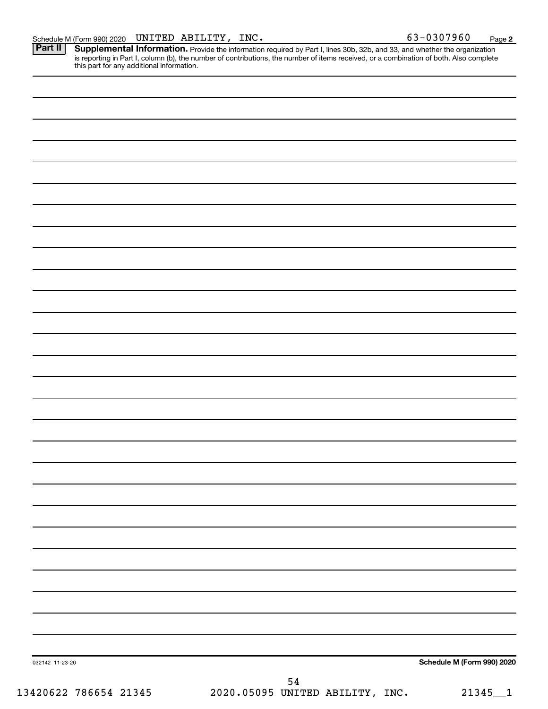Provide the information required by Part I, lines 30b, 32b, and 33, and whether the organization is reporting in Part I, column (b), the number of contributions, the number of items received, or a combination of both. Also complete this part for any additional information. **Part II Supplemental Information.** 

|                 | 54 |                            |
|-----------------|----|----------------------------|
| 032142 11-23-20 |    | Schedule M (Form 990) 2020 |
|                 |    |                            |
|                 |    |                            |
|                 |    |                            |
|                 |    |                            |
|                 |    |                            |
|                 |    |                            |
|                 |    |                            |
|                 |    |                            |
|                 |    |                            |
|                 |    |                            |
|                 |    |                            |
|                 |    |                            |
|                 |    |                            |
|                 |    |                            |
|                 |    |                            |
|                 |    |                            |
|                 |    |                            |
|                 |    |                            |
|                 |    |                            |
|                 |    |                            |
|                 |    |                            |
|                 |    |                            |
|                 |    |                            |
|                 |    |                            |
|                 |    |                            |
|                 |    |                            |
|                 |    |                            |
|                 |    |                            |
|                 |    |                            |
|                 |    |                            |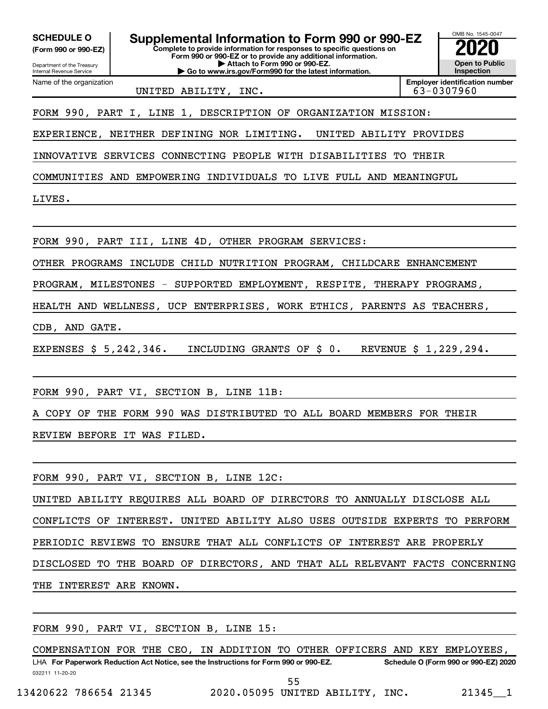**(Form 990 or 990-EZ)**

Department of the Treasury Internal Revenue Service Name of the organization

**Complete to provide information for responses to specific questions on Form 990 or 990-EZ or to provide any additional information. | Attach to Form 990 or 990-EZ. | Go to www.irs.gov/Form990 for the latest information. SCHEDULE O Supplemental Information to Form 990 or 990-EZ 2020**<br>(Form 990 or 990-EZ) **2020** 



UNITED ABILITY, INC. 63-0307960

**Employer identification number**

FORM 990, PART I, LINE 1, DESCRIPTION OF ORGANIZATION MISSION:

EXPERIENCE, NEITHER DEFINING NOR LIMITING. UNITED ABILITY PROVIDES

INNOVATIVE SERVICES CONNECTING PEOPLE WITH DISABILITIES TO THEIR

COMMUNITIES AND EMPOWERING INDIVIDUALS TO LIVE FULL AND MEANINGFUL

LIVES.

FORM 990, PART III, LINE 4D, OTHER PROGRAM SERVICES:

OTHER PROGRAMS INCLUDE CHILD NUTRITION PROGRAM, CHILDCARE ENHANCEMENT

PROGRAM, MILESTONES - SUPPORTED EMPLOYMENT, RESPITE, THERAPY PROGRAMS,

HEALTH AND WELLNESS, UCP ENTERPRISES, WORK ETHICS, PARENTS AS TEACHERS,

CDB, AND GATE.

EXPENSES \$ 5,242,346. INCLUDING GRANTS OF \$ 0. REVENUE \$ 1,229,294.

FORM 990, PART VI, SECTION B, LINE 11B:

A COPY OF THE FORM 990 WAS DISTRIBUTED TO ALL BOARD MEMBERS FOR THEIR

REVIEW BEFORE IT WAS FILED.

FORM 990, PART VI, SECTION B, LINE 12C:

UNITED ABILITY REQUIRES ALL BOARD OF DIRECTORS TO ANNUALLY DISCLOSE ALL CONFLICTS OF INTEREST. UNITED ABILITY ALSO USES OUTSIDE EXPERTS TO PERFORM PERIODIC REVIEWS TO ENSURE THAT ALL CONFLICTS OF INTEREST ARE PROPERLY DISCLOSED TO THE BOARD OF DIRECTORS, AND THAT ALL RELEVANT FACTS CONCERNING THE INTEREST ARE KNOWN.

FORM 990, PART VI, SECTION B, LINE 15:

032211 11-20-20 **For Paperwork Reduction Act Notice, see the Instructions for Form 990 or 990-EZ. Schedule O (Form 990 or 990-EZ) 2020** LHA COMPENSATION FOR THE CEO, IN ADDITION TO OTHER OFFICERS AND KEY EMPLOYEES, 55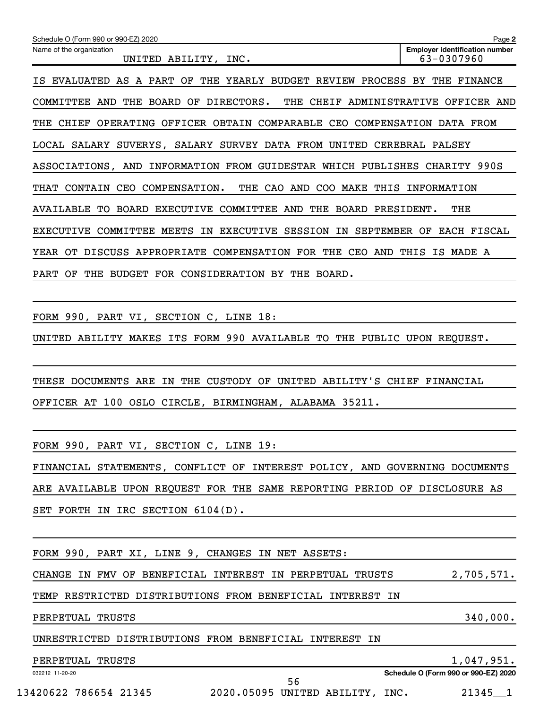| Schedule O (Form 990 or 990-EZ) 2020<br>Page 2<br><b>Employer identification number</b><br>Name of the organization<br>63-0307960<br>UNITED ABILITY, INC.<br>IS EVALUATED AS A PART OF THE YEARLY BUDGET REVIEW PROCESS BY THE FINANCE<br>THE CHEIF ADMINISTRATIVE OFFICER AND<br>COMMITTEE AND THE BOARD OF DIRECTORS.<br>THE CHIEF OPERATING OFFICER OBTAIN COMPARABLE CEO COMPENSATION DATA FROM<br>LOCAL SALARY SUVERYS, SALARY SURVEY DATA FROM UNITED CEREBRAL PALSEY<br>ASSOCIATIONS, AND INFORMATION FROM GUIDESTAR WHICH PUBLISHES CHARITY 990S<br>THE CAO AND COO MAKE THIS INFORMATION<br>THAT CONTAIN CEO COMPENSATION.<br>AVAILABLE TO BOARD EXECUTIVE COMMITTEE AND THE BOARD PRESIDENT.<br>THE<br>EXECUTIVE COMMITTEE MEETS IN EXECUTIVE SESSION IN SEPTEMBER OF EACH FISCAL<br>YEAR OT DISCUSS APPROPRIATE COMPENSATION FOR THE CEO AND THIS IS MADE A<br>PART OF THE BUDGET FOR CONSIDERATION BY THE BOARD.<br>FORM 990, PART VI, SECTION C, LINE 18:<br>UNITED ABILITY MAKES ITS FORM 990 AVAILABLE TO THE PUBLIC UPON REQUEST. |
|---------------------------------------------------------------------------------------------------------------------------------------------------------------------------------------------------------------------------------------------------------------------------------------------------------------------------------------------------------------------------------------------------------------------------------------------------------------------------------------------------------------------------------------------------------------------------------------------------------------------------------------------------------------------------------------------------------------------------------------------------------------------------------------------------------------------------------------------------------------------------------------------------------------------------------------------------------------------------------------------------------------------------------------------------|
|                                                                                                                                                                                                                                                                                                                                                                                                                                                                                                                                                                                                                                                                                                                                                                                                                                                                                                                                                                                                                                                   |
|                                                                                                                                                                                                                                                                                                                                                                                                                                                                                                                                                                                                                                                                                                                                                                                                                                                                                                                                                                                                                                                   |
|                                                                                                                                                                                                                                                                                                                                                                                                                                                                                                                                                                                                                                                                                                                                                                                                                                                                                                                                                                                                                                                   |
|                                                                                                                                                                                                                                                                                                                                                                                                                                                                                                                                                                                                                                                                                                                                                                                                                                                                                                                                                                                                                                                   |
|                                                                                                                                                                                                                                                                                                                                                                                                                                                                                                                                                                                                                                                                                                                                                                                                                                                                                                                                                                                                                                                   |
|                                                                                                                                                                                                                                                                                                                                                                                                                                                                                                                                                                                                                                                                                                                                                                                                                                                                                                                                                                                                                                                   |
|                                                                                                                                                                                                                                                                                                                                                                                                                                                                                                                                                                                                                                                                                                                                                                                                                                                                                                                                                                                                                                                   |
|                                                                                                                                                                                                                                                                                                                                                                                                                                                                                                                                                                                                                                                                                                                                                                                                                                                                                                                                                                                                                                                   |
|                                                                                                                                                                                                                                                                                                                                                                                                                                                                                                                                                                                                                                                                                                                                                                                                                                                                                                                                                                                                                                                   |
|                                                                                                                                                                                                                                                                                                                                                                                                                                                                                                                                                                                                                                                                                                                                                                                                                                                                                                                                                                                                                                                   |
|                                                                                                                                                                                                                                                                                                                                                                                                                                                                                                                                                                                                                                                                                                                                                                                                                                                                                                                                                                                                                                                   |
|                                                                                                                                                                                                                                                                                                                                                                                                                                                                                                                                                                                                                                                                                                                                                                                                                                                                                                                                                                                                                                                   |
|                                                                                                                                                                                                                                                                                                                                                                                                                                                                                                                                                                                                                                                                                                                                                                                                                                                                                                                                                                                                                                                   |
|                                                                                                                                                                                                                                                                                                                                                                                                                                                                                                                                                                                                                                                                                                                                                                                                                                                                                                                                                                                                                                                   |
|                                                                                                                                                                                                                                                                                                                                                                                                                                                                                                                                                                                                                                                                                                                                                                                                                                                                                                                                                                                                                                                   |
| THESE DOCUMENTS ARE IN THE CUSTODY OF UNITED ABILITY'S CHIEF FINANCIAL                                                                                                                                                                                                                                                                                                                                                                                                                                                                                                                                                                                                                                                                                                                                                                                                                                                                                                                                                                            |
| OFFICER AT 100 OSLO CIRCLE, BIRMINGHAM, ALABAMA 35211.                                                                                                                                                                                                                                                                                                                                                                                                                                                                                                                                                                                                                                                                                                                                                                                                                                                                                                                                                                                            |
|                                                                                                                                                                                                                                                                                                                                                                                                                                                                                                                                                                                                                                                                                                                                                                                                                                                                                                                                                                                                                                                   |
| FORM 990, PART VI, SECTION C, LINE 19:                                                                                                                                                                                                                                                                                                                                                                                                                                                                                                                                                                                                                                                                                                                                                                                                                                                                                                                                                                                                            |
| FINANCIAL STATEMENTS, CONFLICT OF INTEREST POLICY, AND GOVERNING DOCUMENTS                                                                                                                                                                                                                                                                                                                                                                                                                                                                                                                                                                                                                                                                                                                                                                                                                                                                                                                                                                        |
| ARE AVAILABLE UPON REQUEST FOR THE SAME REPORTING PERIOD OF DISCLOSURE AS                                                                                                                                                                                                                                                                                                                                                                                                                                                                                                                                                                                                                                                                                                                                                                                                                                                                                                                                                                         |
| SET FORTH IN IRC SECTION 6104(D).                                                                                                                                                                                                                                                                                                                                                                                                                                                                                                                                                                                                                                                                                                                                                                                                                                                                                                                                                                                                                 |

FORM 990, PART XI, LINE 9, CHANGES IN NET ASSETS:

CHANGE IN FMV OF BENEFICIAL INTEREST IN PERPETUAL TRUSTS 2,705,571.

TEMP RESTRICTED DISTRIBUTIONS FROM BENEFICIAL INTEREST IN

PERPETUAL TRUSTS **340,000.** 

UNRESTRICTED DISTRIBUTIONS FROM BENEFICIAL INTEREST IN

PERPETUAL TRUSTS 1,047,951.

**Schedule O (Form 990 or 990-EZ) 2020**

032212 11-20-20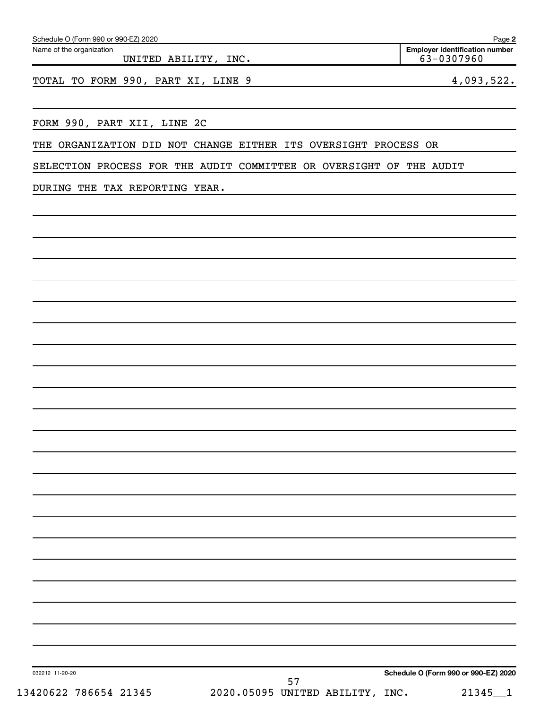| FORM 990, PART XII, LINE 2C                                                                                           | <u> 1989 - Johann Barbara, martxa alemaniar amerikan basar da a</u> |  |  |                                      |  |
|-----------------------------------------------------------------------------------------------------------------------|---------------------------------------------------------------------|--|--|--------------------------------------|--|
| THE ORGANIZATION DID NOT CHANGE EITHER ITS OVERSIGHT PROCESS OR                                                       |                                                                     |  |  |                                      |  |
| SELECTION PROCESS FOR THE AUDIT COMMITTEE OR OVERSIGHT OF THE AUDIT                                                   |                                                                     |  |  |                                      |  |
|                                                                                                                       |                                                                     |  |  |                                      |  |
| DURING THE TAX REPORTING YEAR.                                                                                        |                                                                     |  |  |                                      |  |
| <u> 1989 - Johann Stoff, deutscher Stoff, der Stoff, der Stoff, der Stoff, der Stoff, der Stoff, der Stoff, der S</u> |                                                                     |  |  |                                      |  |
|                                                                                                                       |                                                                     |  |  |                                      |  |
|                                                                                                                       |                                                                     |  |  |                                      |  |
|                                                                                                                       |                                                                     |  |  |                                      |  |
|                                                                                                                       |                                                                     |  |  |                                      |  |
|                                                                                                                       |                                                                     |  |  |                                      |  |
|                                                                                                                       |                                                                     |  |  |                                      |  |
|                                                                                                                       |                                                                     |  |  |                                      |  |
|                                                                                                                       |                                                                     |  |  |                                      |  |
|                                                                                                                       |                                                                     |  |  |                                      |  |
|                                                                                                                       |                                                                     |  |  |                                      |  |
|                                                                                                                       |                                                                     |  |  |                                      |  |
|                                                                                                                       |                                                                     |  |  |                                      |  |
|                                                                                                                       |                                                                     |  |  |                                      |  |
|                                                                                                                       |                                                                     |  |  |                                      |  |
|                                                                                                                       |                                                                     |  |  |                                      |  |
|                                                                                                                       |                                                                     |  |  |                                      |  |
|                                                                                                                       |                                                                     |  |  |                                      |  |
|                                                                                                                       |                                                                     |  |  |                                      |  |
|                                                                                                                       |                                                                     |  |  |                                      |  |
|                                                                                                                       |                                                                     |  |  |                                      |  |
|                                                                                                                       |                                                                     |  |  |                                      |  |
|                                                                                                                       |                                                                     |  |  |                                      |  |
|                                                                                                                       |                                                                     |  |  |                                      |  |
|                                                                                                                       |                                                                     |  |  |                                      |  |
| 032212 11-20-20                                                                                                       |                                                                     |  |  | Schedule O (Form 990 or 990-EZ) 2020 |  |
| 13420622 786654 21345                                                                                                 | 57<br>2020.05095 UNITED ABILITY, INC.                               |  |  | $21345 - 1$                          |  |
|                                                                                                                       |                                                                     |  |  |                                      |  |

#### Schedule O (Form 990 or 990-EZ) 2020

Name of the organization UNITED ABILITY, INC.

TOTAL TO FORM 990, PART XI, LINE 9 4,093,522.

**Employer identification number**

**2**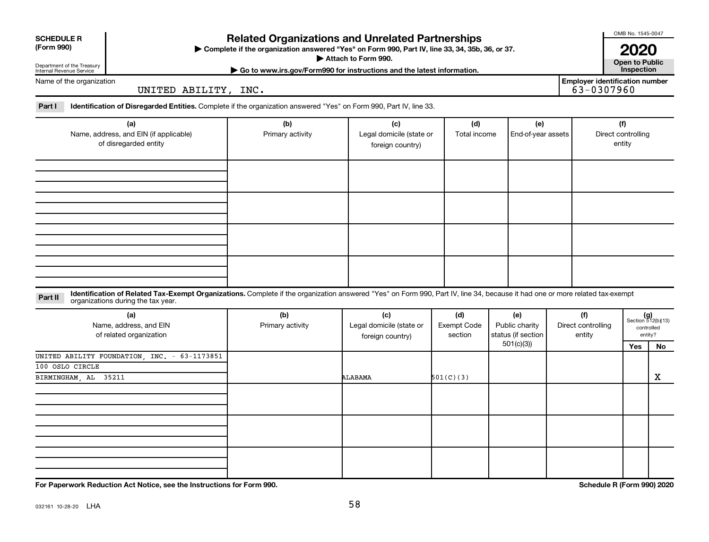| <b>SCHEDULE R</b><br>(Form 990)<br>Department of the Treasury<br>Internal Revenue Service | <b>Related Organizations and Unrelated Partnerships</b><br>Complete if the organization answered "Yes" on Form 990, Part IV, line 33, 34, 35b, 36, or 37.<br>Attach to Form 990.<br>Go to www.irs.gov/Form990 for instructions and the latest information. |                         |                                                     |                                      |                                             |                              |                                                     |                                     |                                                      |  |  |
|-------------------------------------------------------------------------------------------|------------------------------------------------------------------------------------------------------------------------------------------------------------------------------------------------------------------------------------------------------------|-------------------------|-----------------------------------------------------|--------------------------------------|---------------------------------------------|------------------------------|-----------------------------------------------------|-------------------------------------|------------------------------------------------------|--|--|
| Name of the organization                                                                  | UNITED ABILITY, INC.                                                                                                                                                                                                                                       |                         |                                                     |                                      |                                             |                              | <b>Employer identification number</b><br>63-0307960 |                                     |                                                      |  |  |
| Part I                                                                                    | Identification of Disregarded Entities. Complete if the organization answered "Yes" on Form 990, Part IV, line 33.                                                                                                                                         |                         |                                                     |                                      |                                             |                              |                                                     |                                     |                                                      |  |  |
| (a)<br>Name, address, and EIN (if applicable)<br>of disregarded entity                    |                                                                                                                                                                                                                                                            | (b)<br>Primary activity | (c)<br>Legal domicile (state or<br>foreign country) | (d)<br>Total income                  | (e)<br>End-of-year assets                   |                              |                                                     | (f)<br>Direct controlling<br>entity |                                                      |  |  |
|                                                                                           |                                                                                                                                                                                                                                                            |                         |                                                     |                                      |                                             |                              |                                                     |                                     |                                                      |  |  |
|                                                                                           |                                                                                                                                                                                                                                                            |                         |                                                     |                                      |                                             |                              |                                                     |                                     |                                                      |  |  |
|                                                                                           |                                                                                                                                                                                                                                                            |                         |                                                     |                                      |                                             |                              |                                                     |                                     |                                                      |  |  |
|                                                                                           |                                                                                                                                                                                                                                                            |                         |                                                     |                                      |                                             |                              |                                                     |                                     |                                                      |  |  |
| Part II                                                                                   | Identification of Related Tax-Exempt Organizations. Complete if the organization answered "Yes" on Form 990, Part IV, line 34, because it had one or more related tax-exempt<br>organizations during the tax year.                                         |                         |                                                     |                                      |                                             |                              |                                                     |                                     |                                                      |  |  |
|                                                                                           | (a)<br>Name, address, and EIN<br>of related organization                                                                                                                                                                                                   | (b)<br>Primary activity | (c)<br>Legal domicile (state or<br>foreign country) | (d)<br><b>Exempt Code</b><br>section | (e)<br>Public charity<br>status (if section | Direct controlling<br>entity |                                                     |                                     | $(g)$<br>Section 512(b)(13)<br>controlled<br>entity? |  |  |
|                                                                                           |                                                                                                                                                                                                                                                            |                         |                                                     |                                      | 501(c)(3)                                   |                              |                                                     | Yes                                 | No                                                   |  |  |
| 100 OSLO CIRCLE<br>BIRMINGHAM, AL                                                         | UNITED ABILITY FOUNDATION, INC. - 63-1173851<br>35211                                                                                                                                                                                                      |                         | ALABAMA                                             | 501(C)(3)                            |                                             |                              |                                                     |                                     | $\mathbf X$                                          |  |  |
|                                                                                           |                                                                                                                                                                                                                                                            |                         |                                                     |                                      |                                             |                              |                                                     |                                     |                                                      |  |  |
|                                                                                           |                                                                                                                                                                                                                                                            |                         |                                                     |                                      |                                             |                              |                                                     |                                     |                                                      |  |  |
|                                                                                           |                                                                                                                                                                                                                                                            |                         |                                                     |                                      |                                             |                              |                                                     |                                     |                                                      |  |  |

**For Paperwork Reduction Act Notice, see the Instructions for Form 990. Schedule R (Form 990) 2020**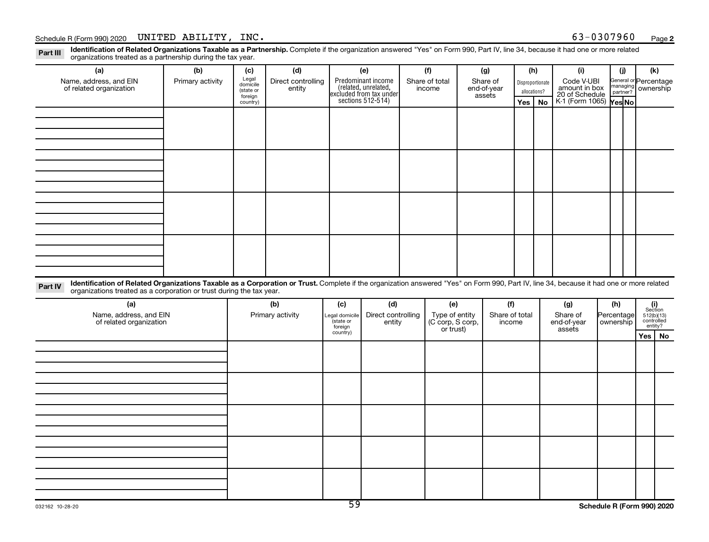#### Schedule R (Form 990) 2020 UNITED ABILITY, INC.  $63-0307960$  Page  $63-0307960$

Part III Identification of Related Organizations Taxable as a Partnership. Complete if the organization answered "Yes" on Form 990, Part IV, line 34, because it had one or more related<br>Read to the organizations tracted as organizations treated as a partnership during the tax year.

| organizations treated as a partnership during the tax year.                                                                                                                                         |                  |                     |                    |                      |                                                                                            |                |                               |                       |                |              |    |                                 |  |                       |                                                                                                               |  |
|-----------------------------------------------------------------------------------------------------------------------------------------------------------------------------------------------------|------------------|---------------------|--------------------|----------------------|--------------------------------------------------------------------------------------------|----------------|-------------------------------|-----------------------|----------------|--------------|----|---------------------------------|--|-----------------------|---------------------------------------------------------------------------------------------------------------|--|
| (a)                                                                                                                                                                                                 | (b)              | (c)                 | (d)                |                      | (e)                                                                                        |                | (f)                           |                       | (g)            | (h)          |    | (i)                             |  | (j)                   | (k)                                                                                                           |  |
| Name, address, and EIN                                                                                                                                                                              | Primary activity | Legal<br>domicile   | Direct controlling |                      | Predominant income<br>(related, unrelated,<br>excluded from tax under<br>sections 512-514) | Share of total |                               | Share of              |                |              |    | Code V-UBI<br>Disproportionate  |  | General or Percentage |                                                                                                               |  |
| of related organization                                                                                                                                                                             |                  | (state or           | entity             |                      |                                                                                            | income         |                               | end-of-year<br>assets |                | allocations? |    | amount in box<br>20 of Schedule |  | managing ownership    |                                                                                                               |  |
|                                                                                                                                                                                                     |                  | foreign<br>country) |                    |                      |                                                                                            |                |                               |                       |                | Yes          | No | K-1 (Form 1065) Yes No          |  |                       |                                                                                                               |  |
|                                                                                                                                                                                                     |                  |                     |                    |                      |                                                                                            |                |                               |                       |                |              |    |                                 |  |                       |                                                                                                               |  |
|                                                                                                                                                                                                     |                  |                     |                    |                      |                                                                                            |                |                               |                       |                |              |    |                                 |  |                       |                                                                                                               |  |
|                                                                                                                                                                                                     |                  |                     |                    |                      |                                                                                            |                |                               |                       |                |              |    |                                 |  |                       |                                                                                                               |  |
|                                                                                                                                                                                                     |                  |                     |                    |                      |                                                                                            |                |                               |                       |                |              |    |                                 |  |                       |                                                                                                               |  |
|                                                                                                                                                                                                     |                  |                     |                    |                      |                                                                                            |                |                               |                       |                |              |    |                                 |  |                       |                                                                                                               |  |
|                                                                                                                                                                                                     |                  |                     |                    |                      |                                                                                            |                |                               |                       |                |              |    |                                 |  |                       |                                                                                                               |  |
|                                                                                                                                                                                                     |                  |                     |                    |                      |                                                                                            |                |                               |                       |                |              |    |                                 |  |                       |                                                                                                               |  |
|                                                                                                                                                                                                     |                  |                     |                    |                      |                                                                                            |                |                               |                       |                |              |    |                                 |  |                       |                                                                                                               |  |
|                                                                                                                                                                                                     |                  |                     |                    |                      |                                                                                            |                |                               |                       |                |              |    |                                 |  |                       |                                                                                                               |  |
|                                                                                                                                                                                                     |                  |                     |                    |                      |                                                                                            |                |                               |                       |                |              |    |                                 |  |                       |                                                                                                               |  |
|                                                                                                                                                                                                     |                  |                     |                    |                      |                                                                                            |                |                               |                       |                |              |    |                                 |  |                       |                                                                                                               |  |
|                                                                                                                                                                                                     |                  |                     |                    |                      |                                                                                            |                |                               |                       |                |              |    |                                 |  |                       |                                                                                                               |  |
|                                                                                                                                                                                                     |                  |                     |                    |                      |                                                                                            |                |                               |                       |                |              |    |                                 |  |                       |                                                                                                               |  |
|                                                                                                                                                                                                     |                  |                     |                    |                      |                                                                                            |                |                               |                       |                |              |    |                                 |  |                       |                                                                                                               |  |
|                                                                                                                                                                                                     |                  |                     |                    |                      |                                                                                            |                |                               |                       |                |              |    |                                 |  |                       |                                                                                                               |  |
|                                                                                                                                                                                                     |                  |                     |                    |                      |                                                                                            |                |                               |                       |                |              |    |                                 |  |                       |                                                                                                               |  |
| Identification of Related Organizations Taxable as a Corporation or Trust. Complete if the organization answered "Yes" on Form 990, Part IV, line 34, because it had one or more related<br>Part IV |                  |                     |                    |                      |                                                                                            |                |                               |                       |                |              |    |                                 |  |                       |                                                                                                               |  |
| organizations treated as a corporation or trust during the tax year.                                                                                                                                |                  |                     |                    |                      |                                                                                            |                |                               |                       |                |              |    |                                 |  |                       |                                                                                                               |  |
| (a)                                                                                                                                                                                                 |                  |                     | (b)                | (c)                  | (d)                                                                                        |                | (e)                           |                       | (f)            |              |    | (g)                             |  | (h)                   |                                                                                                               |  |
| Name, address, and EIN                                                                                                                                                                              |                  |                     | Primary activity   | Legal domicile       | Direct controlling                                                                         |                | Type of entity                |                       | Share of total |              |    | Share of                        |  | Percentage            | $\begin{array}{c} \textbf{(i)}\\ \text{Section}\\ 512 \text{(b)} \text{(13)}\\ \text{controlled} \end{array}$ |  |
| of related organization                                                                                                                                                                             |                  |                     |                    | (state or<br>foreign | entity                                                                                     |                | (C corp, S corp,<br>or trust) |                       | income         |              |    | end-of-year<br>assets           |  | ownership             | entity?                                                                                                       |  |
|                                                                                                                                                                                                     |                  |                     |                    | country)             |                                                                                            |                |                               |                       |                |              |    |                                 |  |                       | Yes   No                                                                                                      |  |
|                                                                                                                                                                                                     |                  |                     |                    |                      |                                                                                            |                |                               |                       |                |              |    |                                 |  |                       |                                                                                                               |  |
|                                                                                                                                                                                                     |                  |                     |                    |                      |                                                                                            |                |                               |                       |                |              |    |                                 |  |                       |                                                                                                               |  |
|                                                                                                                                                                                                     |                  |                     |                    |                      |                                                                                            |                |                               |                       |                |              |    |                                 |  |                       |                                                                                                               |  |
|                                                                                                                                                                                                     |                  |                     |                    |                      |                                                                                            |                |                               |                       |                |              |    |                                 |  |                       |                                                                                                               |  |
|                                                                                                                                                                                                     |                  |                     |                    |                      |                                                                                            |                |                               |                       |                |              |    |                                 |  |                       |                                                                                                               |  |
|                                                                                                                                                                                                     |                  |                     |                    |                      |                                                                                            |                |                               |                       |                |              |    |                                 |  |                       |                                                                                                               |  |
|                                                                                                                                                                                                     |                  |                     |                    |                      |                                                                                            |                |                               |                       |                |              |    |                                 |  |                       |                                                                                                               |  |
|                                                                                                                                                                                                     |                  |                     |                    |                      |                                                                                            |                |                               |                       |                |              |    |                                 |  |                       |                                                                                                               |  |
|                                                                                                                                                                                                     |                  |                     |                    |                      |                                                                                            |                |                               |                       |                |              |    |                                 |  |                       |                                                                                                               |  |
|                                                                                                                                                                                                     |                  |                     |                    |                      |                                                                                            |                |                               |                       |                |              |    |                                 |  |                       |                                                                                                               |  |
|                                                                                                                                                                                                     |                  |                     |                    |                      |                                                                                            |                |                               |                       |                |              |    |                                 |  |                       |                                                                                                               |  |
|                                                                                                                                                                                                     |                  |                     |                    |                      |                                                                                            |                |                               |                       |                |              |    |                                 |  |                       |                                                                                                               |  |
|                                                                                                                                                                                                     |                  |                     |                    |                      |                                                                                            |                |                               |                       |                |              |    |                                 |  |                       |                                                                                                               |  |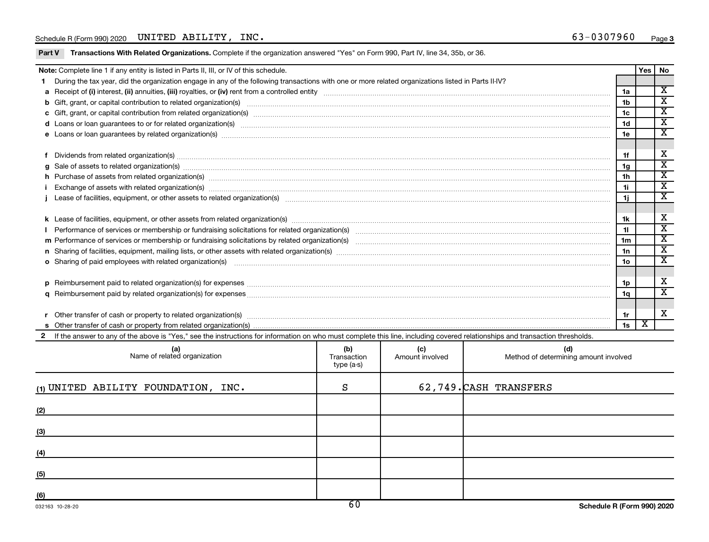Part V Transactions With Related Organizations. Complete if the organization answered "Yes" on Form 990, Part IV, line 34, 35b, or 36.

| Note: Complete line 1 if any entity is listed in Parts II, III, or IV of this schedule.                                                                                                                                        |                 | Yes   No |                             |  |  |  |  |  |  |
|--------------------------------------------------------------------------------------------------------------------------------------------------------------------------------------------------------------------------------|-----------------|----------|-----------------------------|--|--|--|--|--|--|
| During the tax year, did the organization engage in any of the following transactions with one or more related organizations listed in Parts II-IV?                                                                            |                 |          | $\overline{\mathbf{X}}$     |  |  |  |  |  |  |
|                                                                                                                                                                                                                                |                 |          |                             |  |  |  |  |  |  |
|                                                                                                                                                                                                                                |                 |          |                             |  |  |  |  |  |  |
|                                                                                                                                                                                                                                |                 |          |                             |  |  |  |  |  |  |
|                                                                                                                                                                                                                                | 1 <sub>d</sub>  |          | $\overline{\mathbf{X}}$     |  |  |  |  |  |  |
|                                                                                                                                                                                                                                | 1e              |          | $\overline{\textbf{x}}$     |  |  |  |  |  |  |
|                                                                                                                                                                                                                                |                 |          |                             |  |  |  |  |  |  |
| Dividends from related organization(s) machinesis and contract and contract and contract and contract and contract and contract and contract and contract and contract and contract and contract and contract and contract and | 1f              |          | X                           |  |  |  |  |  |  |
|                                                                                                                                                                                                                                | 1 <sub>g</sub>  |          | $\mathbf x$                 |  |  |  |  |  |  |
| h Purchase of assets from related organization(s) manufactured content to the content of the content of the content of the content of the content of the content of the content of the content of the content of the content o | 1 <sub>h</sub>  |          | $\overline{\textnormal{x}}$ |  |  |  |  |  |  |
| Exchange of assets with related organization(s) www.andron.com/www.andron.com/www.andron.com/www.andron.com/www.andron.com/www.andron.com/www.andron.com/www.andron.com/www.andron.com/www.andron.com/www.andron.com/www.andro |                 |          |                             |  |  |  |  |  |  |
|                                                                                                                                                                                                                                |                 |          |                             |  |  |  |  |  |  |
|                                                                                                                                                                                                                                |                 |          |                             |  |  |  |  |  |  |
|                                                                                                                                                                                                                                | 1k              |          | х                           |  |  |  |  |  |  |
|                                                                                                                                                                                                                                | 11              |          | $\overline{\textnormal{x}}$ |  |  |  |  |  |  |
|                                                                                                                                                                                                                                | 1 <sub>m</sub>  |          | $\overline{\textbf{x}}$     |  |  |  |  |  |  |
|                                                                                                                                                                                                                                | 1n              |          | $\overline{\mathbf{X}}$     |  |  |  |  |  |  |
| o Sharing of paid employees with related organization(s) material content to the content of the state of paid employees with related organization(s) material content of the state of the state of the state of the state of t | 10 <sub>o</sub> |          | $\overline{\textnormal{x}}$ |  |  |  |  |  |  |
|                                                                                                                                                                                                                                |                 |          |                             |  |  |  |  |  |  |
|                                                                                                                                                                                                                                | 1p              |          | х                           |  |  |  |  |  |  |
|                                                                                                                                                                                                                                | 1q              |          | X                           |  |  |  |  |  |  |
|                                                                                                                                                                                                                                |                 |          |                             |  |  |  |  |  |  |
|                                                                                                                                                                                                                                | 1r              |          | X                           |  |  |  |  |  |  |
| r Other transfer of cash or property to related organization(s) encourance contains an example of cash or property from related organization(s) encourance contains and contain an example of cash or property from related or | 1s              | X        |                             |  |  |  |  |  |  |
| If the answer to any of the above is "Yes," see the instructions for information on who must complete this line, including covered relationships and transaction thresholds.                                                   |                 |          |                             |  |  |  |  |  |  |
|                                                                                                                                                                                                                                |                 |          |                             |  |  |  |  |  |  |

| (a)<br>Name of related organization      | (b)<br>Transaction<br>type (a-s) | (c)<br>Amount involved | (d)<br>Method of determining amount involved |
|------------------------------------------|----------------------------------|------------------------|----------------------------------------------|
| $_{(1)}$ UNITED ABILITY FOUNDATION, INC. | S                                |                        | 62,749. CASH TRANSFERS                       |
| (2)                                      |                                  |                        |                                              |
| (3)                                      |                                  |                        |                                              |
| (4)                                      |                                  |                        |                                              |
| (5)                                      |                                  |                        |                                              |
| (6)                                      | $\epsilon$ $\sim$                |                        |                                              |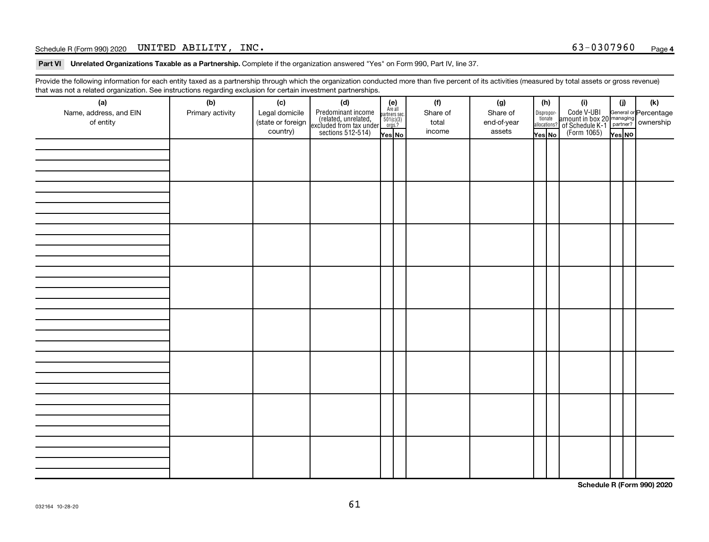#### Schedule R (Form 990) 2020 UNITED ABILITY, INC.  $63-0307960$  Page  $63-0307960$

Part VI Unrelated Organizations Taxable as a Partnership. Complete if the organization answered "Yes" on Form 990, Part IV, line 37.

Provide the following information for each entity taxed as a partnership through which the organization conducted more than five percent of its activities (measured by total assets or gross revenue) that was not a related organization. See instructions regarding exclusion for certain investment partnerships.

| $\sim$<br>(a)<br>Name, address, and EIN<br>of entity | ۔ ت<br>(b)<br>Primary activity | (c)<br>Legal domicile<br>(state or foreign<br>country) | - - - - - - <b>-</b> -<br>(d)<br>Predominant income<br>(related, unrelated,<br>excluded from tax under<br>sections 512-514) | (e)<br>Are all<br>partners sec.<br>$501(c)(3)$<br>orgs.?<br>Yes No | (f)<br>Share of<br>total<br>income | (g)<br>Share of<br>end-of-year<br>assets | (h)<br>Dispropor-<br>tionate<br>allocations?<br>Yes No | (i)<br>Code V-UBI<br>amount in box 20 managing<br>of Schedule K-1<br>(Form 1065)<br>$\overline{Yes}$ No | (i)<br>Yes NO | (k) |
|------------------------------------------------------|--------------------------------|--------------------------------------------------------|-----------------------------------------------------------------------------------------------------------------------------|--------------------------------------------------------------------|------------------------------------|------------------------------------------|--------------------------------------------------------|---------------------------------------------------------------------------------------------------------|---------------|-----|
|                                                      |                                |                                                        |                                                                                                                             |                                                                    |                                    |                                          |                                                        |                                                                                                         |               |     |
|                                                      |                                |                                                        |                                                                                                                             |                                                                    |                                    |                                          |                                                        |                                                                                                         |               |     |
|                                                      |                                |                                                        |                                                                                                                             |                                                                    |                                    |                                          |                                                        |                                                                                                         |               |     |
|                                                      |                                |                                                        |                                                                                                                             |                                                                    |                                    |                                          |                                                        |                                                                                                         |               |     |
|                                                      |                                |                                                        |                                                                                                                             |                                                                    |                                    |                                          |                                                        |                                                                                                         |               |     |
|                                                      |                                |                                                        |                                                                                                                             |                                                                    |                                    |                                          |                                                        |                                                                                                         |               |     |
|                                                      |                                |                                                        |                                                                                                                             |                                                                    |                                    |                                          |                                                        |                                                                                                         |               |     |
|                                                      |                                |                                                        |                                                                                                                             |                                                                    |                                    |                                          |                                                        |                                                                                                         |               |     |

**Schedule R (Form 990) 2020**